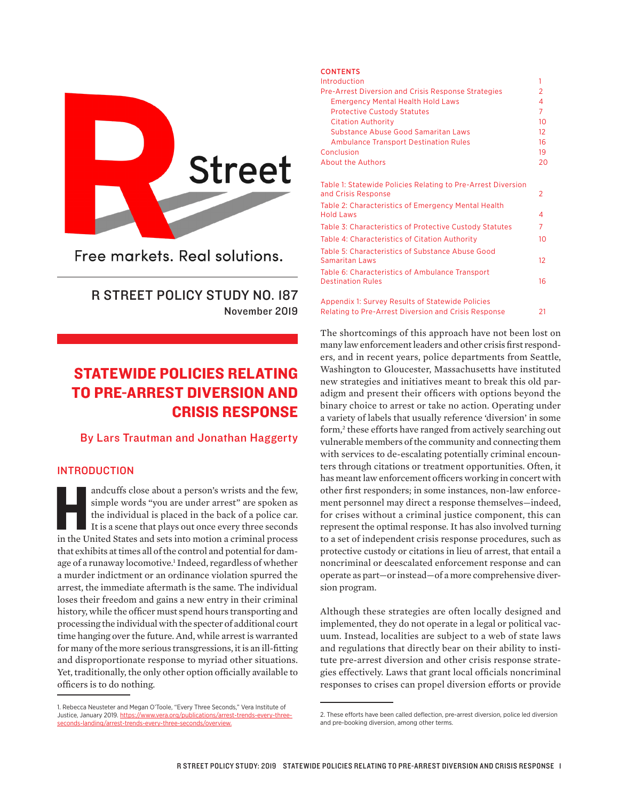

Free markets, Real solutions.

R STREET POLICY STUDY NO. 187 November 2019

# STATEWIDE POLICIES RELATING TO PRE-ARREST DIVERSION AND CRISIS RESPONSE

By Lars Trautman and Jonathan Haggerty

# INTRODUCTION

andcuffs close about a person's wrists and the few, simple words "you are under arrest" are spoken as the individual is placed in the back of a police car. It is a scene that plays out once every three seconds in the Unite simple words "you are under arrest" are spoken as the individual is placed in the back of a police car. It is a scene that plays out once every three seconds in the United States and sets into motion a criminal process that exhibits at times all of the control and potential for damage of a runaway locomotive.<sup>1</sup> Indeed, regardless of whether a murder indictment or an ordinance violation spurred the arrest, the immediate aftermath is the same. The individual loses their freedom and gains a new entry in their criminal history, while the officer must spend hours transporting and processing the individual with the specter of additional court time hanging over the future. And, while arrest is warranted for many of the more serious transgressions, it is an ill-fitting and disproportionate response to myriad other situations. Yet, traditionally, the only other option officially available to officers is to do nothing.

#### **CONTENTS**

| Introduction                                                 | 1               |
|--------------------------------------------------------------|-----------------|
| <b>Pre-Arrest Diversion and Crisis Response Strategies</b>   | 2               |
| <b>Emergency Mental Health Hold Laws</b>                     | 4               |
| <b>Protective Custody Statutes</b>                           | 7               |
| <b>Citation Authority</b>                                    | 10              |
| Substance Abuse Good Samaritan Laws                          | 12              |
| <b>Ambulance Transport Destination Rules</b>                 | 16              |
| Conclusion                                                   | 19              |
| <b>About the Authors</b>                                     | 20              |
|                                                              |                 |
| Table 1: Statewide Policies Relating to Pre-Arrest Diversion |                 |
| and Crisis Response                                          | 2               |
| Table 2: Characteristics of Emergency Mental Health          |                 |
| <b>Hold Laws</b>                                             | 4               |
| Table 3: Characteristics of Protective Custody Statutes      | 7               |
| Table 4: Characteristics of Citation Authority               | 10 <sup>1</sup> |
| Table 5: Characteristics of Substance Abuse Good             |                 |
| Samaritan Laws                                               | 12              |
| Table 6: Characteristics of Ambulance Transport              |                 |
| <b>Destination Rules</b>                                     | 16              |
|                                                              |                 |
| <b>Appendix 1: Survey Results of Statewide Policies</b>      |                 |

Relating to Pre-Arrest Diversion and Crisis Response 21

The shortcomings of this approach have not been lost on many law enforcement leaders and other crisis first responders, and in recent years, police departments from Seattle, Washington to Gloucester, Massachusetts have instituted new strategies and initiatives meant to break this old paradigm and present their officers with options beyond the binary choice to arrest or take no action. Operating under a variety of labels that usually reference 'diversion' in some form,<sup>2</sup> these efforts have ranged from actively searching out vulnerable members of the community and connecting them with services to de-escalating potentially criminal encounters through citations or treatment opportunities. Often, it has meant law enforcement officers working in concert with other first responders; in some instances, non-law enforcement personnel may direct a response themselves—indeed, for crises without a criminal justice component, this can represent the optimal response. It has also involved turning to a set of independent crisis response procedures, such as protective custody or citations in lieu of arrest, that entail a noncriminal or deescalated enforcement response and can operate as part—or instead—of a more comprehensive diversion program.

Although these strategies are often locally designed and implemented, they do not operate in a legal or political vacuum. Instead, localities are subject to a web of state laws and regulations that directly bear on their ability to institute pre-arrest diversion and other crisis response strategies effectively. Laws that grant local officials noncriminal responses to crises can propel diversion efforts or provide

<sup>1.</sup> Rebecca Neusteter and Megan O'Toole, "Every Three Seconds," Vera Institute of Justice, January 2019. [https://www.vera.org/publications/arrest-trends-every-three](https://www.vera.org/publications/arrest-trends-every-three-seconds-landing/arrest-trends-every-three-seconds/overview)[seconds-landing/arrest-trends-every-three-seconds/overview.](https://www.vera.org/publications/arrest-trends-every-three-seconds-landing/arrest-trends-every-three-seconds/overview)

<sup>2.</sup> These efforts have been called deflection, pre-arrest diversion, police led diversion and pre-booking diversion, among other terms.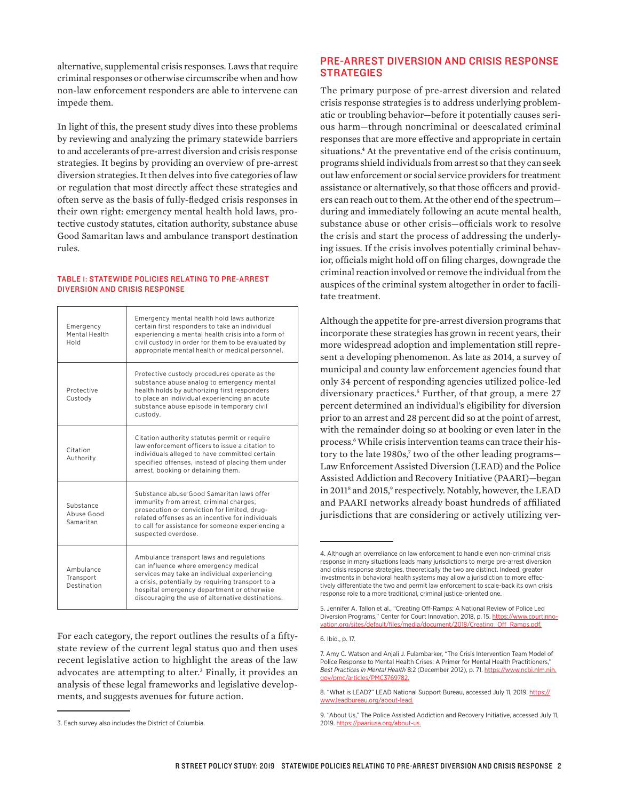alternative, supplemental crisis responses. Laws that require criminal responses or otherwise circumscribe when and how non-law enforcement responders are able to intervene can impede them.

In light of this, the present study dives into these problems by reviewing and analyzing the primary statewide barriers to and accelerants of pre-arrest diversion and crisis response strategies. It begins by providing an overview of pre-arrest diversion strategies. It then delves into five categories of law or regulation that most directly affect these strategies and often serve as the basis of fully-fledged crisis responses in their own right: emergency mental health hold laws, protective custody statutes, citation authority, substance abuse Good Samaritan laws and ambulance transport destination rules.

#### TABLE 1: STATEWIDE POLICIES RELATING TO PRE-ARREST DIVERSION AND CRISIS RESPONSE

| Emergency<br>Mental Health<br>hloH    | Emergency mental health hold laws authorize<br>certain first responders to take an individual<br>experiencing a mental health crisis into a form of<br>civil custody in order for them to be evaluated by<br>appropriate mental health or medical personnel.                              |
|---------------------------------------|-------------------------------------------------------------------------------------------------------------------------------------------------------------------------------------------------------------------------------------------------------------------------------------------|
| Protective<br>Custody                 | Protective custody procedures operate as the<br>substance abuse analog to emergency mental<br>health holds by authorizing first responders<br>to place an individual experiencing an acute<br>substance abuse episode in temporary civil<br>custody.                                      |
| Citation<br>Authority                 | Citation authority statutes permit or require<br>law enforcement officers to issue a citation to<br>individuals alleged to have committed certain<br>specified offenses, instead of placing them under<br>arrest, booking or detaining them.                                              |
| Substance<br>Abuse Good<br>Samaritan  | Substance abuse Good Samaritan laws offer<br>immunity from arrest, criminal charges,<br>prosecution or conviction for limited, drug-<br>related offenses as an incentive for individuals<br>to call for assistance for someone experiencing a<br>suspected overdose.                      |
| Ambulance<br>Transport<br>Destination | Ambulance transport laws and regulations<br>can influence where emergency medical<br>services may take an individual experiencing<br>a crisis, potentially by requiring transport to a<br>hospital emergency department or otherwise<br>discouraging the use of alternative destinations. |

For each category, the report outlines the results of a fiftystate review of the current legal status quo and then uses recent legislative action to highlight the areas of the law advocates are attempting to alter.<sup>3</sup> Finally, it provides an analysis of these legal frameworks and legislative developments, and suggests avenues for future action.

## PRE-ARREST DIVERSION AND CRISIS RESPONSE **STRATEGIES**

The primary purpose of pre-arrest diversion and related crisis response strategies is to address underlying problematic or troubling behavior—before it potentially causes serious harm—through noncriminal or deescalated criminal responses that are more effective and appropriate in certain situations.<sup>4</sup> At the preventative end of the crisis continuum, programs shield individuals from arrest so that they can seek out law enforcement or social service providers for treatment assistance or alternatively, so that those officers and providers can reach out to them. At the other end of the spectrum during and immediately following an acute mental health, substance abuse or other crisis—officials work to resolve the crisis and start the process of addressing the underlying issues. If the crisis involves potentially criminal behavior, officials might hold off on filing charges, downgrade the criminal reaction involved or remove the individual from the auspices of the criminal system altogether in order to facilitate treatment.

Although the appetite for pre-arrest diversion programs that incorporate these strategies has grown in recent years, their more widespread adoption and implementation still represent a developing phenomenon. As late as 2014, a survey of municipal and county law enforcement agencies found that only 34 percent of responding agencies utilized police-led diversionary practices.5 Further, of that group, a mere 27 percent determined an individual's eligibility for diversion prior to an arrest and 28 percent did so at the point of arrest, with the remainder doing so at booking or even later in the process.<sup>6</sup> While crisis intervention teams can trace their history to the late 1980s,<sup>7</sup> two of the other leading programs— Law Enforcement Assisted Diversion (LEAD) and the Police Assisted Addiction and Recovery Initiative (PAARI)—began in 2011<sup>8</sup> and 2015,<sup>9</sup> respectively. Notably, however, the LEAD and PAARI networks already boast hundreds of affiliated jurisdictions that are considering or actively utilizing ver-

<sup>3.</sup> Each survey also includes the District of Columbia.

<sup>4.</sup> Although an overreliance on law enforcement to handle even non-criminal crisis response in many situations leads many jurisdictions to merge pre-arrest diversion and crisis response strategies, theoretically the two are distinct. Indeed, greater investments in behavioral health systems may allow a jurisdiction to more effectively differentiate the two and permit law enforcement to scale-back its own crisis response role to a more traditional, criminal justice-oriented one.

<sup>5.</sup> Jennifer A. Tallon et al., "Creating Off-Ramps: A National Review of Police Led Diversion Programs," Center for Court Innovation, 2018, p. 15. [https://www.courtinno](https://www.courtinnovation.org/sites/default/files/media/document/2018/Creating_Off_Ramps.pdf)[vation.org/sites/default/files/media/document/2018/Creating\\_Off\\_Ramps.pdf](https://www.courtinnovation.org/sites/default/files/media/document/2018/Creating_Off_Ramps.pdf).

<sup>6.</sup> Ibid., p. 17.

<sup>7.</sup> Amy C. Watson and Anjali J. Fulambarker, "The Crisis Intervention Team Model of Police Response to Mental Health Crises: A Primer for Mental Health Practitioners," *Best Practices in Mental Health* 8:2 (December 2012), p. 71. [https://www.ncbi.nlm.nih.](https://www.ncbi.nlm.nih.gov/pmc/articles/PMC3769782/) [gov/pmc/articles/PMC3769782.](https://www.ncbi.nlm.nih.gov/pmc/articles/PMC3769782/)

<sup>8. &</sup>quot;What is LEAD?" LEAD National Support Bureau, accessed July 11, 2019. [https://](https://www.leadbureau.org/about-lead) [www.leadbureau.org/about-lead.](https://www.leadbureau.org/about-lead)

<sup>9. &</sup>quot;About Us," The Police Assisted Addiction and Recovery Initiative, accessed July 11, 2019.<https://paariusa.org/about-us>.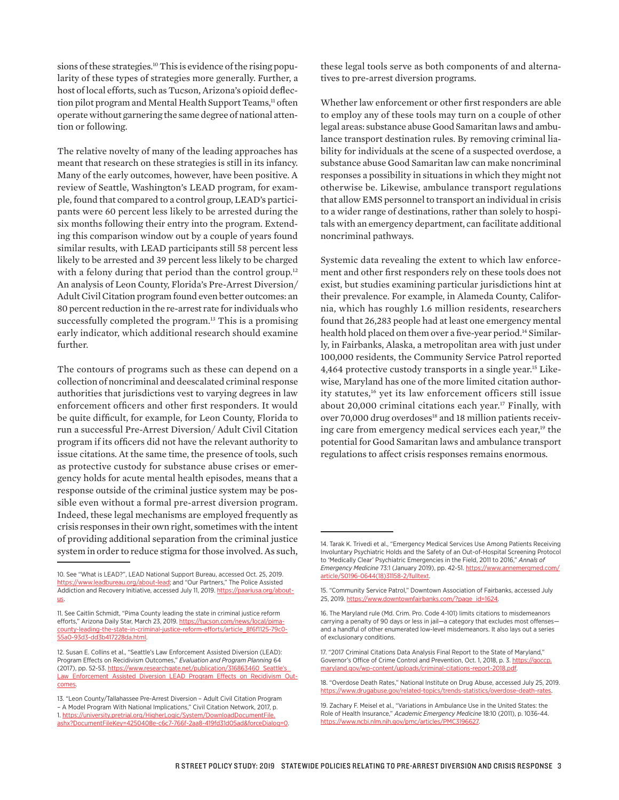sions of these strategies.<sup>10</sup> This is evidence of the rising popularity of these types of strategies more generally. Further, a host of local efforts, such as Tucson, Arizona's opioid deflection pilot program and Mental Health Support Teams,<sup>11</sup> often operate without garnering the same degree of national attention or following.

The relative novelty of many of the leading approaches has meant that research on these strategies is still in its infancy. Many of the early outcomes, however, have been positive. A review of Seattle, Washington's LEAD program, for example, found that compared to a control group, LEAD's participants were 60 percent less likely to be arrested during the six months following their entry into the program. Extending this comparison window out by a couple of years found similar results, with LEAD participants still 58 percent less likely to be arrested and 39 percent less likely to be charged with a felony during that period than the control group.<sup>12</sup> An analysis of Leon County, Florida's Pre-Arrest Diversion/ Adult Civil Citation program found even better outcomes: an 80 percent reduction in the re-arrest rate for individuals who successfully completed the program.<sup>13</sup> This is a promising early indicator, which additional research should examine further.

The contours of programs such as these can depend on a collection of noncriminal and deescalated criminal response authorities that jurisdictions vest to varying degrees in law enforcement officers and other first responders. It would be quite difficult, for example, for Leon County, Florida to run a successful Pre-Arrest Diversion/ Adult Civil Citation program if its officers did not have the relevant authority to issue citations. At the same time, the presence of tools, such as protective custody for substance abuse crises or emergency holds for acute mental health episodes, means that a response outside of the criminal justice system may be possible even without a formal pre-arrest diversion program. Indeed, these legal mechanisms are employed frequently as crisis responses in their own right, sometimes with the intent of providing additional separation from the criminal justice system in order to reduce stigma for those involved. As such,

these legal tools serve as both components of and alternatives to pre-arrest diversion programs.

Whether law enforcement or other first responders are able to employ any of these tools may turn on a couple of other legal areas: substance abuse Good Samaritan laws and ambulance transport destination rules. By removing criminal liability for individuals at the scene of a suspected overdose, a substance abuse Good Samaritan law can make noncriminal responses a possibility in situations in which they might not otherwise be. Likewise, ambulance transport regulations that allow EMS personnel to transport an individual in crisis to a wider range of destinations, rather than solely to hospitals with an emergency department, can facilitate additional noncriminal pathways.

Systemic data revealing the extent to which law enforcement and other first responders rely on these tools does not exist, but studies examining particular jurisdictions hint at their prevalence. For example, in Alameda County, California, which has roughly 1.6 million residents, researchers found that 26,283 people had at least one emergency mental health hold placed on them over a five-year period.<sup>14</sup> Similarly, in Fairbanks, Alaska, a metropolitan area with just under 100,000 residents, the Community Service Patrol reported 4,464 protective custody transports in a single year.15 Likewise, Maryland has one of the more limited citation authority statutes,<sup>16</sup> yet its law enforcement officers still issue about 20,000 criminal citations each year.17 Finally, with over 70,000 drug overdoses<sup>18</sup> and 18 million patients receiving care from emergency medical services each year,<sup>19</sup> the potential for Good Samaritan laws and ambulance transport regulations to affect crisis responses remains enormous.

<sup>10.</sup> See "What is LEAD?", LEAD National Support Bureau, accessed Oct. 25, 2019. [https://www.leadbureau.org/about-lead;](https://www.leadbureau.org/about-lead) and "Our Partners," The Police Assisted Addiction and Recovery Initiative, accessed July 11, 2019. [https://paariusa.org/about](https://paariusa.org/about-us/)[us.](https://paariusa.org/about-us/)

<sup>11.</sup> See Caitlin Schmidt, "Pima County leading the state in criminal justice reform efforts," Arizona Daily Star, March 23, 2019. [https://tucson.com/news/local/pima](https://tucson.com/news/local/pima-county-leading-the-state-in-criminal-justice-reform-efforts/article_8f6f1125-79c0-55a0-93d3-dd3b417228da.html)[county-leading-the-state-in-criminal-justice-reform-efforts/article\\_8f6f1125-79c0-](https://tucson.com/news/local/pima-county-leading-the-state-in-criminal-justice-reform-efforts/article_8f6f1125-79c0-55a0-93d3-dd3b417228da.html) [55a0-93d3-dd3b417228da.html.](https://tucson.com/news/local/pima-county-leading-the-state-in-criminal-justice-reform-efforts/article_8f6f1125-79c0-55a0-93d3-dd3b417228da.html)

<sup>12.</sup> Susan E. Collins et al., "Seattle's Law Enforcement Assisted Diversion (LEAD): Program Effects on Recidivism Outcomes," *Evaluation and Program Planning* 64 (2017), pp. 52-53. https://www.researchgate.net/publication/316863460\_Seattle's [Law\\_Enforcement\\_Assisted\\_Diversion\\_LEAD\\_Program\\_Effects\\_on\\_Recidivism\\_Out](https://www.researchgate.net/publication/316863460_Seattle)[comes.](https://www.researchgate.net/publication/316863460_Seattle)

<sup>13. &</sup>quot;Leon County/Tallahassee Pre-Arrest Diversion – Adult Civil Citation Program – A Model Program With National Implications," Civil Citation Network, 2017, p. 1. [https://university.pretrial.org/HigherLogic/System/DownloadDocumentFile.](https://university.pretrial.org/HigherLogic/System/DownloadDocumentFile.ashx?DocumentFileKey=4250408e-c6c7-766f-2aa8-419fd31d05ad&forceDialog=0) [ashx?DocumentFileKey=4250408e-c6c7-766f-2aa8-419fd31d05ad&forceDialog=0.](https://university.pretrial.org/HigherLogic/System/DownloadDocumentFile.ashx?DocumentFileKey=4250408e-c6c7-766f-2aa8-419fd31d05ad&forceDialog=0)

<sup>14.</sup> Tarak K. Trivedi et al., "Emergency Medical Services Use Among Patients Receiving Involuntary Psychiatric Holds and the Safety of an Out-of-Hospital Screening Protocol to 'Medically Clear' Psychiatric Emergencies in the Field, 2011 to 2016," *Annals of Emergency Medicine* 73:1 (January 2019), pp. 42-51. [https://www.annemergmed.com/](https://www.annemergmed.com/article/S0196-0644(18)31158-2/fulltext) [article/S0196-0644\(18\)31158-2/fulltext](https://www.annemergmed.com/article/S0196-0644(18)31158-2/fulltext).

<sup>15. &</sup>quot;Community Service Patrol," Downtown Association of Fairbanks, accessed July 25, 2019. [https://www.downtownfairbanks.com/?page\\_id=1624](https://www.downtownfairbanks.com/?page_id=1624).

<sup>16.</sup> The Maryland rule (Md. Crim. Pro. Code 4-101) limits citations to misdemeanors carrying a penalty of 90 days or less in jail—a category that excludes most offenses and a handful of other enumerated low-level misdemeanors. It also lays out a series of exclusionary conditions.

<sup>17. &</sup>quot;2017 Criminal Citations Data Analysis Final Report to the State of Maryland," Governor's Office of Crime Control and Prevention, Oct. 1, 2018, p. 3. https://go [maryland.gov/wp-content/uploads/criminal-citations-report-2018.pdf.](https://goccp.maryland.gov/wp-content/uploads/criminal-citations-report-2018.pdf)

<sup>18. &</sup>quot;Overdose Death Rates," National Institute on Drug Abuse, accessed July 25, 2019. <https://www.drugabuse.gov/related-topics/trends-statistics/overdose-death-rates>.

<sup>19.</sup> Zachary F. Meisel et al., "Variations in Ambulance Use in the United States: the Role of Health Insurance," *Academic Emergency Medicine* 18:10 (2011), p. 1036-44. [https://www.ncbi.nlm.nih.gov/pmc/articles/PMC3196627.](https://www.ncbi.nlm.nih.gov/pmc/articles/PMC3196627/)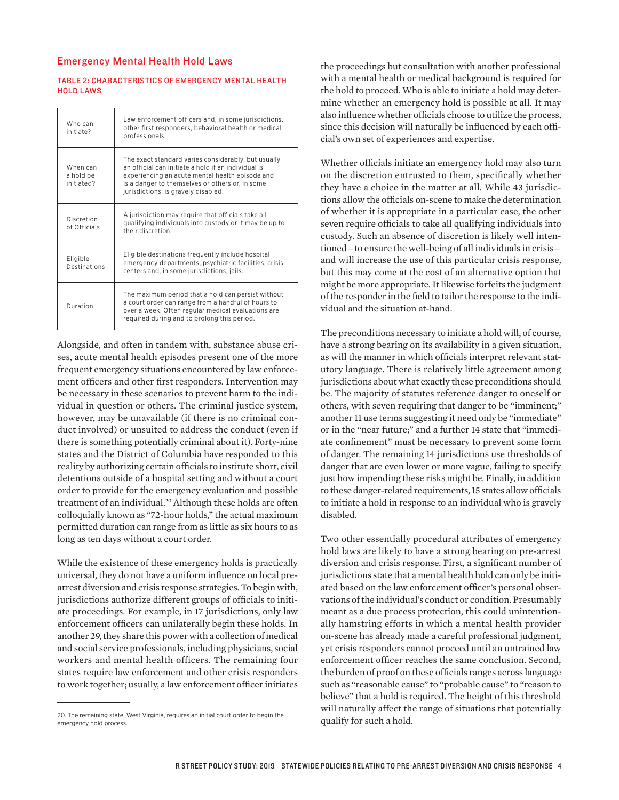## Emergency Mental Health Hold Laws

#### TABLE 2: CHARACTERISTICS OF EMERGENCY MENTAL HEALTH HOLD LAWS

| Who can<br>initiate?                | Law enforcement officers and, in some jurisdictions,<br>other first responders, behavioral health or medical<br>professionals.                                                                                                                          |
|-------------------------------------|---------------------------------------------------------------------------------------------------------------------------------------------------------------------------------------------------------------------------------------------------------|
| When can<br>a hold be<br>initiated? | The exact standard varies considerably, but usually<br>an official can initiate a hold if an individual is<br>experiencing an acute mental health episode and<br>is a danger to themselves or others or, in some<br>jurisdictions, is gravely disabled. |
| Discretion<br>of Officials          | A jurisdiction may require that officials take all<br>qualifying individuals into custody or it may be up to<br>their discretion                                                                                                                        |
| Eligible<br>Destinations            | Eligible destinations frequently include hospital<br>emergency departments, psychiatric facilities, crisis<br>centers and, in some jurisdictions, jails.                                                                                                |
| Duration                            | The maximum period that a hold can persist without<br>a court order can range from a handful of hours to<br>over a week. Often regular medical evaluations are<br>required during and to prolong this period.                                           |

Alongside, and often in tandem with, substance abuse crises, acute mental health episodes present one of the more frequent emergency situations encountered by law enforcement officers and other first responders. Intervention may be necessary in these scenarios to prevent harm to the individual in question or others. The criminal justice system, however, may be unavailable (if there is no criminal conduct involved) or unsuited to address the conduct (even if there is something potentially criminal about it). Forty-nine states and the District of Columbia have responded to this reality by authorizing certain officials to institute short, civil detentions outside of a hospital setting and without a court order to provide for the emergency evaluation and possible treatment of an individual.<sup>20</sup> Although these holds are often colloquially known as "72-hour holds," the actual maximum permitted duration can range from as little as six hours to as long as ten days without a court order.

While the existence of these emergency holds is practically universal, they do not have a uniform influence on local prearrest diversion and crisis response strategies. To begin with, jurisdictions authorize different groups of officials to initiate proceedings. For example, in 17 jurisdictions, only law enforcement officers can unilaterally begin these holds. In another 29, they share this power with a collection of medical and social service professionals, including physicians, social workers and mental health officers. The remaining four states require law enforcement and other crisis responders to work together; usually, a law enforcement officer initiates

the proceedings but consultation with another professional with a mental health or medical background is required for the hold to proceed. Who is able to initiate a hold may determine whether an emergency hold is possible at all. It may also influence whether officials choose to utilize the process, since this decision will naturally be influenced by each official's own set of experiences and expertise.

Whether officials initiate an emergency hold may also turn on the discretion entrusted to them, specifically whether they have a choice in the matter at all*.* While 43 jurisdictions allow the officials on-scene to make the determination of whether it is appropriate in a particular case, the other seven require officials to take all qualifying individuals into custody. Such an absence of discretion is likely well intentioned—to ensure the well-being of all individuals in crisis and will increase the use of this particular crisis response, but this may come at the cost of an alternative option that might be more appropriate. It likewise forfeits the judgment of the responder in the field to tailor the response to the individual and the situation at-hand.

The preconditions necessary to initiate a hold will, of course, have a strong bearing on its availability in a given situation, as will the manner in which officials interpret relevant statutory language. There is relatively little agreement among jurisdictions about what exactly these preconditions should be. The majority of statutes reference danger to oneself or others, with seven requiring that danger to be "imminent;" another 11 use terms suggesting it need only be "immediate" or in the "near future;" and a further 14 state that "immediate confinement" must be necessary to prevent some form of danger. The remaining 14 jurisdictions use thresholds of danger that are even lower or more vague, failing to specify just how impending these risks might be. Finally, in addition to these danger-related requirements, 15 states allow officials to initiate a hold in response to an individual who is gravely disabled.

Two other essentially procedural attributes of emergency hold laws are likely to have a strong bearing on pre-arrest diversion and crisis response. First, a significant number of jurisdictions state that a mental health hold can only be initiated based on the law enforcement officer's personal observations of the individual's conduct or condition. Presumably meant as a due process protection, this could unintentionally hamstring efforts in which a mental health provider on-scene has already made a careful professional judgment, yet crisis responders cannot proceed until an untrained law enforcement officer reaches the same conclusion. Second, the burden of proof on these officials ranges across language such as "reasonable cause" to "probable cause" to "reason to believe" that a hold is required. The height of this threshold will naturally affect the range of situations that potentially qualify for such a hold.

<sup>20.</sup> The remaining state, West Virginia, requires an initial court order to begin the emergency hold process.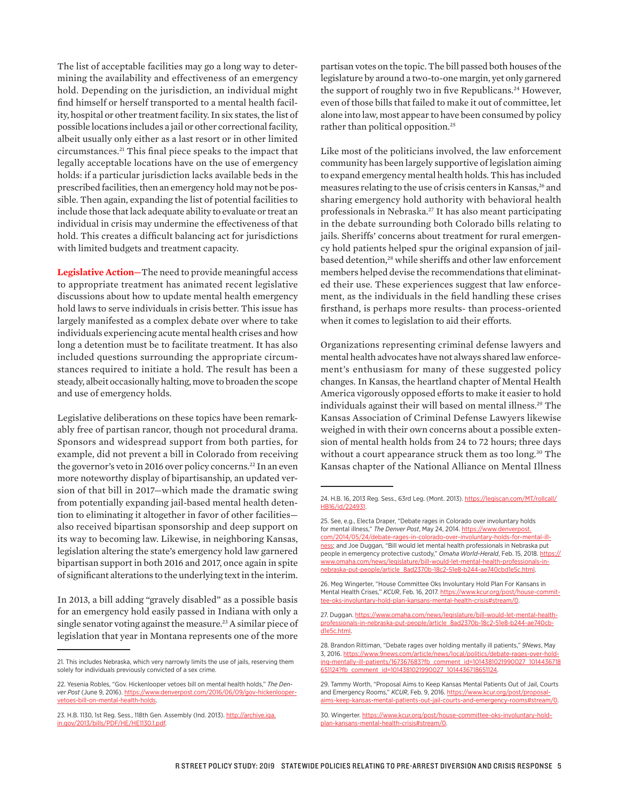The list of acceptable facilities may go a long way to determining the availability and effectiveness of an emergency hold. Depending on the jurisdiction, an individual might find himself or herself transported to a mental health facility, hospital or other treatment facility. In six states, the list of possible locations includes a jail or other correctional facility, albeit usually only either as a last resort or in other limited circumstances.21 This final piece speaks to the impact that legally acceptable locations have on the use of emergency holds: if a particular jurisdiction lacks available beds in the prescribed facilities, then an emergency hold may not be possible. Then again, expanding the list of potential facilities to include those that lack adequate ability to evaluate or treat an individual in crisis may undermine the effectiveness of that hold. This creates a difficult balancing act for jurisdictions with limited budgets and treatment capacity.

**Legislative Action—**The need to provide meaningful access to appropriate treatment has animated recent legislative discussions about how to update mental health emergency hold laws to serve individuals in crisis better. This issue has largely manifested as a complex debate over where to take individuals experiencing acute mental health crises and how long a detention must be to facilitate treatment. It has also included questions surrounding the appropriate circumstances required to initiate a hold. The result has been a steady, albeit occasionally halting, move to broaden the scope and use of emergency holds.

Legislative deliberations on these topics have been remarkably free of partisan rancor, though not procedural drama. Sponsors and widespread support from both parties, for example, did not prevent a bill in Colorado from receiving the governor's veto in 2016 over policy concerns.<sup>22</sup> In an even more noteworthy display of bipartisanship, an updated version of that bill in 2017—which made the dramatic swing from potentially expanding jail-based mental health detention to eliminating it altogether in favor of other facilities also received bipartisan sponsorship and deep support on its way to becoming law. Likewise, in neighboring Kansas, legislation altering the state's emergency hold law garnered bipartisan support in both 2016 and 2017, once again in spite of significant alterations to the underlying text in the interim.

In 2013, a bill adding "gravely disabled" as a possible basis for an emergency hold easily passed in Indiana with only a single senator voting against the measure.23 A similar piece of legislation that year in Montana represents one of the more

partisan votes on the topic. The bill passed both houses of the legislature by around a two-to-one margin, yet only garnered the support of roughly two in five Republicans.<sup>24</sup> However, even of those bills that failed to make it out of committee, let alone into law, most appear to have been consumed by policy rather than political opposition.25

Like most of the politicians involved, the law enforcement community has been largely supportive of legislation aiming to expand emergency mental health holds. This has included measures relating to the use of crisis centers in Kansas,<sup>26</sup> and sharing emergency hold authority with behavioral health professionals in Nebraska.27 It has also meant participating in the debate surrounding both Colorado bills relating to jails. Sheriffs' concerns about treatment for rural emergency hold patients helped spur the original expansion of jailbased detention,<sup>28</sup> while sheriffs and other law enforcement members helped devise the recommendations that eliminated their use. These experiences suggest that law enforcement, as the individuals in the field handling these crises firsthand, is perhaps more results- than process-oriented when it comes to legislation to aid their efforts.

Organizations representing criminal defense lawyers and mental health advocates have not always shared law enforcement's enthusiasm for many of these suggested policy changes. In Kansas, the heartland chapter of Mental Health America vigorously opposed efforts to make it easier to hold individuals against their will based on mental illness.<sup>29</sup> The Kansas Association of Criminal Defense Lawyers likewise weighed in with their own concerns about a possible extension of mental health holds from 24 to 72 hours; three days without a court appearance struck them as too long.<sup>30</sup> The Kansas chapter of the National Alliance on Mental Illness

<sup>21.</sup> This includes Nebraska, which very narrowly limits the use of jails, reserving them solely for individuals previously convicted of a sex crime.

<sup>22.</sup> Yesenia Robles, "Gov. Hickenlooper vetoes bill on mental health holds," *The Den*ver Post (June 9, 2016). https://www.denverpost.com/2016/06/09/gov-hi [vetoes-bill-on-mental-health-holds](https://www.denverpost.com/2016/06/09/gov-hickenlooper-vetoes-bill-on-mental-health-holds/).

<sup>23.</sup> H.B. 1130, 1st Reg. Sess., 118th Gen. Assembly (Ind. 2013). [http://archive.iga.](http://archive.iga.in.gov/2013/bills/PDF/HE/HE1130.1.pdf) [in.gov/2013/bills/PDF/HE/HE1130.1.pdf.](http://archive.iga.in.gov/2013/bills/PDF/HE/HE1130.1.pdf)

<sup>24.</sup> H.B. 16, 2013 Reg. Sess., 63rd Leg. (Mont. 2013). [https://legiscan.com/MT/rollcall/](https://legiscan.com/MT/rollcall/HB16/id/224931) [HB16/id/224931](https://legiscan.com/MT/rollcall/HB16/id/224931).

<sup>25.</sup> See, e.g., Electa Draper, "Debate rages in Colorado over involuntary holds for mental illness," *The Denver Post*, May 24, 2014. [https://www.denverpost.](https://www.denverpost.com/2014/05/24/debate-rages-in-colorado-over-involuntary-holds-for-mental-illness/) [com/2014/05/24/debate-rages-in-colorado-over-involuntary-holds-for-mental-ill](https://www.denverpost.com/2014/05/24/debate-rages-in-colorado-over-involuntary-holds-for-mental-illness/)[ness;](https://www.denverpost.com/2014/05/24/debate-rages-in-colorado-over-involuntary-holds-for-mental-illness/) and Joe Duggan, "Bill would let mental health professionals in Nebraska put people in emergency protective custody," Omaha World-Herald, Feb. 15, 2018. [https://](https://www.omaha.com/news/legislature/bill-would-let-mental-health-professionals-in-nebraska-put-people/article_8ad2370b-18c2-51e8-b244-ae740cbd1e5c.html) [www.omaha.com/news/legislature/bill-would-let-mental-health-professionals-in](https://www.omaha.com/news/legislature/bill-would-let-mental-health-professionals-in-nebraska-put-people/article_8ad2370b-18c2-51e8-b244-ae740cbd1e5c.html)[nebraska-put-people/article\\_8ad2370b-18c2-51e8-b244-ae740cbd1e5c.html](https://www.omaha.com/news/legislature/bill-would-let-mental-health-professionals-in-nebraska-put-people/article_8ad2370b-18c2-51e8-b244-ae740cbd1e5c.html).

<sup>26.</sup> Meg Wingerter, "House Committee Oks Involuntary Hold Plan For Kansans in Mental Health Crises," *KCUR*, Feb. 16, 2017. https://www.kcur.org/post/house-committee-oks-involuntary-hold-plan-kansans-mental-health-crisis#stream/0.

<sup>27.</sup> Duggan. [https://www.omaha.com/news/legislature/bill-would-let-mental-health](https://www.omaha.com/news/legislature/bill-would-let-mental-health-professionals-in-nebraska-put-people/article_8ad2370b-18c2-51e8-b244-ae740cbd1e5c.html)[professionals-in-nebraska-put-people/article\\_8ad2370b-18c2-51e8-b244-ae740cb](https://www.omaha.com/news/legislature/bill-would-let-mental-health-professionals-in-nebraska-put-people/article_8ad2370b-18c2-51e8-b244-ae740cbd1e5c.html)[d1e5c.html.](https://www.omaha.com/news/legislature/bill-would-let-mental-health-professionals-in-nebraska-put-people/article_8ad2370b-18c2-51e8-b244-ae740cbd1e5c.html)

<sup>28.</sup> Brandon Rittiman, "Debate rages over holding mentally ill patients," *9News*, May 3, 2016. [https://www.9news.com/article/news/local/politics/debate-rages-over-hold](https://www.9news.com/article/news/local/politics/debate-rages-over-holding-mentally-ill-patients/167367683?fb_comment_id=1014381021990027_1014436718651124?fb_comment_id=1014381021990027_1014436718651124)[ing-mentally-ill-patients/167367683?fb\\_comment\\_id=1014381021990027\\_1014436718](https://www.9news.com/article/news/local/politics/debate-rages-over-holding-mentally-ill-patients/167367683?fb_comment_id=1014381021990027_1014436718651124?fb_comment_id=1014381021990027_1014436718651124) [651124?fb\\_comment\\_id=1014381021990027\\_1014436718651124.](https://www.9news.com/article/news/local/politics/debate-rages-over-holding-mentally-ill-patients/167367683?fb_comment_id=1014381021990027_1014436718651124?fb_comment_id=1014381021990027_1014436718651124)

<sup>29.</sup> Tammy Worth, "Proposal Aims to Keep Kansas Mental Patients Out of Jail, Courts and Emergency Rooms," KCUR, Feb. 9, 2016. https://www.kcur.org/post/proposalaims-keep-kansas-mental-patients-out-jail-courts-and-emergency-rooms#stream/0.

<sup>30.</sup> Wingerter. https://www.kcur.org/post/house-committee-oks-involuntary-holdplan-kansans-mental-health-crisis#stream/0.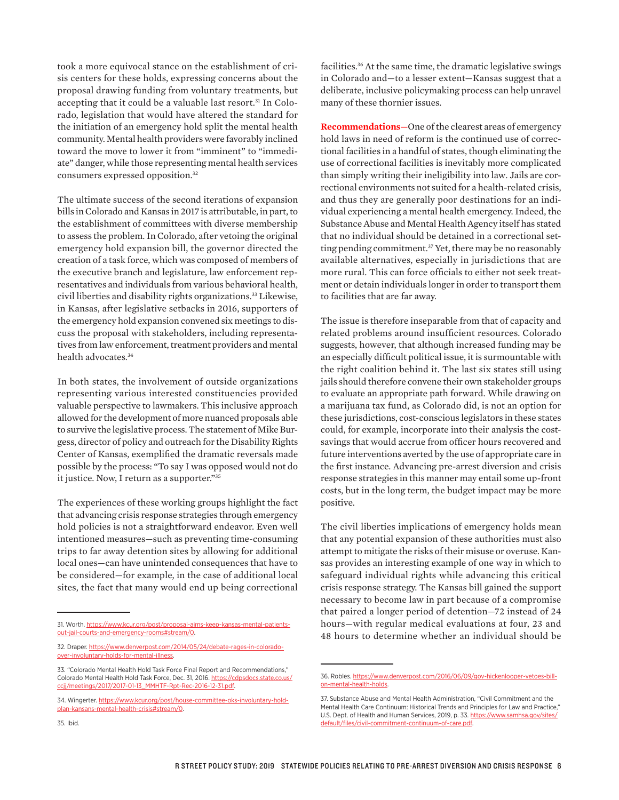took a more equivocal stance on the establishment of crisis centers for these holds, expressing concerns about the proposal drawing funding from voluntary treatments, but accepting that it could be a valuable last resort.<sup>31</sup> In Colorado, legislation that would have altered the standard for the initiation of an emergency hold split the mental health community. Mental health providers were favorably inclined toward the move to lower it from "imminent" to "immediate" danger, while those representing mental health services consumers expressed opposition.32

The ultimate success of the second iterations of expansion bills in Colorado and Kansas in 2017 is attributable, in part, to the establishment of committees with diverse membership to assess the problem. In Colorado, after vetoing the original emergency hold expansion bill, the governor directed the creation of a task force, which was composed of members of the executive branch and legislature, law enforcement representatives and individuals from various behavioral health, civil liberties and disability rights organizations.<sup>33</sup> Likewise, in Kansas, after legislative setbacks in 2016, supporters of the emergency hold expansion convened six meetings to discuss the proposal with stakeholders, including representatives from law enforcement, treatment providers and mental health advocates.34

In both states, the involvement of outside organizations representing various interested constituencies provided valuable perspective to lawmakers. This inclusive approach allowed for the development of more nuanced proposals able to survive the legislative process. The statement of Mike Burgess, director of policy and outreach for the Disability Rights Center of Kansas, exemplified the dramatic reversals made possible by the process: "To say I was opposed would not do it justice. Now, I return as a supporter."35

The experiences of these working groups highlight the fact that advancing crisis response strategies through emergency hold policies is not a straightforward endeavor. Even well intentioned measures—such as preventing time-consuming trips to far away detention sites by allowing for additional local ones—can have unintended consequences that have to be considered—for example, in the case of additional local sites, the fact that many would end up being correctional

facilities.<sup>36</sup> At the same time, the dramatic legislative swings in Colorado and—to a lesser extent—Kansas suggest that a deliberate, inclusive policymaking process can help unravel many of these thornier issues.

**Recommendations—**One of the clearest areas of emergency hold laws in need of reform is the continued use of correctional facilities in a handful of states, though eliminating the use of correctional facilities is inevitably more complicated than simply writing their ineligibility into law*.* Jails are correctional environments not suited for a health-related crisis, and thus they are generally poor destinations for an individual experiencing a mental health emergency. Indeed, the Substance Abuse and Mental Health Agency itself has stated that no individual should be detained in a correctional setting pending commitment.<sup>37</sup> Yet, there may be no reasonably available alternatives, especially in jurisdictions that are more rural. This can force officials to either not seek treatment or detain individuals longer in order to transport them to facilities that are far away.

The issue is therefore inseparable from that of capacity and related problems around insufficient resources. Colorado suggests, however, that although increased funding may be an especially difficult political issue, it is surmountable with the right coalition behind it. The last six states still using jails should therefore convene their own stakeholder groups to evaluate an appropriate path forward. While drawing on a marijuana tax fund, as Colorado did, is not an option for these jurisdictions, cost-conscious legislators in these states could, for example, incorporate into their analysis the costsavings that would accrue from officer hours recovered and future interventions averted by the use of appropriate care in the first instance. Advancing pre-arrest diversion and crisis response strategies in this manner may entail some up-front costs, but in the long term, the budget impact may be more positive.

The civil liberties implications of emergency holds mean that any potential expansion of these authorities must also attempt to mitigate the risks of their misuse or overuse. Kansas provides an interesting example of one way in which to safeguard individual rights while advancing this critical crisis response strategy. The Kansas bill gained the support necessary to become law in part because of a compromise that paired a longer period of detention—72 instead of 24 hours—with regular medical evaluations at four, 23 and 48 hours to determine whether an individual should be

<sup>31.</sup> Worth. https://www.kcur.org/post/proposal-aims-keep-kansas-mental-patientsout-jail-courts-and-emergency-rooms#stream/0.

<sup>32.</sup> Draper. [https://www.denverpost.com/2014/05/24/debate-rages-in-colorado](https://www.denverpost.com/2014/05/24/debate-rages-in-colorado-over-involuntary-holds-for-mental-illness/)[over-involuntary-holds-for-mental-illness](https://www.denverpost.com/2014/05/24/debate-rages-in-colorado-over-involuntary-holds-for-mental-illness/).

<sup>33. &</sup>quot;Colorado Mental Health Hold Task Force Final Report and Recommendations," Colorado Mental Health Hold Task Force, Dec. 31, 2016. [https://cdpsdocs.state.co.us/](https://cdpsdocs.state.co.us/ccjj/meetings/2017/2017-01-13_MMHTF-Rpt-Rec-2016-12-31.pdf) [ccjj/meetings/2017/2017-01-13\\_MMHTF-Rpt-Rec-2016-12-31.pdf.](https://cdpsdocs.state.co.us/ccjj/meetings/2017/2017-01-13_MMHTF-Rpt-Rec-2016-12-31.pdf)

<sup>34.</sup> Wingerter. https://www.kcur.org/post/house-committee-oks-involuntary-holdplan-kansans-mental-health-crisis#stream/0.

<sup>36.</sup> Robles. [https://www.denverpost.com/2016/06/09/gov-hickenlooper-vetoes-bill](https://www.denverpost.com/2016/06/09/gov-hickenlooper-vetoes-bill-on-mental-health-holds/)[on-mental-health-holds](https://www.denverpost.com/2016/06/09/gov-hickenlooper-vetoes-bill-on-mental-health-holds/).

<sup>37.</sup> Substance Abuse and Mental Health Administration, "Civil Commitment and the Mental Health Care Continuum: Historical Trends and Principles for Law and Practice," U.S. Dept. of Health and Human Services, 2019, p. 33. [https://www.samhsa.gov/sites/](https://www.samhsa.gov/sites/default/files/civil-commitment-continuum-of-care.pdf) [default/files/civil-commitment-continuum-of-care.pdf](https://www.samhsa.gov/sites/default/files/civil-commitment-continuum-of-care.pdf).

<sup>35.</sup> Ibid.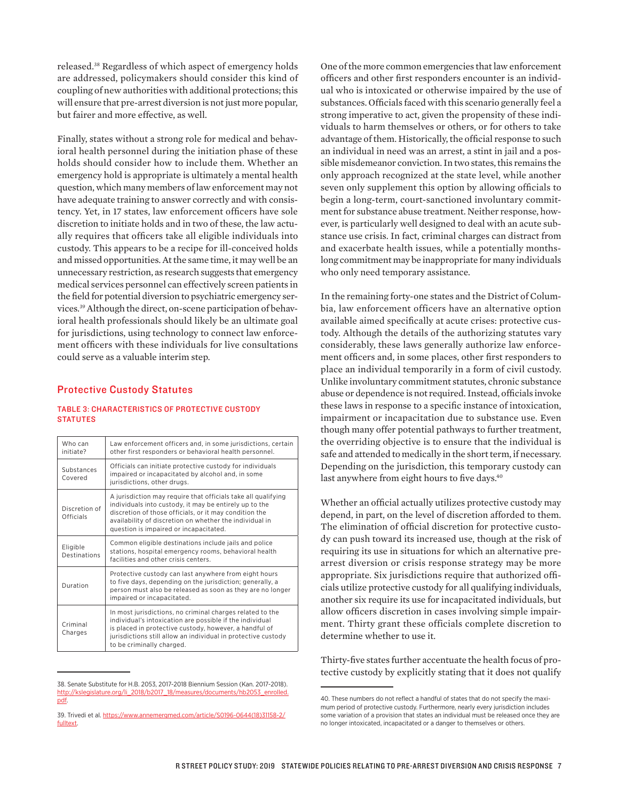released.38 Regardless of which aspect of emergency holds are addressed, policymakers should consider this kind of coupling of new authorities with additional protections; this will ensure that pre-arrest diversion is not just more popular, but fairer and more effective, as well.

Finally, states without a strong role for medical and behavioral health personnel during the initiation phase of these holds should consider how to include them. Whether an emergency hold is appropriate is ultimately a mental health question, which many members of law enforcement may not have adequate training to answer correctly and with consistency. Yet, in 17 states, law enforcement officers have sole discretion to initiate holds and in two of these, the law actually requires that officers take all eligible individuals into custody. This appears to be a recipe for ill-conceived holds and missed opportunities. At the same time, it may well be an unnecessary restriction, as research suggests that emergency medical services personnel can effectively screen patients in the field for potential diversion to psychiatric emergency services.39 Although the direct, on-scene participation of behavioral health professionals should likely be an ultimate goal for jurisdictions, using technology to connect law enforcement officers with these individuals for live consultations could serve as a valuable interim step.

#### Protective Custody Statutes

#### TABLE 3: CHARACTERISTICS OF PROTECTIVE CUSTODY **STATUTES**

| Who can<br>initiate?       | Law enforcement officers and, in some jurisdictions, certain<br>other first responders or behavioral health personnel.                                                                                                                                                                 |
|----------------------------|----------------------------------------------------------------------------------------------------------------------------------------------------------------------------------------------------------------------------------------------------------------------------------------|
| Substances<br>Covered      | Officials can initiate protective custody for individuals<br>impaired or incapacitated by alcohol and, in some<br>jurisdictions, other drugs.                                                                                                                                          |
| Discretion of<br>Officials | A jurisdiction may require that officials take all qualifying<br>individuals into custody, it may be entirely up to the<br>discretion of those officials, or it may condition the<br>availability of discretion on whether the individual in<br>question is impaired or incapacitated. |
| Eligible<br>Destinations   | Common eligible destinations include jails and police<br>stations, hospital emergency rooms, behavioral health<br>facilities and other crisis centers.                                                                                                                                 |
| Duration                   | Protective custody can last anywhere from eight hours<br>to five days, depending on the jurisdiction; generally, a<br>person must also be released as soon as they are no longer<br>impaired or incapacitated.                                                                         |
| Criminal<br>Charges        | In most jurisdictions, no criminal charges related to the<br>individual's intoxication are possible if the individual<br>is placed in protective custody, however, a handful of<br>jurisdictions still allow an individual in protective custody<br>to be criminally charged.          |

<sup>38.</sup> Senate Substitute for H.B. 2053, 2017-2018 Biennium Session (Kan. 2017-2018). [http://kslegislature.org/li\\_2018/b2017\\_18/measures/documents/hb2053\\_enrolled.](http://kslegislature.org/li_2018/b2017_18/measures/documents/hb2053_enrolled.pdf) [pdf.](http://kslegislature.org/li_2018/b2017_18/measures/documents/hb2053_enrolled.pdf)

One of the more common emergencies that law enforcement officers and other first responders encounter is an individual who is intoxicated or otherwise impaired by the use of substances. Officials faced with this scenario generally feel a strong imperative to act, given the propensity of these individuals to harm themselves or others, or for others to take advantage of them. Historically, the official response to such an individual in need was an arrest, a stint in jail and a possible misdemeanor conviction. In two states, this remains the only approach recognized at the state level, while another seven only supplement this option by allowing officials to begin a long-term, court-sanctioned involuntary commitment for substance abuse treatment. Neither response, however, is particularly well designed to deal with an acute substance use crisis. In fact, criminal charges can distract from and exacerbate health issues, while a potentially monthslong commitment may be inappropriate for many individuals who only need temporary assistance.

In the remaining forty-one states and the District of Columbia, law enforcement officers have an alternative option available aimed specifically at acute crises: protective custody. Although the details of the authorizing statutes vary considerably, these laws generally authorize law enforcement officers and, in some places, other first responders to place an individual temporarily in a form of civil custody. Unlike involuntary commitment statutes, chronic substance abuse or dependence is not required. Instead, officials invoke these laws in response to a specific instance of intoxication, impairment or incapacitation due to substance use. Even though many offer potential pathways to further treatment, the overriding objective is to ensure that the individual is safe and attended to medically in the short term, if necessary. Depending on the jurisdiction, this temporary custody can last anywhere from eight hours to five days.<sup>40</sup>

Whether an official actually utilizes protective custody may depend, in part, on the level of discretion afforded to them. The elimination of official discretion for protective custody can push toward its increased use, though at the risk of requiring its use in situations for which an alternative prearrest diversion or crisis response strategy may be more appropriate. Six jurisdictions require that authorized officials utilize protective custody for all qualifying individuals, another six require its use for incapacitated individuals, but allow officers discretion in cases involving simple impairment. Thirty grant these officials complete discretion to determine whether to use it.

Thirty-five states further accentuate the health focus of protective custody by explicitly stating that it does not qualify

<sup>39.</sup> Trivedi et al. [https://www.annemergmed.com/article/S0196-0644\(18\)31158-2/](https://www.annemergmed.com/article/S0196-0644(18)31158-2/fulltext) [fulltext](https://www.annemergmed.com/article/S0196-0644(18)31158-2/fulltext).

<sup>40.</sup> These numbers do not reflect a handful of states that do not specify the maximum period of protective custody. Furthermore, nearly every jurisdiction includes some variation of a provision that states an individual must be released once they are no longer intoxicated, incapacitated or a danger to themselves or others.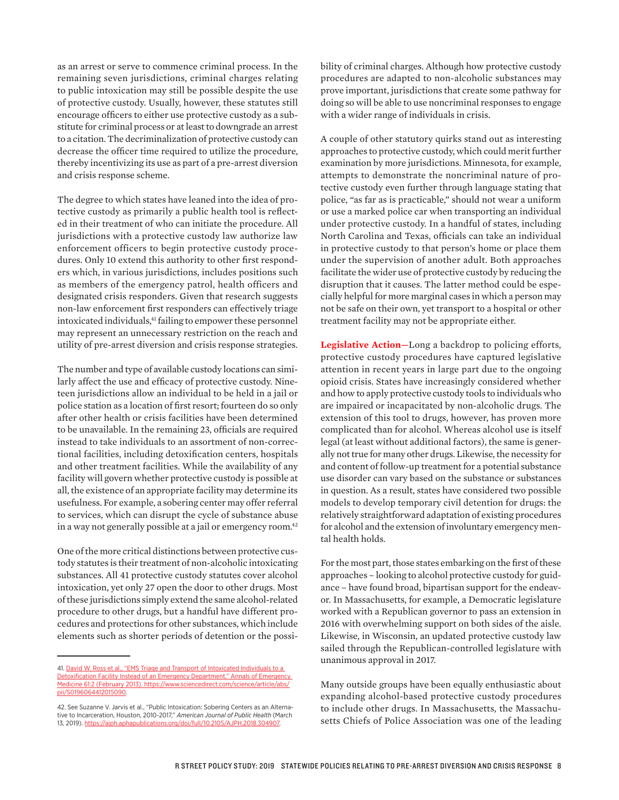as an arrest or serve to commence criminal process. In the remaining seven jurisdictions, criminal charges relating to public intoxication may still be possible despite the use of protective custody. Usually, however, these statutes still encourage officers to either use protective custody as a substitute for criminal process or at least to downgrade an arrest to a citation. The decriminalization of protective custody can decrease the officer time required to utilize the procedure, thereby incentivizing its use as part of a pre-arrest diversion and crisis response scheme.

The degree to which states have leaned into the idea of protective custody as primarily a public health tool is reflected in their treatment of who can initiate the procedure. All jurisdictions with a protective custody law authorize law enforcement officers to begin protective custody procedures. Only 10 extend this authority to other first responders which, in various jurisdictions, includes positions such as members of the emergency patrol, health officers and designated crisis responders. Given that research suggests non-law enforcement first responders can effectively triage intoxicated individuals,<sup>41</sup> failing to empower these personnel may represent an unnecessary restriction on the reach and utility of pre-arrest diversion and crisis response strategies.

The number and type of available custody locations can similarly affect the use and efficacy of protective custody. Nineteen jurisdictions allow an individual to be held in a jail or police station as a location of first resort; fourteen do so only after other health or crisis facilities have been determined to be unavailable. In the remaining 23, officials are required instead to take individuals to an assortment of non-correctional facilities, including detoxification centers, hospitals and other treatment facilities. While the availability of any facility will govern whether protective custody is possible at all, the existence of an appropriate facility may determine its usefulness. For example, a sobering center may offer referral to services, which can disrupt the cycle of substance abuse in a way not generally possible at a jail or emergency room.<sup>42</sup>

One of the more critical distinctions between protective custody statutes is their treatment of non-alcoholic intoxicating substances. All 41 protective custody statutes cover alcohol intoxication, yet only 27 open the door to other drugs. Most of these jurisdictions simply extend the same alcohol-related procedure to other drugs, but a handful have different procedures and protections for other substances, which include elements such as shorter periods of detention or the possibility of criminal charges. Although how protective custody procedures are adapted to non-alcoholic substances may prove important, jurisdictions that create some pathway for doing so will be able to use noncriminal responses to engage with a wider range of individuals in crisis.

A couple of other statutory quirks stand out as interesting approaches to protective custody, which could merit further examination by more jurisdictions. Minnesota, for example, attempts to demonstrate the noncriminal nature of protective custody even further through language stating that police, "as far as is practicable," should not wear a uniform or use a marked police car when transporting an individual under protective custody. In a handful of states, including North Carolina and Texas, officials can take an individual in protective custody to that person's home or place them under the supervision of another adult. Both approaches facilitate the wider use of protective custody by reducing the disruption that it causes. The latter method could be especially helpful for more marginal cases in which a person may not be safe on their own, yet transport to a hospital or other treatment facility may not be appropriate either.

**Legislative Action—**Long a backdrop to policing efforts, protective custody procedures have captured legislative attention in recent years in large part due to the ongoing opioid crisis. States have increasingly considered whether and how to apply protective custody tools to individuals who are impaired or incapacitated by non-alcoholic drugs. The extension of this tool to drugs, however, has proven more complicated than for alcohol. Whereas alcohol use is itself legal (at least without additional factors), the same is generally not true for many other drugs. Likewise, the necessity for and content of follow-up treatment for a potential substance use disorder can vary based on the substance or substances in question. As a result, states have considered two possible models to develop temporary civil detention for drugs: the relatively straightforward adaptation of existing procedures for alcohol and the extension of involuntary emergency mental health holds.

For the most part, those states embarking on the first of these approaches – looking to alcohol protective custody for guidance – have found broad, bipartisan support for the endeavor. In Massachusetts, for example, a Democratic legislature worked with a Republican governor to pass an extension in 2016 with overwhelming support on both sides of the aisle. Likewise, in Wisconsin, an updated protective custody law sailed through the Republican-controlled legislature with unanimous approval in 2017.

Many outside groups have been equally enthusiastic about expanding alcohol-based protective custody procedures to include other drugs. In Massachusetts, the Massachusetts Chiefs of Police Association was one of the leading

<sup>41.</sup> [David W. Ross et al., "EMS Triage and Transport of Intoxicated Individuals to a](file:///Users/evajoannaandreasson/Desktop/David%20W.%20Ross%20et%20al.,%20“EMS%20Triage%20and%20Transport%20of%20Intoxicated%20Individuals%20to%20a%20Detoxification%20Facility%20Instead%20of%20an%20Emergency%20Department,”%20Annals%20of%20Emergency%20Medicine%2061:2%20(February%202013).%20https://www.sciencedirect.com/science/article/abs/pii/S0196064412015090)  [Detoxification Facility Instead of an Emergency Department," Annals of Emergency](file:///Users/evajoannaandreasson/Desktop/David%20W.%20Ross%20et%20al.,%20“EMS%20Triage%20and%20Transport%20of%20Intoxicated%20Individuals%20to%20a%20Detoxification%20Facility%20Instead%20of%20an%20Emergency%20Department,”%20Annals%20of%20Emergency%20Medicine%2061:2%20(February%202013).%20https://www.sciencedirect.com/science/article/abs/pii/S0196064412015090)  [Medicine 61:2 \(February 2013\). https://www.sciencedirect.com/science/article/abs/](file:///Users/evajoannaandreasson/Desktop/David%20W.%20Ross%20et%20al.,%20“EMS%20Triage%20and%20Transport%20of%20Intoxicated%20Individuals%20to%20a%20Detoxification%20Facility%20Instead%20of%20an%20Emergency%20Department,”%20Annals%20of%20Emergency%20Medicine%2061:2%20(February%202013).%20https://www.sciencedirect.com/science/article/abs/pii/S0196064412015090) [pii/S0196064412015090](file:///Users/evajoannaandreasson/Desktop/David%20W.%20Ross%20et%20al.,%20“EMS%20Triage%20and%20Transport%20of%20Intoxicated%20Individuals%20to%20a%20Detoxification%20Facility%20Instead%20of%20an%20Emergency%20Department,”%20Annals%20of%20Emergency%20Medicine%2061:2%20(February%202013).%20https://www.sciencedirect.com/science/article/abs/pii/S0196064412015090).

<sup>42.</sup> See Suzanne V. Jarvis et al., "Public Intoxication: Sobering Centers as an Alternative to Incarceration, Houston, 2010-2017," *American Journal of Public Health* (March 13, 2019). <https://ajph.aphapublications.org/doi/full/10.2105/AJPH.2018.304907>.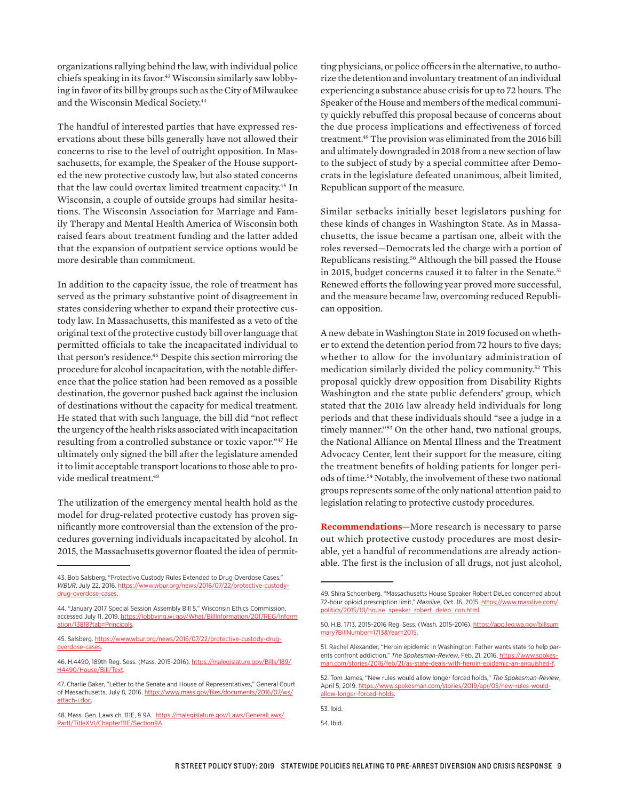organizations rallying behind the law, with individual police chiefs speaking in its favor.<sup>43</sup> Wisconsin similarly saw lobbying in favor of its bill by groups such as the City of Milwaukee and the Wisconsin Medical Society.<sup>44</sup>

The handful of interested parties that have expressed reservations about these bills generally have not allowed their concerns to rise to the level of outright opposition. In Massachusetts, for example, the Speaker of the House supported the new protective custody law, but also stated concerns that the law could overtax limited treatment capacity.<sup>45</sup> In Wisconsin, a couple of outside groups had similar hesitations. The Wisconsin Association for Marriage and Family Therapy and Mental Health America of Wisconsin both raised fears about treatment funding and the latter added that the expansion of outpatient service options would be more desirable than commitment.

In addition to the capacity issue, the role of treatment has served as the primary substantive point of disagreement in states considering whether to expand their protective custody law. In Massachusetts, this manifested as a veto of the original text of the protective custody bill over language that permitted officials to take the incapacitated individual to that person's residence.46 Despite this section mirroring the procedure for alcohol incapacitation, with the notable difference that the police station had been removed as a possible destination, the governor pushed back against the inclusion of destinations without the capacity for medical treatment. He stated that with such language, the bill did "not reflect the urgency of the health risks associated with incapacitation resulting from a controlled substance or toxic vapor."47 He ultimately only signed the bill after the legislature amended it to limit acceptable transport locations to those able to provide medical treatment.<sup>48</sup>

The utilization of the emergency mental health hold as the model for drug-related protective custody has proven significantly more controversial than the extension of the procedures governing individuals incapacitated by alcohol. In 2015, the Massachusetts governor floated the idea of permit-

43. Bob Salsberg, "Protective Custody Rules Extended to Drug Overdose Cases," *WBUR*, July 22, 2016. https://www.wbur.org/news/2016/07/2 [drug-overdose-cases](https://www.wbur.org/news/2016/07/22/protective-custody-drug-overdose-cases)

44. "January 2017 Special Session Assembly Bill 5," Wisconsin Ethics Commission, accessed July 11, 2019. [https://lobbying.wi.gov/What/BillInformation/2017REG/Inform](https://lobbying.wi.gov/What/BillInformation/2017REG/Information/13818?tab=Principals) [ation/13818?tab=Principals.](https://lobbying.wi.gov/What/BillInformation/2017REG/Information/13818?tab=Principals)

45. Salsberg. [https://www.wbur.org/news/2016/07/22/protective-custody-drug](https://www.wbur.org/news/2016/07/22/protective-custody-drug-overdose-cases)[overdose-cases.](https://www.wbur.org/news/2016/07/22/protective-custody-drug-overdose-cases)

ting physicians, or police officers in the alternative, to authorize the detention and involuntary treatment of an individual experiencing a substance abuse crisis for up to 72 hours. The Speaker of the House and members of the medical community quickly rebuffed this proposal because of concerns about the due process implications and effectiveness of forced treatment.49 The provision was eliminated from the 2016 bill and ultimately downgraded in 2018 from a new section of law to the subject of study by a special committee after Democrats in the legislature defeated unanimous, albeit limited, Republican support of the measure.

Similar setbacks initially beset legislators pushing for these kinds of changes in Washington State. As in Massachusetts, the issue became a partisan one, albeit with the roles reversed—Democrats led the charge with a portion of Republicans resisting.50 Although the bill passed the House in 2015, budget concerns caused it to falter in the Senate.<sup>51</sup> Renewed efforts the following year proved more successful, and the measure became law, overcoming reduced Republican opposition.

A new debate in Washington State in 2019 focused on whether to extend the detention period from 72 hours to five days; whether to allow for the involuntary administration of medication similarly divided the policy community.52 This proposal quickly drew opposition from Disability Rights Washington and the state public defenders' group, which stated that the 2016 law already held individuals for long periods and that these individuals should "see a judge in a timely manner."<sup>53</sup> On the other hand, two national groups, the National Alliance on Mental Illness and the Treatment Advocacy Center, lent their support for the measure, citing the treatment benefits of holding patients for longer periods of time.54 Notably, the involvement of these two national groups represents some of the only national attention paid to legislation relating to protective custody procedures.

**Recommendations—**More research is necessary to parse out which protective custody procedures are most desirable, yet a handful of recommendations are already actionable. The first is the inclusion of all drugs, not just alcohol,

53. Ibid.

<sup>46.</sup> H.4490, 189th Reg. Sess. (Mass. 2015-2016). [https://malegislature.gov/Bills/189/](https://malegislature.gov/Bills/189/H4490/House/Bill/Text) [H4490/House/Bill/Text.](https://malegislature.gov/Bills/189/H4490/House/Bill/Text)

<sup>47.</sup> Charlie Baker, "Letter to the Senate and House of Representatives," General Court of Massachusetts, July 8, 2016. [https://www.mass.gov/files/documents/2016/07/ws/](https://www.mass.gov/files/documents/2016/07/ws/attach-i.doc) [attach-i.doc](https://www.mass.gov/files/documents/2016/07/ws/attach-i.doc).

<sup>48.</sup> Mass. Gen. Laws ch. 111E, § 9A. [https://malegislature.gov/Laws/GeneralLaws/](https://malegislature.gov/Laws/GeneralLaws/PartI/TitleXVI/Chapter111E/Section9A) [PartI/TitleXVI/Chapter111E/Section9A.](https://malegislature.gov/Laws/GeneralLaws/PartI/TitleXVI/Chapter111E/Section9A)

<sup>49.</sup> Shira Schoenberg, "Massachusetts House Speaker Robert DeLeo concerned about 72-hour opioid prescription limit," *Masslive*, Oct. 16, 2015. [https://www.masslive.com/](https://www.masslive.com/politics/2015/10/house_speaker_robert_deleo_con.html) [politics/2015/10/house\\_speaker\\_robert\\_deleo\\_con.html](https://www.masslive.com/politics/2015/10/house_speaker_robert_deleo_con.html).

<sup>50.</sup> H.B. 1713, 2015-2016 Reg. Sess. (Wash. 2015-2016). [https://app.leg.wa.gov/billsum](https://app.leg.wa.gov/billsummary?BillNumber=1713&Year=2015) [mary?BillNumber=1713&Year=2015](https://app.leg.wa.gov/billsummary?BillNumber=1713&Year=2015).

<sup>51.</sup> Rachel Alexander, "Heroin epidemic in Washington: Father wants state to help parents confront addiction," The Spokesman-Review, Feb. 21, 2016. https://www.spoke [man.com/stories/2016/feb/21/as-state-deals-with-heroin-epidemic-an-anguished-f.](https://www.spokesman.com/stories/2016/feb/21/as-state-deals-with-heroin-epidemic-an-anguished-f/)

<sup>52.</sup> Tom James, "New rules would allow longer forced holds," *The Spokesman-Review*, April 5, 2019. [https://www.spokesman.com/stories/2019/apr/05/new-rules-would](https://www.spokesman.com/stories/2019/apr/05/new-rules-would-allow-longer-forced-holds/)[allow-longer-forced-holds.](https://www.spokesman.com/stories/2019/apr/05/new-rules-would-allow-longer-forced-holds/)

<sup>54.</sup> Ibid.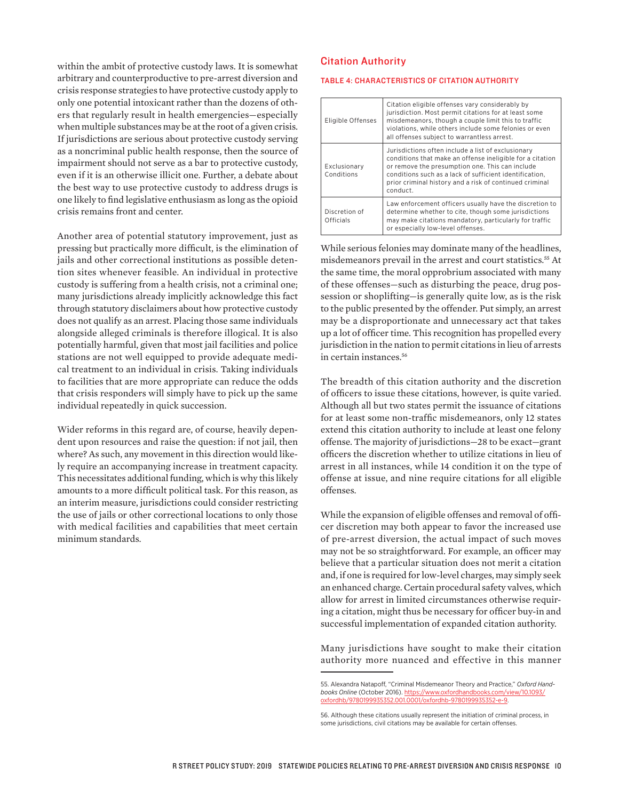within the ambit of protective custody laws. It is somewhat arbitrary and counterproductive to pre-arrest diversion and crisis response strategies to have protective custody apply to only one potential intoxicant rather than the dozens of others that regularly result in health emergencies—especially when multiple substances may be at the root of a given crisis. If jurisdictions are serious about protective custody serving as a noncriminal public health response, then the source of impairment should not serve as a bar to protective custody, even if it is an otherwise illicit one. Further, a debate about the best way to use protective custody to address drugs is one likely to find legislative enthusiasm as long as the opioid crisis remains front and center.

Another area of potential statutory improvement, just as pressing but practically more difficult, is the elimination of jails and other correctional institutions as possible detention sites whenever feasible. An individual in protective custody is suffering from a health crisis, not a criminal one; many jurisdictions already implicitly acknowledge this fact through statutory disclaimers about how protective custody does not qualify as an arrest. Placing those same individuals alongside alleged criminals is therefore illogical. It is also potentially harmful, given that most jail facilities and police stations are not well equipped to provide adequate medical treatment to an individual in crisis. Taking individuals to facilities that are more appropriate can reduce the odds that crisis responders will simply have to pick up the same individual repeatedly in quick succession.

Wider reforms in this regard are, of course, heavily dependent upon resources and raise the question: if not jail, then where? As such, any movement in this direction would likely require an accompanying increase in treatment capacity. This necessitates additional funding, which is why this likely amounts to a more difficult political task. For this reason, as an interim measure, jurisdictions could consider restricting the use of jails or other correctional locations to only those with medical facilities and capabilities that meet certain minimum standards.

### Citation Authority

#### TABLE 4: CHARACTERISTICS OF CITATION AUTHORITY

| Eligible Offenses          | Citation eligible offenses vary considerably by<br>jurisdiction. Most permit citations for at least some<br>misdemeanors, though a couple limit this to traffic<br>violations, while others include some felonies or even<br>all offenses subject to warrantless arrest.                             |
|----------------------------|------------------------------------------------------------------------------------------------------------------------------------------------------------------------------------------------------------------------------------------------------------------------------------------------------|
| Exclusionary<br>Conditions | Jurisdictions often include a list of exclusionary<br>conditions that make an offense ineligible for a citation<br>or remove the presumption one. This can include<br>conditions such as a lack of sufficient identification.<br>prior criminal history and a risk of continued criminal<br>conduct. |
| Discretion of<br>Officials | Law enforcement officers usually have the discretion to<br>determine whether to cite, though some jurisdictions<br>may make citations mandatory, particularly for traffic<br>or especially low-level offenses.                                                                                       |

While serious felonies may dominate many of the headlines, misdemeanors prevail in the arrest and court statistics.<sup>55</sup> At the same time, the moral opprobrium associated with many of these offenses—such as disturbing the peace, drug possession or shoplifting—is generally quite low, as is the risk to the public presented by the offender. Put simply, an arrest may be a disproportionate and unnecessary act that takes up a lot of officer time. This recognition has propelled every jurisdiction in the nation to permit citations in lieu of arrests in certain instances.<sup>56</sup>

The breadth of this citation authority and the discretion of officers to issue these citations, however, is quite varied. Although all but two states permit the issuance of citations for at least some non-traffic misdemeanors, only 12 states extend this citation authority to include at least one felony offense. The majority of jurisdictions—28 to be exact—grant officers the discretion whether to utilize citations in lieu of arrest in all instances, while 14 condition it on the type of offense at issue, and nine require citations for all eligible offenses.

While the expansion of eligible offenses and removal of officer discretion may both appear to favor the increased use of pre-arrest diversion, the actual impact of such moves may not be so straightforward. For example, an officer may believe that a particular situation does not merit a citation and, if one is required for low-level charges, may simply seek an enhanced charge. Certain procedural safety valves, which allow for arrest in limited circumstances otherwise requiring a citation, might thus be necessary for officer buy-in and successful implementation of expanded citation authority.

Many jurisdictions have sought to make their citation authority more nuanced and effective in this manner

<sup>55.</sup> Alexandra Natapoff, "Criminal Misdemeanor Theory and Practice," *Oxford Handbooks Online* (October 2016). [https://www.oxfordhandbooks.com/view/10.1093/](https://www.oxfordhandbooks.com/view/10.1093/oxfordhb/9780199935352.001.0001/oxfordhb-9780199935352-e-9) [oxfordhb/9780199935352.001.0001/oxfordhb-9780199935352-e-9](https://www.oxfordhandbooks.com/view/10.1093/oxfordhb/9780199935352.001.0001/oxfordhb-9780199935352-e-9).

<sup>56.</sup> Although these citations usually represent the initiation of criminal process, in some jurisdictions, civil citations may be available for certain offenses.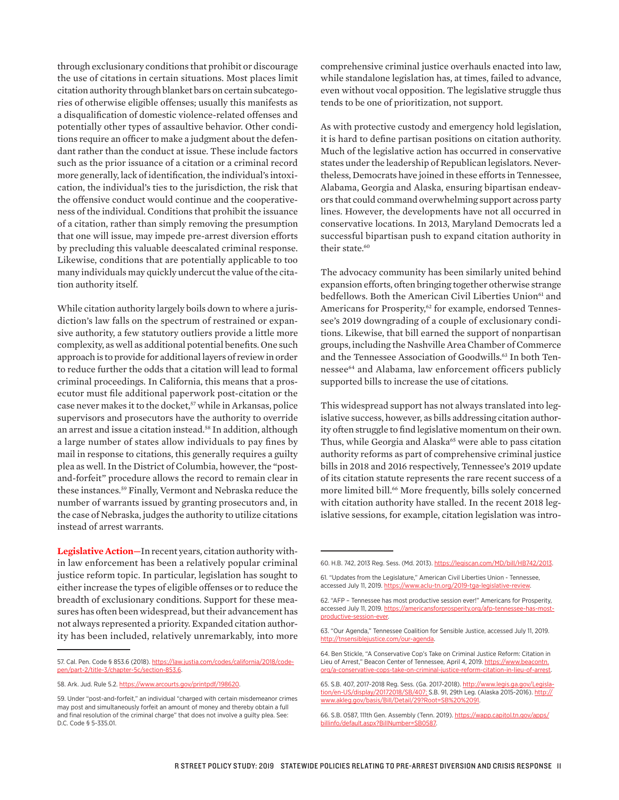through exclusionary conditions that prohibit or discourage the use of citations in certain situations. Most places limit citation authority through blanket bars on certain subcategories of otherwise eligible offenses; usually this manifests as a disqualification of domestic violence-related offenses and potentially other types of assaultive behavior. Other conditions require an officer to make a judgment about the defendant rather than the conduct at issue. These include factors such as the prior issuance of a citation or a criminal record more generally, lack of identification, the individual's intoxication, the individual's ties to the jurisdiction, the risk that the offensive conduct would continue and the cooperativeness of the individual. Conditions that prohibit the issuance of a citation, rather than simply removing the presumption that one will issue, may impede pre-arrest diversion efforts by precluding this valuable deescalated criminal response. Likewise, conditions that are potentially applicable to too many individuals may quickly undercut the value of the citation authority itself.

While citation authority largely boils down to where a jurisdiction's law falls on the spectrum of restrained or expansive authority, a few statutory outliers provide a little more complexity, as well as additional potential benefits. One such approach is to provide for additional layers of review in order to reduce further the odds that a citation will lead to formal criminal proceedings. In California, this means that a prosecutor must file additional paperwork post-citation or the case never makes it to the docket,<sup>57</sup> while in Arkansas, police supervisors and prosecutors have the authority to override an arrest and issue a citation instead.<sup>58</sup> In addition, although a large number of states allow individuals to pay fines by mail in response to citations, this generally requires a guilty plea as well. In the District of Columbia, however, the "postand-forfeit" procedure allows the record to remain clear in these instances.59 Finally, Vermont and Nebraska reduce the number of warrants issued by granting prosecutors and, in the case of Nebraska, judges the authority to utilize citations instead of arrest warrants.

**Legislative Action—**In recent years, citation authority within law enforcement has been a relatively popular criminal justice reform topic. In particular, legislation has sought to either increase the types of eligible offenses or to reduce the breadth of exclusionary conditions. Support for these measures has often been widespread, but their advancement has not always represented a priority. Expanded citation authority has been included, relatively unremarkably, into more

comprehensive criminal justice overhauls enacted into law, while standalone legislation has, at times, failed to advance, even without vocal opposition. The legislative struggle thus tends to be one of prioritization, not support.

As with protective custody and emergency hold legislation, it is hard to define partisan positions on citation authority. Much of the legislative action has occurred in conservative states under the leadership of Republican legislators. Nevertheless, Democrats have joined in these efforts in Tennessee, Alabama, Georgia and Alaska, ensuring bipartisan endeavors that could command overwhelming support across party lines. However, the developments have not all occurred in conservative locations. In 2013, Maryland Democrats led a successful bipartisan push to expand citation authority in their state.<sup>60</sup>

The advocacy community has been similarly united behind expansion efforts, often bringing together otherwise strange bedfellows. Both the American Civil Liberties Union<sup>61</sup> and Americans for Prosperity,<sup>62</sup> for example, endorsed Tennessee's 2019 downgrading of a couple of exclusionary conditions. Likewise, that bill earned the support of nonpartisan groups, including the Nashville Area Chamber of Commerce and the Tennessee Association of Goodwills.<sup>63</sup> In both Tennessee64 and Alabama, law enforcement officers publicly supported bills to increase the use of citations.

This widespread support has not always translated into legislative success, however, as bills addressing citation authority often struggle to find legislative momentum on their own. Thus, while Georgia and Alaska<sup>65</sup> were able to pass citation authority reforms as part of comprehensive criminal justice bills in 2018 and 2016 respectively, Tennessee's 2019 update of its citation statute represents the rare recent success of a more limited bill.<sup>66</sup> More frequently, bills solely concerned with citation authority have stalled. In the recent 2018 legislative sessions, for example, citation legislation was intro-

<sup>57.</sup> Cal. Pen. Code § 853.6 (2018). [https://law.justia.com/codes/california/2018/code](https://law.justia.com/codes/california/2018/code-pen/part-2/title-3/chapter-5c/section-853.6/)[pen/part-2/title-3/chapter-5c/section-853.6](https://law.justia.com/codes/california/2018/code-pen/part-2/title-3/chapter-5c/section-853.6/).

<sup>58.</sup> Ark. Jud. Rule 5.2. [https://www.arcourts.gov/printpdf/198620.](https://www.arcourts.gov/printpdf/198620)

<sup>59.</sup> Under "post-and-forfeit," an individual "charged with certain misdemeanor crimes may post and simultaneously forfeit an amount of money and thereby obtain a full and final resolution of the criminal charge" that does not involve a guilty plea. See: D.C. Code § 5-335.01.

<sup>60.</sup> H.B. 742, 2013 Reg. Sess. (Md. 2013). <https://legiscan.com/MD/bill/HB742/2013>.

<sup>61. &</sup>quot;Updates from the Legislature," American Civil Liberties Union - Tennessee, accessed July 11, 2019. https://www.aclu-tn.org/2019-tga-legis

<sup>62. &</sup>quot;AFP – Tennessee has most productive session ever!" Americans for Prosperity, accessed July 11, 2019. [https://americansforprosperity.org/afp-tennessee-has-most](https://americansforprosperity.org/afp-tennessee-has-most-productive-session-ever/)[productive-session-ever.](https://americansforprosperity.org/afp-tennessee-has-most-productive-session-ever/)

<sup>63. &</sup>quot;Our Agenda," Tennessee Coalition for Sensible Justice, accessed July 11, 2019. ustice.com/our

<sup>64.</sup> Ben Stickle, "A Conservative Cop's Take on Criminal Justice Reform: Citation in Lieu of Arrest," Beacon Center of Tennessee, April 4, 2019. [https://www.beacontn.](https://www.beacontn.org/a-conservative-cops-take-on-criminal-justice-reform-citation-in-lieu-of-arrest/) [org/a-conservative-cops-take-on-criminal-justice-reform-citation-in-lieu-of-arrest.](https://www.beacontn.org/a-conservative-cops-take-on-criminal-justice-reform-citation-in-lieu-of-arrest/)

<sup>65.</sup> S.B. 407, 2017-2018 Reg. Sess. (Ga. 2017-2018). [http://www.legis.ga.gov/Legisla](http://www.legis.ga.gov/Legislation/en-US/display/20172018/SB/407)[tion/en-US/display/20172018/SB/407](http://www.legis.ga.gov/Legislation/en-US/display/20172018/SB/407); S.B. 91, 29th Leg. (Alaska 2015-2016). [http://](http://www.akleg.gov/basis/Bill/Detail/29?Root=SB%20%2091) [www.akleg.gov/basis/Bill/Detail/29?Root=SB%20%2091](http://www.akleg.gov/basis/Bill/Detail/29?Root=SB%20%2091).

<sup>66.</sup> S.B. 0587, 111th Gen. Assembly (Tenn. 2019). [https://wapp.capitol.tn.gov/apps/](https://wapp.capitol.tn.gov/apps/billinfo/default.aspx?BillNumber=SB0587) [billinfo/default.aspx?BillNumber=SB0587](https://wapp.capitol.tn.gov/apps/billinfo/default.aspx?BillNumber=SB0587).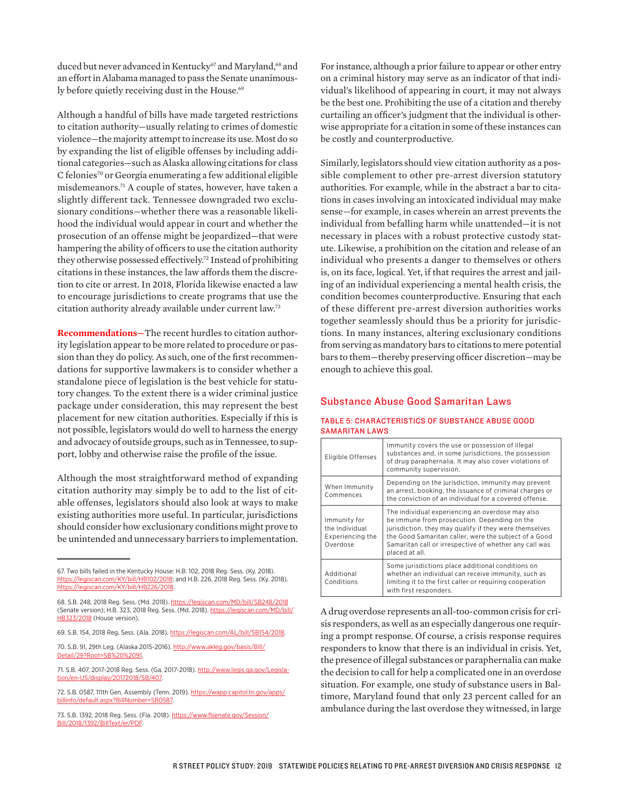duced but never advanced in Kentucky<sup>67</sup> and Maryland,<sup>68</sup> and an effort in Alabama managed to pass the Senate unanimously before quietly receiving dust in the House.<sup>69</sup>

Although a handful of bills have made targeted restrictions to citation authority—usually relating to crimes of domestic violence—the majority attempt to increase its use. Most do so by expanding the list of eligible offenses by including additional categories—such as Alaska allowing citations for class C felonies<sup>70</sup> or Georgia enumerating a few additional eligible misdemeanors.71 A couple of states, however, have taken a slightly different tack. Tennessee downgraded two exclusionary conditions—whether there was a reasonable likelihood the individual would appear in court and whether the prosecution of an offense might be jeopardized—that were hampering the ability of officers to use the citation authority they otherwise possessed effectively.72 Instead of prohibiting citations in these instances, the law affords them the discretion to cite or arrest. In 2018, Florida likewise enacted a law to encourage jurisdictions to create programs that use the citation authority already available under current law.73

**Recommendations—**The recent hurdles to citation authority legislation appear to be more related to procedure or passion than they do policy. As such, one of the first recommendations for supportive lawmakers is to consider whether a standalone piece of legislation is the best vehicle for statutory changes. To the extent there is a wider criminal justice package under consideration, this may represent the best placement for new citation authorities. Especially if this is not possible, legislators would do well to harness the energy and advocacy of outside groups, such as in Tennessee, to support, lobby and otherwise raise the profile of the issue.

Although the most straightforward method of expanding citation authority may simply be to add to the list of citable offenses, legislators should also look at ways to make existing authorities more useful. In particular, jurisdictions should consider how exclusionary conditions might prove to be unintended and unnecessary barriers to implementation.

69. S.B. 154, 2018 Reg. Sess. (Ala. 2018).<https://legiscan.com/AL/bill/SB154/2018>.

For instance, although a prior failure to appear or other entry on a criminal history may serve as an indicator of that individual's likelihood of appearing in court, it may not always be the best one. Prohibiting the use of a citation and thereby curtailing an officer's judgment that the individual is otherwise appropriate for a citation in some of these instances can be costly and counterproductive.

Similarly, legislators should view citation authority as a possible complement to other pre-arrest diversion statutory authorities. For example, while in the abstract a bar to citations in cases involving an intoxicated individual may make sense—for example, in cases wherein an arrest prevents the individual from befalling harm while unattended—it is not necessary in places with a robust protective custody statute. Likewise, a prohibition on the citation and release of an individual who presents a danger to themselves or others is, on its face, logical. Yet, if that requires the arrest and jailing of an individual experiencing a mental health crisis, the condition becomes counterproductive. Ensuring that each of these different pre-arrest diversion authorities works together seamlessly should thus be a priority for jurisdictions. In many instances, altering exclusionary conditions from serving as mandatory bars to citations to mere potential bars to them—thereby preserving officer discretion—may be enough to achieve this goal.

### Substance Abuse Good Samaritan Laws

#### TABLE 5: CHARACTERISTICS OF SUBSTANCE ABUSE GOOD SAMARITAN LAWS

| Eligible Offenses                                              | Immunity covers the use or possession of illegal<br>substances and, in some jurisdictions, the possession<br>of drug paraphernalia. It may also cover violations of<br>community supervision.                                                                                                   |
|----------------------------------------------------------------|-------------------------------------------------------------------------------------------------------------------------------------------------------------------------------------------------------------------------------------------------------------------------------------------------|
| When Immunity<br>Commences                                     | Depending on the jurisdiction, immunity may prevent<br>an arrest, booking, the issuance of criminal charges or<br>the conviction of an individual for a covered offense.                                                                                                                        |
| Immunity for<br>the Individual<br>Experiencing the<br>Overdose | The individual experiencing an overdose may also<br>be immune from prosecution. Depending on the<br>jurisdiction, they may qualify if they were themselves<br>the Good Samaritan caller, were the subject of a Good<br>Samaritan call or irrespective of whether any call was<br>placed at all. |
| Additional<br>Conditions                                       | Some jurisdictions place additional conditions on<br>whether an individual can receive immunity, such as<br>limiting it to the first caller or requiring cooperation<br>with first responders.                                                                                                  |

A drug overdose represents an all-too-common crisis for crisis responders, as well as an especially dangerous one requiring a prompt response. Of course, a crisis response requires responders to know that there is an individual in crisis. Yet, the presence of illegal substances or paraphernalia can make the decision to call for help a complicated one in an overdose situation. For example, one study of substance users in Baltimore, Maryland found that only 23 percent called for an ambulance during the last overdose they witnessed, in large

<sup>67.</sup> Two bills failed in the Kentucky House: H.B. 102, 2018 Reg. Sess. (Ky. 2018). [https://legiscan.com/KY/bill/HB102/2018;](https://legiscan.com/KY/bill/HB102/2018) and H.B. 226, 2018 Reg. Sess. (Ky. 2018). [https://legiscan.com/KY/bill/HB226/2018.](https://legiscan.com/KY/bill/HB226/2018)

<sup>68.</sup> S.B. 248, 2018 Reg. Sess. (Md. 2018).<https://legiscan.com/MD/bill/SB248/2018> (Senate version); H.B. 323, 2018 Reg. Sess. (Md. 2018). [https://legiscan.com/MD/bill/](https://legiscan.com/MD/bill/HB323/2018) [HB323/2018](https://legiscan.com/MD/bill/HB323/2018) (House version).

<sup>70.</sup> S.B. 91, 29th Leg. (Alaska 2015-2016). [http://www.akleg.gov/basis/Bill/](http://www.akleg.gov/basis/Bill/Detail/29?Root=SB%20%2091) [Detail/29?Root=SB%20%2091](http://www.akleg.gov/basis/Bill/Detail/29?Root=SB%20%2091).

<sup>71.</sup> S.B. 407, 2017-2018 Reg. Sess. (Ga. 2017-2018). [http://www.legis.ga.gov/Legisla](http://www.legis.ga.gov/Legislation/en-US/display/20172018/SB/407)[tion/en-US/display/20172018/SB/407.](http://www.legis.ga.gov/Legislation/en-US/display/20172018/SB/407)

<sup>72.</sup> S.B. 0587, 111th Gen. Assembly (Tenn. 2019). [https://wapp.capitol.tn.gov/apps/](https://wapp.capitol.tn.gov/apps/billinfo/default.aspx?BillNumber=SB0587) [billinfo/default.aspx?BillNumber=SB0587.](https://wapp.capitol.tn.gov/apps/billinfo/default.aspx?BillNumber=SB0587)

<sup>73.</sup> S.B. 1392, 2018 Reg. Sess. (Fla. 2018). [https://www.flsenate.gov/Session/](https://www.flsenate.gov/Session/Bill/2018/1392/BillText/er/PDF) [Bill/2018/1392/BillText/er/PDF.](https://www.flsenate.gov/Session/Bill/2018/1392/BillText/er/PDF)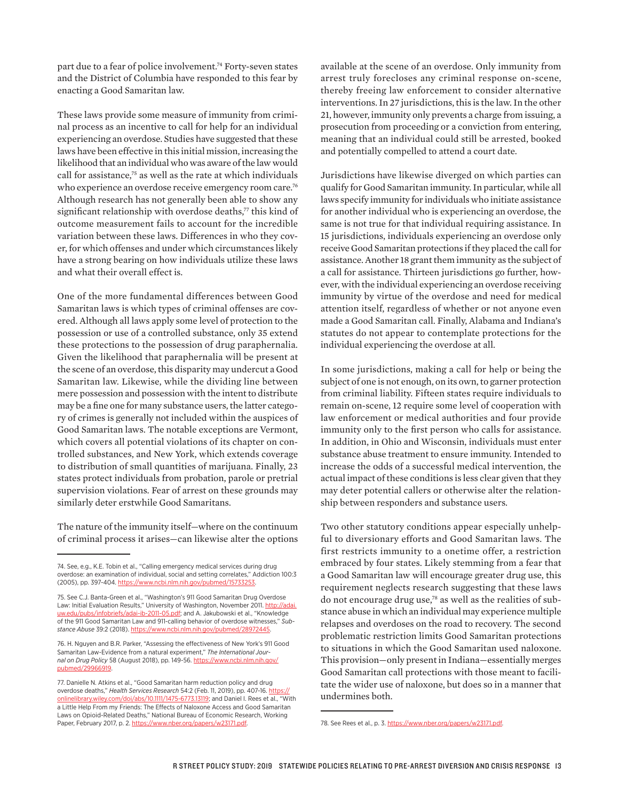part due to a fear of police involvement.<sup>74</sup> Forty-seven states and the District of Columbia have responded to this fear by enacting a Good Samaritan law.

These laws provide some measure of immunity from criminal process as an incentive to call for help for an individual experiencing an overdose. Studies have suggested that these laws have been effective in this initial mission, increasing the likelihood that an individual who was aware of the law would call for assistance,<sup>75</sup> as well as the rate at which individuals who experience an overdose receive emergency room care.<sup>76</sup> Although research has not generally been able to show any significant relationship with overdose deaths,<sup>77</sup> this kind of outcome measurement fails to account for the incredible variation between these laws. Differences in who they cover, for which offenses and under which circumstances likely have a strong bearing on how individuals utilize these laws and what their overall effect is.

One of the more fundamental differences between Good Samaritan laws is which types of criminal offenses are covered. Although all laws apply some level of protection to the possession or use of a controlled substance, only 35 extend these protections to the possession of drug paraphernalia. Given the likelihood that paraphernalia will be present at the scene of an overdose, this disparity may undercut a Good Samaritan law. Likewise, while the dividing line between mere possession and possession with the intent to distribute may be a fine one for many substance users, the latter category of crimes is generally not included within the auspices of Good Samaritan laws. The notable exceptions are Vermont, which covers all potential violations of its chapter on controlled substances, and New York, which extends coverage to distribution of small quantities of marijuana. Finally, 23 states protect individuals from probation, parole or pretrial supervision violations. Fear of arrest on these grounds may similarly deter erstwhile Good Samaritans.

The nature of the immunity itself—where on the continuum of criminal process it arises—can likewise alter the options

available at the scene of an overdose. Only immunity from arrest truly forecloses any criminal response on-scene, thereby freeing law enforcement to consider alternative interventions. In 27 jurisdictions, this is the law. In the other 21, however, immunity only prevents a charge from issuing, a prosecution from proceeding or a conviction from entering, meaning that an individual could still be arrested, booked and potentially compelled to attend a court date.

Jurisdictions have likewise diverged on which parties can qualify for Good Samaritan immunity. In particular, while all laws specify immunity for individuals who initiate assistance for another individual who is experiencing an overdose, the same is not true for that individual requiring assistance. In 15 jurisdictions, individuals experiencing an overdose only receive Good Samaritan protections if they placed the call for assistance. Another 18 grant them immunity as the subject of a call for assistance. Thirteen jurisdictions go further, however, with the individual experiencing an overdose receiving immunity by virtue of the overdose and need for medical attention itself, regardless of whether or not anyone even made a Good Samaritan call. Finally, Alabama and Indiana's statutes do not appear to contemplate protections for the individual experiencing the overdose at all.

In some jurisdictions, making a call for help or being the subject of one is not enough, on its own, to garner protection from criminal liability. Fifteen states require individuals to remain on-scene, 12 require some level of cooperation with law enforcement or medical authorities and four provide immunity only to the first person who calls for assistance. In addition, in Ohio and Wisconsin, individuals must enter substance abuse treatment to ensure immunity. Intended to increase the odds of a successful medical intervention, the actual impact of these conditions is less clear given that they may deter potential callers or otherwise alter the relationship between responders and substance users.

Two other statutory conditions appear especially unhelpful to diversionary efforts and Good Samaritan laws. The first restricts immunity to a onetime offer, a restriction embraced by four states. Likely stemming from a fear that a Good Samaritan law will encourage greater drug use, this requirement neglects research suggesting that these laws do not encourage drug use,78 as well as the realities of substance abuse in which an individual may experience multiple relapses and overdoses on the road to recovery. The second problematic restriction limits Good Samaritan protections to situations in which the Good Samaritan used naloxone. This provision—only present in Indiana—essentially merges Good Samaritan call protections with those meant to facilitate the wider use of naloxone, but does so in a manner that undermines both.

<sup>74.</sup> See, e.g., K.E. Tobin et al., "Calling emergency medical services during drug overdose: an examination of individual, social and setting correlates," Addiction 100:3 (2005), pp. 397-404. <https://www.ncbi.nlm.nih.gov/pubmed/15733253>.

<sup>75.</sup> See C.J. Banta-Green et al., "Washington's 911 Good Samaritan Drug Overdose Law: Initial Evaluation Results," University of Washington, November 2011. [http://adai.](http://adai.uw.edu/pubs/infobriefs/adai-ib-2011-05.pdf) [uw.edu/pubs/infobriefs/adai-ib-2011-05.pdf](http://adai.uw.edu/pubs/infobriefs/adai-ib-2011-05.pdf); and A. Jakubowski et al., "Knowledge of the 911 Good Samaritan Law and 911-calling behavior of overdose witnesses," *Substance Abuse* 39:2 (2018). <https://www.ncbi.nlm.nih.gov/pubmed/28972445>.

<sup>76.</sup> H. Nguyen and B.R. Parker, "Assessing the effectiveness of New York's 911 Good Samaritan Law-Evidence from a natural experiment," *The International Journal on Drug Policy* 58 (August 2018), pp. 149-56. [https://www.ncbi.nlm.nih.gov/](https://www.ncbi.nlm.nih.gov/pubmed/29966919) [pubmed/29966919](https://www.ncbi.nlm.nih.gov/pubmed/29966919).

<sup>77.</sup> Danielle N. Atkins et al., "Good Samaritan harm reduction policy and drug overdose deaths," *Health Services Research* 54:2 (Feb. 11, 2019), pp. 407-16. [https://](https://onlinelibrary.wiley.com/doi/abs/10.1111/1475-6773.13119) [onlinelibrary.wiley.com/doi/abs/10.1111/1475-6773.13119;](https://onlinelibrary.wiley.com/doi/abs/10.1111/1475-6773.13119) and Daniel I. Rees et al., "With a Little Help From my Friends: The Effects of Naloxone Access and Good Samaritan Laws on Opioid-Related Deaths," National Bureau of Economic Research, Working Paper, February 2017, p. 2. [https://www.nber.org/papers/w23171.pdf.](https://www.nber.org/papers/w23171.pdf)

<sup>78.</sup> See Rees et al., p. 3. [https://www.nber.org/papers/w23171.pdf.](https://www.nber.org/papers/w23171.pdf)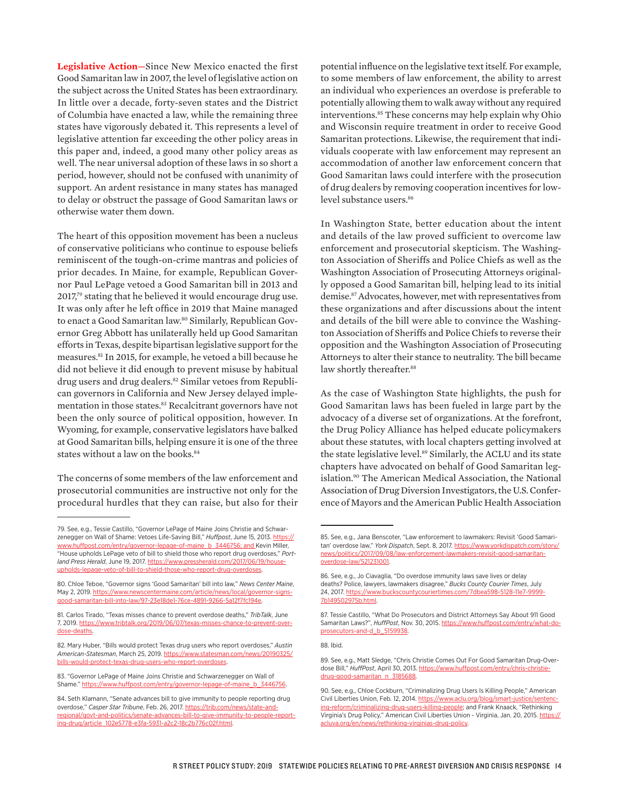**Legislative Action—**Since New Mexico enacted the first Good Samaritan law in 2007, the level of legislative action on the subject across the United States has been extraordinary. In little over a decade, forty-seven states and the District of Columbia have enacted a law, while the remaining three states have vigorously debated it. This represents a level of legislative attention far exceeding the other policy areas in this paper and, indeed, a good many other policy areas as well. The near universal adoption of these laws in so short a period, however, should not be confused with unanimity of support. An ardent resistance in many states has managed to delay or obstruct the passage of Good Samaritan laws or otherwise water them down.

The heart of this opposition movement has been a nucleus of conservative politicians who continue to espouse beliefs reminiscent of the tough-on-crime mantras and policies of prior decades. In Maine, for example, Republican Governor Paul LePage vetoed a Good Samaritan bill in 2013 and 2017,<sup>79</sup> stating that he believed it would encourage drug use. It was only after he left office in 2019 that Maine managed to enact a Good Samaritan law.80 Similarly, Republican Governor Greg Abbott has unilaterally held up Good Samaritan efforts in Texas, despite bipartisan legislative support for the measures.81 In 2015, for example, he vetoed a bill because he did not believe it did enough to prevent misuse by habitual drug users and drug dealers.<sup>82</sup> Similar vetoes from Republican governors in California and New Jersey delayed implementation in those states.<sup>83</sup> Recalcitrant governors have not been the only source of political opposition, however. In Wyoming, for example, conservative legislators have balked at Good Samaritan bills, helping ensure it is one of the three states without a law on the books.<sup>84</sup>

The concerns of some members of the law enforcement and prosecutorial communities are instructive not only for the procedural hurdles that they can raise, but also for their

potential influence on the legislative text itself. For example, to some members of law enforcement, the ability to arrest an individual who experiences an overdose is preferable to potentially allowing them to walk away without any required interventions.<sup>85</sup> These concerns may help explain why Ohio and Wisconsin require treatment in order to receive Good Samaritan protections. Likewise, the requirement that individuals cooperate with law enforcement may represent an accommodation of another law enforcement concern that Good Samaritan laws could interfere with the prosecution of drug dealers by removing cooperation incentives for lowlevel substance users.<sup>86</sup>

In Washington State, better education about the intent and details of the law proved sufficient to overcome law enforcement and prosecutorial skepticism. The Washington Association of Sheriffs and Police Chiefs as well as the Washington Association of Prosecuting Attorneys originally opposed a Good Samaritan bill, helping lead to its initial demise.87 Advocates, however, met with representatives from these organizations and after discussions about the intent and details of the bill were able to convince the Washington Association of Sheriffs and Police Chiefs to reverse their opposition and the Washington Association of Prosecuting Attorneys to alter their stance to neutrality. The bill became law shortly thereafter.<sup>88</sup>

As the case of Washington State highlights, the push for Good Samaritan laws has been fueled in large part by the advocacy of a diverse set of organizations. At the forefront, the Drug Policy Alliance has helped educate policymakers about these statutes, with local chapters getting involved at the state legislative level.<sup>89</sup> Similarly, the ACLU and its state chapters have advocated on behalf of Good Samaritan legislation.90 The American Medical Association, the National Association of Drug Diversion Investigators, the U.S. Conference of Mayors and the American Public Health Association

88. Ibid.

<sup>79.</sup> See, e.g., Tessie Castillo, "Governor LePage of Maine Joins Christie and Schwarzenegger on Wall of Shame: Vetoes Life-Saving Bill," *Huffpost*, June 15, 2013. [https://](https://www.huffpost.com/entry/governor-lepage-of-maine_b_3446756) [www.huffpost.com/entry/governor-lepage-of-maine\\_b\\_3446756;](https://www.huffpost.com/entry/governor-lepage-of-maine_b_3446756) and Kevin Miller, "House upholds LePage veto of bill to shield those who report drug overdoses," *Portland Press Herald*, June 19, 2017. [https://www.pressherald.com/2017/06/19/house](https://www.pressherald.com/2017/06/19/house-upholds-lepage-veto-of-bill-to-shield-those-who-report-drug-overdoses/)[upholds-lepage-veto-of-bill-to-shield-those-who-report-drug-overdoses.](https://www.pressherald.com/2017/06/19/house-upholds-lepage-veto-of-bill-to-shield-those-who-report-drug-overdoses/)

<sup>80.</sup> Chloe Teboe, "Governor signs 'Good Samaritan' bill into law," *News Center Maine*, May 2, 2019. [https://www.newscentermaine.com/article/news/local/governor-signs](https://www.newscentermaine.com/article/news/local/governor-signs-good-samaritan-bill-into-law/97-23e18de1-76ce-4891-9266-5a12f7fc194e)[good-samaritan-bill-into-law/97-23e18de1-76ce-4891-9266-5a12f7fc194e](https://www.newscentermaine.com/article/news/local/governor-signs-good-samaritan-bill-into-law/97-23e18de1-76ce-4891-9266-5a12f7fc194e).

<sup>81.</sup> Carlos Tirado, "Texas misses chance to prevent overdose deaths," *TribTalk*, June 7, 2019. [https://www.tribtalk.org/2019/06/07/texas-misses-chance-to-prevent-over](https://www.tribtalk.org/2019/06/07/texas-misses-chance-to-prevent-overdose-deaths/)[dose-deaths](https://www.tribtalk.org/2019/06/07/texas-misses-chance-to-prevent-overdose-deaths/).

<sup>82.</sup> Mary Huber, "Bills would protect Texas drug users who report overdoses," *Austin American-Statesman*, March 25, 2019. [https://www.statesman.com/news/20190325/](https://www.statesman.com/news/20190325/bills-would-protect-texas-drug-users-who-report-overdoses) [bills-would-protect-texas-drug-users-who-report-overdoses](https://www.statesman.com/news/20190325/bills-would-protect-texas-drug-users-who-report-overdoses).

<sup>83. &</sup>quot;Governor LePage of Maine Joins Christie and Schwarzenegger on Wall of Shame." [https://www.huffpost.com/entry/governor-lepage-of-maine\\_b\\_3446756.](https://www.huffpost.com/entry/governor-lepage-of-maine_b_3446756)

<sup>84.</sup> Seth Klamann, "Senate advances bill to give immunity to people reporting drug overdose," *Casper Star Tribune*, Feb. 26, 2017. [https://trib.com/news/state-and](https://trib.com/news/state-and-regional/govt-and-politics/senate-advances-bill-to-give-immunity-to-people-reporting-drug/article_102e5778-e3fa-5931-a2c2-18c2b776c02f.html)[regional/govt-and-politics/senate-advances-bill-to-give-immunity-to-people-report](https://trib.com/news/state-and-regional/govt-and-politics/senate-advances-bill-to-give-immunity-to-people-reporting-drug/article_102e5778-e3fa-5931-a2c2-18c2b776c02f.html)[ing-drug/article\\_102e5778-e3fa-5931-a2c2-18c2b776c02f.html.](https://trib.com/news/state-and-regional/govt-and-politics/senate-advances-bill-to-give-immunity-to-people-reporting-drug/article_102e5778-e3fa-5931-a2c2-18c2b776c02f.html)

<sup>85.</sup> See, e.g., Jana Benscoter, "Law enforcement to Jawmakers: Revisit 'Good Samaritan' overdose law," *York Dispatch*, Sept. 8, 2017. [https://www.yorkdispatch.com/story/](https://www.yorkdispatch.com/story/news/politics/2017/09/08/law-enforcement-lawmakers-revisit-good-samaritan-overdose-law/521231001/) [news/politics/2017/09/08/law-enforcement-lawmakers-revisit-good-samaritan](https://www.yorkdispatch.com/story/news/politics/2017/09/08/law-enforcement-lawmakers-revisit-good-samaritan-overdose-law/521231001/)[overdose-law/521231001.](https://www.yorkdispatch.com/story/news/politics/2017/09/08/law-enforcement-lawmakers-revisit-good-samaritan-overdose-law/521231001/)

<sup>86.</sup> See, e.g., Jo Ciavaglia, "Do overdose immunity laws save lives or delay deaths? Police, lawyers, lawmakers disagree," *Bucks County Courier Times*, July 24, 2017. [https://www.buckscountycouriertimes.com/7dbea598-5128-11e7-9999-](https://www.buckscountycouriertimes.com/7dbea598-5128-11e7-9999-7b149502975b.html) [7b149502975b.html](https://www.buckscountycouriertimes.com/7dbea598-5128-11e7-9999-7b149502975b.html).

<sup>87.</sup> Tessie Castillo, "What Do Prosecutors and District Attorneys Say About 911 Good Samaritan Laws?", *HuffPost*, Nov. 30, 2015. [https://www.huffpost.com/entry/what-do](https://www.huffpost.com/entry/what-do-prosecutors-and-d_b_5159938)[prosecutors-and-d\\_b\\_5159938](https://www.huffpost.com/entry/what-do-prosecutors-and-d_b_5159938)

<sup>89.</sup> See, e.g., Matt Sledge, "Chris Christie Comes Out For Good Samaritan Drug-Overdose Bill," *HuffPost*, April 30, 2013. [https://www.huffpost.com/entry/chris-christie](https://www.huffpost.com/entry/chris-christie-drug-good-samaritan_n_3185688)[drug-good-samaritan\\_n\\_3185688](https://www.huffpost.com/entry/chris-christie-drug-good-samaritan_n_3185688).

<sup>90.</sup> See, e.g., Chloe Cockburn, "Criminalizing Drug Users Is Killing People," American Civil Liberties Union, Feb. 12, 2014. [https://www.aclu.org/blog/smart-justice/sentenc](https://www.aclu.org/blog/smart-justice/sentencing-reform/criminalizing-drug-users-killing-people)[ing-reform/criminalizing-drug-users-killing-people](https://www.aclu.org/blog/smart-justice/sentencing-reform/criminalizing-drug-users-killing-people); and Frank Knaack, "Rethinking Virginia's Drug Policy," American Civil Liberties Union - Virginia, Jan. 20, 2015. [https://](https://acluva.org/en/news/rethinking-virginias-drug-policy) [acluva.org/en/news/rethinking-virginias-drug-policy](https://acluva.org/en/news/rethinking-virginias-drug-policy).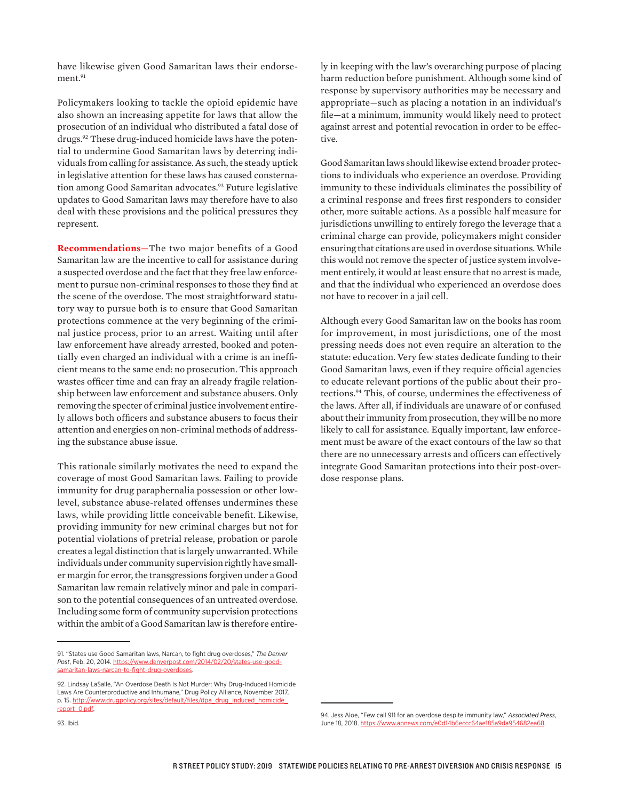have likewise given Good Samaritan laws their endorsement.<sup>91</sup>

Policymakers looking to tackle the opioid epidemic have also shown an increasing appetite for laws that allow the prosecution of an individual who distributed a fatal dose of drugs.<sup>92</sup> These drug-induced homicide laws have the potential to undermine Good Samaritan laws by deterring individuals from calling for assistance. As such, the steady uptick in legislative attention for these laws has caused consternation among Good Samaritan advocates.<sup>93</sup> Future legislative updates to Good Samaritan laws may therefore have to also deal with these provisions and the political pressures they represent.

**Recommendations—**The two major benefits of a Good Samaritan law are the incentive to call for assistance during a suspected overdose and the fact that they free law enforcement to pursue non-criminal responses to those they find at the scene of the overdose. The most straightforward statutory way to pursue both is to ensure that Good Samaritan protections commence at the very beginning of the criminal justice process, prior to an arrest. Waiting until after law enforcement have already arrested, booked and potentially even charged an individual with a crime is an inefficient means to the same end: no prosecution. This approach wastes officer time and can fray an already fragile relationship between law enforcement and substance abusers. Only removing the specter of criminal justice involvement entirely allows both officers and substance abusers to focus their attention and energies on non-criminal methods of addressing the substance abuse issue.

This rationale similarly motivates the need to expand the coverage of most Good Samaritan laws. Failing to provide immunity for drug paraphernalia possession or other lowlevel, substance abuse-related offenses undermines these laws, while providing little conceivable benefit. Likewise, providing immunity for new criminal charges but not for potential violations of pretrial release, probation or parole creates a legal distinction that is largely unwarranted. While individuals under community supervision rightly have smaller margin for error, the transgressions forgiven under a Good Samaritan law remain relatively minor and pale in comparison to the potential consequences of an untreated overdose. Including some form of community supervision protections within the ambit of a Good Samaritan law is therefore entire-

ly in keeping with the law's overarching purpose of placing harm reduction before punishment. Although some kind of response by supervisory authorities may be necessary and appropriate—such as placing a notation in an individual's file—at a minimum, immunity would likely need to protect against arrest and potential revocation in order to be effective.

Good Samaritan laws should likewise extend broader protections to individuals who experience an overdose. Providing immunity to these individuals eliminates the possibility of a criminal response and frees first responders to consider other, more suitable actions. As a possible half measure for jurisdictions unwilling to entirely forego the leverage that a criminal charge can provide, policymakers might consider ensuring that citations are used in overdose situations. While this would not remove the specter of justice system involvement entirely, it would at least ensure that no arrest is made, and that the individual who experienced an overdose does not have to recover in a jail cell.

Although every Good Samaritan law on the books has room for improvement, in most jurisdictions, one of the most pressing needs does not even require an alteration to the statute: education. Very few states dedicate funding to their Good Samaritan laws, even if they require official agencies to educate relevant portions of the public about their protections.94 This, of course, undermines the effectiveness of the laws. After all, if individuals are unaware of or confused about their immunity from prosecution, they will be no more likely to call for assistance. Equally important, law enforcement must be aware of the exact contours of the law so that there are no unnecessary arrests and officers can effectively integrate Good Samaritan protections into their post-overdose response plans.

<sup>91. &</sup>quot;States use Good Samaritan laws, Narcan, to fight drug overdoses," *The Denver Post*, Feb. 20, 2014. [https://www.denverpost.com/2014/02/20/states-use-good](https://www.denverpost.com/2014/02/20/states-use-good-samaritan-laws-narcan-to-fight-drug-overdoses)[samaritan-laws-narcan-to-fight-drug-overdoses.](https://www.denverpost.com/2014/02/20/states-use-good-samaritan-laws-narcan-to-fight-drug-overdoses)

<sup>92.</sup> Lindsay LaSalle, "An Overdose Death Is Not Murder: Why Drug-Induced Homicide Laws Are Counterproductive and Inhumane," Drug Policy Alliance, November 2017, p. 15. [http://www.drugpolicy.org/sites/default/files/dpa\\_drug\\_induced\\_homicide\\_](http://www.drugpolicy.org/sites/default/files/dpa_drug_induced_homicide_report_0.pdf) [report\\_0.pdf](http://www.drugpolicy.org/sites/default/files/dpa_drug_induced_homicide_report_0.pdf).

<sup>94.</sup> Jess Aloe, "Few call 911 for an overdose despite immunity law," *Associated Press*, June 18, 2018. [https://www.apnews.com/e0d14b6eccc64ae185a9da954682ea68.](https://www.apnews.com/e0d14b6eccc64ae185a9da954682ea68)

<sup>93.</sup> Ibid.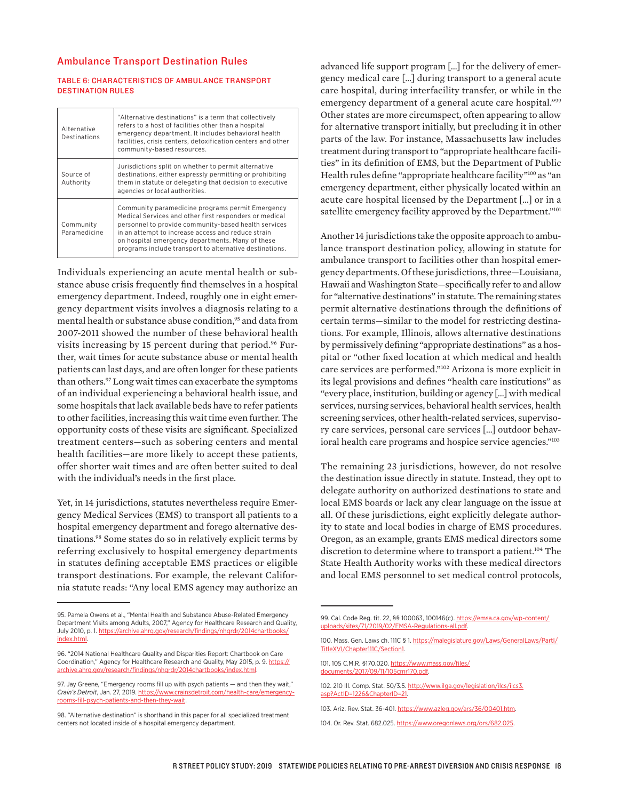### Ambulance Transport Destination Rules

#### TABLE 6: CHARACTERISTICS OF AMBULANCE TRANSPORT DESTINATION RULES

| Alternative<br>Destinations | "Alternative destinations" is a term that collectively<br>refers to a host of facilities other than a hospital<br>emergency department. It includes behavioral health<br>facilities, crisis centers, detoxification centers and other<br>community-based resources.                                                                     |
|-----------------------------|-----------------------------------------------------------------------------------------------------------------------------------------------------------------------------------------------------------------------------------------------------------------------------------------------------------------------------------------|
| Source of<br>Authority      | Jurisdictions split on whether to permit alternative<br>destinations, either expressly permitting or prohibiting<br>them in statute or delegating that decision to executive<br>agencies or local authorities.                                                                                                                          |
| Community<br>Paramedicine   | Community paramedicine programs permit Emergency<br>Medical Services and other first responders or medical<br>personnel to provide community-based health services<br>in an attempt to increase access and reduce strain<br>on hospital emergency departments. Many of these<br>programs include transport to alternative destinations. |

Individuals experiencing an acute mental health or substance abuse crisis frequently find themselves in a hospital emergency department. Indeed, roughly one in eight emergency department visits involves a diagnosis relating to a mental health or substance abuse condition,<sup>95</sup> and data from 2007-2011 showed the number of these behavioral health visits increasing by 15 percent during that period.<sup>96</sup> Further, wait times for acute substance abuse or mental health patients can last days, and are often longer for these patients than others.97 Long wait times can exacerbate the symptoms of an individual experiencing a behavioral health issue, and some hospitals that lack available beds have to refer patients to other facilities, increasing this wait time even further. The opportunity costs of these visits are significant. Specialized treatment centers—such as sobering centers and mental health facilities—are more likely to accept these patients, offer shorter wait times and are often better suited to deal with the individual's needs in the first place.

Yet, in 14 jurisdictions, statutes nevertheless require Emergency Medical Services (EMS) to transport all patients to a hospital emergency department and forego alternative destinations.98 Some states do so in relatively explicit terms by referring exclusively to hospital emergency departments in statutes defining acceptable EMS practices or eligible transport destinations. For example, the relevant California statute reads: "Any local EMS agency may authorize an

advanced life support program […] for the delivery of emergency medical care […] during transport to a general acute care hospital, during interfacility transfer, or while in the emergency department of a general acute care hospital."99 Other states are more circumspect, often appearing to allow for alternative transport initially, but precluding it in other parts of the law. For instance, Massachusetts law includes treatment during transport to "appropriate healthcare facilities" in its definition of EMS, but the Department of Public Health rules define "appropriate healthcare facility"<sup>100</sup> as "an emergency department, either physically located within an acute care hospital licensed by the Department […] or in a satellite emergency facility approved by the Department."<sup>101</sup>

Another 14 jurisdictions take the opposite approach to ambulance transport destination policy, allowing in statute for ambulance transport to facilities other than hospital emergency departments. Of these jurisdictions, three—Louisiana, Hawaii and Washington State—specifically refer to and allow for "alternative destinations" in statute. The remaining states permit alternative destinations through the definitions of certain terms—similar to the model for restricting destinations. For example, Illinois, allows alternative destinations by permissively defining "appropriate destinations" as a hospital or "other fixed location at which medical and health care services are performed."102 Arizona is more explicit in its legal provisions and defines "health care institutions" as "every place, institution, building or agency […] with medical services, nursing services, behavioral health services, health screening services, other health-related services, supervisory care services, personal care services […] outdoor behavioral health care programs and hospice service agencies."<sup>103</sup>

The remaining 23 jurisdictions, however, do not resolve the destination issue directly in statute. Instead, they opt to delegate authority on authorized destinations to state and local EMS boards or lack any clear language on the issue at all. Of these jurisdictions, eight explicitly delegate authority to state and local bodies in charge of EMS procedures. Oregon, as an example, grants EMS medical directors some discretion to determine where to transport a patient.<sup>104</sup> The State Health Authority works with these medical directors and local EMS personnel to set medical control protocols,

101. 105 C.M.R. §170.020. [https://www.mass.gov/files/](https://www.mass.gov/files/documents/2017/09/11/105cmr170.pdf) <u>ts</u><br>15cmr170.pdf

<sup>95.</sup> Pamela Owens et al., "Mental Health and Substance Abuse-Related Emergency Department Visits among Adults, 2007," Agency for Healthcare Research and Quality, July 2010, p. 1. [https://archive.ahrq.gov/research/findings/nhqrdr/2014chartbooks/](https://archive.ahrq.gov/research/findings/nhqrdr/2014chartbooks/index.html) [index.html.](https://archive.ahrq.gov/research/findings/nhqrdr/2014chartbooks/index.html)

<sup>96. &</sup>quot;2014 National Healthcare Quality and Disparities Report: Chartbook on Care Coordination," Agency for Healthcare Research and Quality, May 2015, p. 9. [https://](https://archive.ahrq.gov/research/findings/nhqrdr/2014chartbooks/index.html) archive.ahrg.gov/research/findings/nhqrdr/2014chartbooks/index.html

<sup>97.</sup> Jay Greene, "Emergency rooms fill up with psych patients — and then they wait," Crain's Detroit, Jan. 27, 2019. [https://www.crainsdetroit.com/health-care/emergency](https://www.crainsdetroit.com/health-care/emergency-rooms-fill-psych-patients-and-then-they-wait)[rooms-fill-psych-patients-and-then-they-wait](https://www.crainsdetroit.com/health-care/emergency-rooms-fill-psych-patients-and-then-they-wait).

<sup>98. &</sup>quot;Alternative destination" is shorthand in this paper for all specialized treatment centers not located inside of a hospital emergency department.

<sup>99.</sup> Cal. Code Reg. tit. 22, §§ 100063, 100146(c). [https://emsa.ca.gov/wp-content/](https://emsa.ca.gov/wp-content/uploads/sites/71/2019/02/EMSA-Regulations-all.pdf) [uploads/sites/71/2019/02/EMSA-Regulations-all.pdf.](https://emsa.ca.gov/wp-content/uploads/sites/71/2019/02/EMSA-Regulations-all.pdf)

<sup>100.</sup> Mass. Gen. Laws ch. 111C § 1. https://malegislature.gov/Laws/GeneralLaws/Partl/ [TitleXVI/Chapter111C/Section1.](https://malegislature.gov/Laws/GeneralLaws/PartI/TitleXVI/Chapter111C/Section1)

<sup>102. 210</sup> Ill. Comp. Stat. 50/3.5. [http://www.ilga.gov/legislation/ilcs/ilcs3.](http://www.ilga.gov/legislation/ilcs/ilcs3.asp?ActID=1226&ChapterID=21) [asp?ActID=1226&ChapterID=21.](http://www.ilga.gov/legislation/ilcs/ilcs3.asp?ActID=1226&ChapterID=21)

<sup>103.</sup> Ariz. Rev. Stat. 36-401. [https://www.azleg.gov/ars/36/00401.htm.](https://www.azleg.gov/ars/36/00401.htm)

<sup>104.</sup> Or. Rev. Stat. 682.025. [https://www.oregonlaws.org/ors/682.025.](https://www.oregonlaws.org/ors/682.025)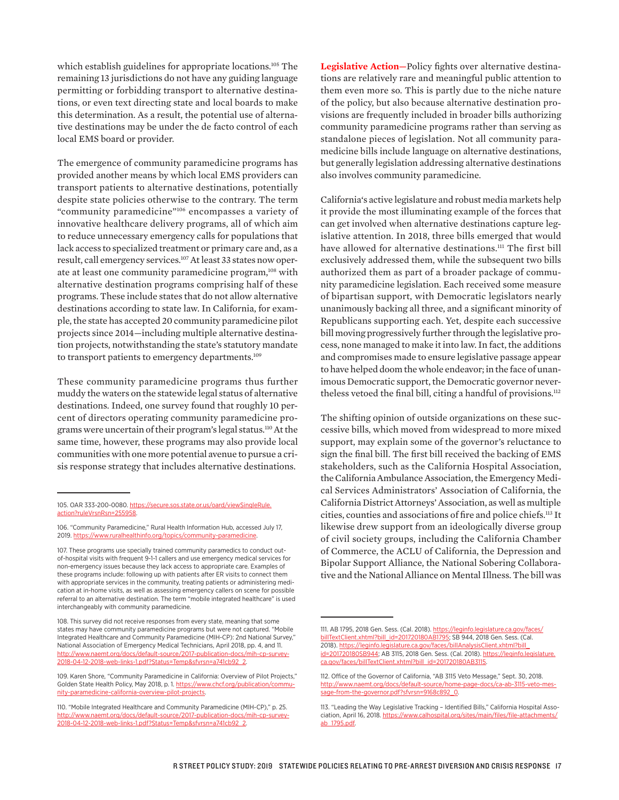which establish guidelines for appropriate locations.<sup>105</sup> The remaining 13 jurisdictions do not have any guiding language permitting or forbidding transport to alternative destinations, or even text directing state and local boards to make this determination. As a result, the potential use of alternative destinations may be under the de facto control of each local EMS board or provider.

The emergence of community paramedicine programs has provided another means by which local EMS providers can transport patients to alternative destinations, potentially despite state policies otherwise to the contrary. The term "community paramedicine"106 encompasses a variety of innovative healthcare delivery programs, all of which aim to reduce unnecessary emergency calls for populations that lack access to specialized treatment or primary care and, as a result, call emergency services.107 At least 33 states now operate at least one community paramedicine program,<sup>108</sup> with alternative destination programs comprising half of these programs. These include states that do not allow alternative destinations according to state law. In California, for example, the state has accepted 20 community paramedicine pilot projects since 2014—including multiple alternative destination projects, notwithstanding the state's statutory mandate to transport patients to emergency departments.<sup>109</sup>

These community paramedicine programs thus further muddy the waters on the statewide legal status of alternative destinations. Indeed, one survey found that roughly 10 percent of directors operating community paramedicine programs were uncertain of their program's legal status.110 At the same time, however, these programs may also provide local communities with one more potential avenue to pursue a crisis response strategy that includes alternative destinations.

**Legislative Action—**Policy fights over alternative destinations are relatively rare and meaningful public attention to them even more so. This is partly due to the niche nature of the policy, but also because alternative destination provisions are frequently included in broader bills authorizing community paramedicine programs rather than serving as standalone pieces of legislation. Not all community paramedicine bills include language on alternative destinations, but generally legislation addressing alternative destinations also involves community paramedicine.

California's active legislature and robust media markets help it provide the most illuminating example of the forces that can get involved when alternative destinations capture legislative attention. In 2018, three bills emerged that would have allowed for alternative destinations.<sup>111</sup> The first bill exclusively addressed them, while the subsequent two bills authorized them as part of a broader package of community paramedicine legislation. Each received some measure of bipartisan support, with Democratic legislators nearly unanimously backing all three, and a significant minority of Republicans supporting each. Yet, despite each successive bill moving progressively further through the legislative process, none managed to make it into law. In fact, the additions and compromises made to ensure legislative passage appear to have helped doom the whole endeavor; in the face of unanimous Democratic support, the Democratic governor nevertheless vetoed the final bill, citing a handful of provisions.<sup>112</sup>

The shifting opinion of outside organizations on these successive bills, which moved from widespread to more mixed support, may explain some of the governor's reluctance to sign the final bill. The first bill received the backing of EMS stakeholders, such as the California Hospital Association, the California Ambulance Association, the Emergency Medical Services Administrators' Association of California, the California District Attorneys' Association, as well as multiple cities, counties and associations of fire and police chiefs.113 It likewise drew support from an ideologically diverse group of civil society groups, including the California Chamber of Commerce, the ACLU of California, the Depression and Bipolar Support Alliance, the National Sobering Collaborative and the National Alliance on Mental Illness. The bill was

<sup>105.</sup> OAR 333-200-0080. [https://secure.sos.state.or.us/oard/viewSingleRule.](https://secure.sos.state.or.us/oard/viewSingleRule.action?ruleVrsnRsn=255958) [action?ruleVrsnRsn=255958.](https://secure.sos.state.or.us/oard/viewSingleRule.action?ruleVrsnRsn=255958)

<sup>106. &</sup>quot;Community Paramedicine," Rural Health Information Hub, accessed July 17, 2019. [https://www.ruralhealthinfo.org/topics/community-paramedicine.](https://www.ruralhealthinfo.org/topics/community-paramedicine)

<sup>107.</sup> These programs use specially trained community paramedics to conduct outof-hospital visits with frequent 9-1-1 callers and use emergency medical services for non-emergency issues because they lack access to appropriate care. Examples of these programs include: following up with patients after ER visits to connect them with appropriate services in the community, treating patients or administering medication at in-home visits, as well as assessing emergency callers on scene for possible referral to an alternative destination. The term "mobile integrated healthcare" is used interchangeably with community paramedicine.

<sup>108.</sup> This survey did not receive responses from every state, meaning that some states may have community paramedicine programs but were not captured. "Mobile Integrated Healthcare and Community Paramedicine (MIH-CP): 2nd National Survey," National Association of Emergency Medical Technicians, April 2018, pp. 4, and 11. http://www.naemt.org/docs/default-source/2017-publication-docs/mih-[2018-04-12-2018-web-links-1.pdf?Status=Temp&sfvrsn=a741cb92\\_2](http://www.naemt.org/docs/default-source/2017-publication-docs/mih-cp-survey-2018-04-12-2018-web-links-1.pdf?Status=Temp&sfvrsn=a741cb92_2).

<sup>109.</sup> Karen Shore, "Community Paramedicine in California: Overview of Pilot Projects," Golden State Health Policy, May 2018, p. 1. [https://www.chcf.org/publication/commu](https://www.chcf.org/publication/community-paramedicine-california-overview-pilot-projects/)[nity-paramedicine-california-overview-pilot-projects.](https://www.chcf.org/publication/community-paramedicine-california-overview-pilot-projects/)

<sup>110. &</sup>quot;Mobile Integrated Healthcare and Community Paramedicine (MIH-CP)," p. 25. [http://www.naemt.org/docs/default-source/2017-publication-docs/mih-cp-survey-](http://www.naemt.org/docs/default-source/2017-publication-docs/mih-cp-survey-2018-04-12-2018-web-links-1.pdf?Status=Temp&sfvrsn=a741cb92_2)[2018-04-12-2018-web-links-1.pdf?Status=Temp&sfvrsn=a741cb92\\_2](http://www.naemt.org/docs/default-source/2017-publication-docs/mih-cp-survey-2018-04-12-2018-web-links-1.pdf?Status=Temp&sfvrsn=a741cb92_2).

<sup>111.</sup> AB 1795, 2018 Gen. Sess. (Cal. 2018). [https://leginfo.legislature.ca.gov/faces/](https://leginfo.legislature.ca.gov/faces/billTextClient.xhtml?bill_id=201720180AB1795) [billTextClient.xhtml?bill\\_id=201720180AB1795](https://leginfo.legislature.ca.gov/faces/billTextClient.xhtml?bill_id=201720180AB1795); SB 944, 2018 Gen. Sess. (Cal. 2018). https://leginfo.legislature.ca.gov/faces/billAnalysisClient.xhtml?bi [id=201720180SB944](https://leginfo.legislature.ca.gov/faces/billAnalysisClient.xhtml?bill_id=201720180SB944); AB 3115, 2018 Gen. Sess. (Cal. 2018). [https://leginfo.legislature.](https://leginfo.legislature.ca.gov/faces/billTextClient.xhtml?bill_id=201720180AB3115) [ca.gov/faces/billTextClient.xhtml?bill\\_id=201720180AB3115.](https://leginfo.legislature.ca.gov/faces/billTextClient.xhtml?bill_id=201720180AB3115)

<sup>112.</sup> Office of the Governor of California, "AB 3115 Veto Message," Sept. 30, 2018. [http://www.naemt.org/docs/default-source/home-page-docs/ca-ab-3115-veto-mes](http://www.naemt.org/docs/default-source/home-page-docs/ca-ab-3115-veto-message-from-the-governor.pdf?sfvrsn=9168c892_0)[sage-from-the-governor.pdf?sfvrsn=9168c892\\_0](http://www.naemt.org/docs/default-source/home-page-docs/ca-ab-3115-veto-message-from-the-governor.pdf?sfvrsn=9168c892_0).

<sup>113. &</sup>quot;Leading the Way Legislative Tracking – Identified Bills," California Hospital Association, April 16, 2018. [https://www.calhospital.org/sites/main/files/file-attachments/](https://www.calhospital.org/sites/main/files/file-attachments/ab_1795.pdf) [ab\\_1795.pdf.](https://www.calhospital.org/sites/main/files/file-attachments/ab_1795.pdf)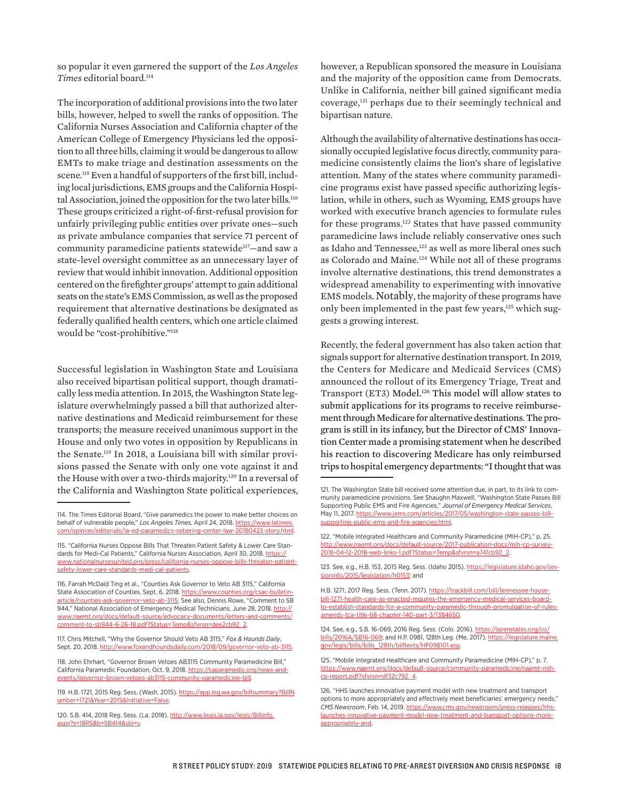so popular it even garnered the support of the *Los Angeles Times* editorial board.114

The incorporation of additional provisions into the two later bills, however, helped to swell the ranks of opposition. The California Nurses Association and California chapter of the American College of Emergency Physicians led the opposition to all three bills, claiming it would be dangerous to allow EMTs to make triage and destination assessments on the scene.<sup>115</sup> Even a handful of supporters of the first bill, including local jurisdictions, EMS groups and the California Hospital Association, joined the opposition for the two later bills.<sup>116</sup> These groups criticized a right-of-first-refusal provision for unfairly privileging public entities over private ones—such as private ambulance companies that service 71 percent of community paramedicine patients statewide<sup>117</sup>-and saw a state-level oversight committee as an unnecessary layer of review that would inhibit innovation. Additional opposition centered on the firefighter groups' attempt to gain additional seats on the state's EMS Commission, as well as the proposed requirement that alternative destinations be designated as federally qualified health centers, which one article claimed would be "cost-prohibitive."118

Successful legislation in Washington State and Louisiana also received bipartisan political support, though dramatically less media attention. In 2015, the Washington State legislature overwhelmingly passed a bill that authorized alternative destinations and Medicaid reimbursement for these transports; the measure received unanimous support in the House and only two votes in opposition by Republicans in the Senate.119 In 2018, a Louisiana bill with similar provisions passed the Senate with only one vote against it and the House with over a two-thirds majority.<sup>120</sup> In a reversal of the California and Washington State political experiences,

however, a Republican sponsored the measure in Louisiana and the majority of the opposition came from Democrats. Unlike in California, neither bill gained significant media coverage,121 perhaps due to their seemingly technical and bipartisan nature.

Although the availability of alternative destinations has occasionally occupied legislative focus directly, community paramedicine consistently claims the lion's share of legislative attention. Many of the states where community paramedicine programs exist have passed specific authorizing legislation, while in others, such as Wyoming, EMS groups have worked with executive branch agencies to formulate rules for these programs.122 States that have passed community paramedicine laws include reliably conservative ones such as Idaho and Tennessee,<sup>123</sup> as well as more liberal ones such as Colorado and Maine.124 While not all of these programs involve alternative destinations, this trend demonstrates a widespread amenability to experimenting with innovative EMS models. Notably, the majority of these programs have only been implemented in the past few years,<sup>125</sup> which suggests a growing interest.

Recently, the federal government has also taken action that signals support for alternative destination transport. In 2019, the Centers for Medicare and Medicaid Services (CMS) announced the rollout of its Emergency Triage, Treat and Transport (ET3) Model.126 This model will allow states to submit applications for its programs to receive reimbursement through Medicare for alternative destinations. The program is still in its infancy, but the Director of CMS' Innovation Center made a promising statement when he described his reaction to discovering Medicare has only reimbursed trips to hospital emergency departments: "I thought that was

124. See, e.g., S.B. 16-069, 2016 Reg. Sess. (Colo. 2016). [https://openstates.org/co/](https://openstates.org/co/bills/2016A/SB16-069/) [bills/2016A/SB16-069](https://openstates.org/co/bills/2016A/SB16-069/); and H.P. 0981, 128th Leg. (Me. 2017). [https://legislature.maine.](https://legislature.maine.gov/legis/bills/bills_128th/billtexts/HP098101.asp) [gov/legis/bills/bills\\_128th/billtexts/HP098101.asp](https://legislature.maine.gov/legis/bills/bills_128th/billtexts/HP098101.asp).

125. "Mobile Integrated Healthcare and Community Paramedicine (MIH-CP)," p. 7. [https://www.naemt.org/docs/default-source/community-paramedicine/naemt-mih](https://www.naemt.org/docs/default-source/community-paramedicine/naemt-mih-cp-report.pdf?sfvrsn=df32c792_4)[cp-report.pdf?sfvrsn=df32c792\\_4](https://www.naemt.org/docs/default-source/community-paramedicine/naemt-mih-cp-report.pdf?sfvrsn=df32c792_4).

<sup>114.</sup> The Times Editorial Board, "Give paramedics the power to make better choices on behalf of vulnerable people," *Los Angeles Times*, April 24, 2018. [https://www.latimes.](https://www.latimes.com/opinion/editorials/la-ed-paramedics-sobering-center-law-20180423-story.html) [com/opinion/editorials/la-ed-paramedics-sobering-center-law-20180423-story.html.](https://www.latimes.com/opinion/editorials/la-ed-paramedics-sobering-center-law-20180423-story.html)

<sup>115. &</sup>quot;California Nurses Oppose Bills That Threaten Patient Safety & Lower Care Standards for Medi-Cal Patients," California Nurses Association, April 30, 2018. [https://](https://www.nationalnursesunited.org/press/california-nurses-oppose-bills-threaten-patient-safety-lower-care-standards-medi-cal-patients) [www.nationalnursesunited.org/press/california-nurses-oppose-bills-threaten-patient](https://www.nationalnursesunited.org/press/california-nurses-oppose-bills-threaten-patient-safety-lower-care-standards-medi-cal-patients)[safety-lower-care-standards-medi-cal-patients.](https://www.nationalnursesunited.org/press/california-nurses-oppose-bills-threaten-patient-safety-lower-care-standards-medi-cal-patients)

<sup>116.</sup> Farrah McDaid Ting et al., "Counties Ask Governor to Veto AB 3115," California State Association of Counties, Sept. 6, 2018. [https://www.counties.org/csac-bulletin](https://www.counties.org/csac-bulletin-article/counties-ask-governor-veto-ab-3115)[article/counties-ask-governor-veto-ab-3115](https://www.counties.org/csac-bulletin-article/counties-ask-governor-veto-ab-3115). See also, Dennis Rowe, "Comment to SB 944," National Association of Emergency Medical Technicians, June 28, 2018. [http://](http://www.naemt.org/docs/default-source/advocacy-documents/letters-and-comments/comment-to-sb944-6-26-18.pdf?Status=Temp&sfvrsn=dee2cb92_2) [www.naemt.org/docs/default-source/advocacy-documents/letters-and-comments/](http://www.naemt.org/docs/default-source/advocacy-documents/letters-and-comments/comment-to-sb944-6-26-18.pdf?Status=Temp&sfvrsn=dee2cb92_2) [comment-to-sb944-6-26-18.pdf?Status=Temp&sfvrsn=dee2cb92\\_2.](http://www.naemt.org/docs/default-source/advocacy-documents/letters-and-comments/comment-to-sb944-6-26-18.pdf?Status=Temp&sfvrsn=dee2cb92_2)

<sup>117.</sup> Chris Mitchell, "Why the Governor Should Veto AB 3115," *Fox & Hounds Daily*, Sept. 20, 2018. [http://www.foxandhoundsdaily.com/2018/09/governor-veto-ab-3115.](http://www.foxandhoundsdaily.com/2018/09/governor-veto-ab-3115/)

<sup>118.</sup> John Ehrhart, "Governor Brown Vetoes AB3115 Community Paramedicine Bill," California Paramedic Foundation, Oct. 9, 2018. [https://caparamedic.org/news-and](https://caparamedic.org/news-and-events/governor-brown-vetoes-ab3115-community-paramedicine-bill/)[events/governor-brown-vetoes-ab3115-community-paramedicine-bill](https://caparamedic.org/news-and-events/governor-brown-vetoes-ab3115-community-paramedicine-bill/).

<sup>119.</sup> H.B. 1721, 2015 Reg. Sess. (Wash. 2015). [https://app.leg.wa.gov/billsummary?BillN](https://app.leg.wa.gov/billsummary?BillNumber=1721&Year=2015&Initiative=False) [umber=1721&Year=2015&Initiative=False.](https://app.leg.wa.gov/billsummary?BillNumber=1721&Year=2015&Initiative=False)

<sup>120.</sup> S.B. 414, 2018 Reg. Sess. (La. 2018). [http://www.legis.la.gov/legis/BillInfo.](http://www.legis.la.gov/legis/BillInfo.aspx?s=18RS&b=SB414&sbi=y) [aspx?s=18RS&b=SB414&sbi=y.](http://www.legis.la.gov/legis/BillInfo.aspx?s=18RS&b=SB414&sbi=y)

<sup>121.</sup> The Washington State bill received some attention due, in part, to its link to community paramedicine provisions. See Shaughn Maxwell, "Washington State Passes Bill Supporting Public EMS and Fire Agencies," *Journal of Emergency Medical Services*, May 11, 2017. [https://www.jems.com/articles/2017/05/washington-state-passes-bill](https://www.jems.com/articles/2017/05/washington-state-passes-bill-supporting-public-ems-and-fire-agencies.html)[supporting-public-ems-and-fire-agencies.html](https://www.jems.com/articles/2017/05/washington-state-passes-bill-supporting-public-ems-and-fire-agencies.html).

<sup>122. &</sup>quot;Mobile Integrated Healthcare and Community Paramedicine (MIH-CP)," p. 25. [http://www.naemt.org/docs/default-source/2017-publication-docs/mih-cp-survey-](http://www.naemt.org/docs/default-source/2017-publication-docs/mih-cp-survey-2018-04-12-2018-web-links-1.pdf?Status=Temp&sfvrsn=a741cb92_2)[2018-04-12-2018-web-links-1.pdf?Status=Temp&sfvrsn=a741cb92\\_2.](http://www.naemt.org/docs/default-source/2017-publication-docs/mih-cp-survey-2018-04-12-2018-web-links-1.pdf?Status=Temp&sfvrsn=a741cb92_2)

<sup>123.</sup> See, e.g., H.B. 153, 2015 Reg. Sess. (Idaho 2015). [https://legislature.idaho.gov/ses](https://legislature.idaho.gov/sessioninfo/2015/legislation/h0153)[sioninfo/2015/legislation/h0153](https://legislature.idaho.gov/sessioninfo/2015/legislation/h0153); and

H.B. 1271, 2017 Reg. Sess. (Tenn. 2017). [https://trackbill.com/bill/tennessee-house](https://trackbill.com/bill/tennessee-house-bill-1271-health-care-as-enacted-requires-the-emergency-medical-services-board-to-establish-standards-for-a-community-paramedic-through-promulgation-of-rules-amends-tca-title-68-chapter-140-part-3/1384650/)[bill-1271-health-care-as-enacted-requires-the-emergency-medical-services-board](https://trackbill.com/bill/tennessee-house-bill-1271-health-care-as-enacted-requires-the-emergency-medical-services-board-to-establish-standards-for-a-community-paramedic-through-promulgation-of-rules-amends-tca-title-68-chapter-140-part-3/1384650/)[to-establish-standards-for-a-community-paramedic-through-promulgation-of-rules](https://trackbill.com/bill/tennessee-house-bill-1271-health-care-as-enacted-requires-the-emergency-medical-services-board-to-establish-standards-for-a-community-paramedic-through-promulgation-of-rules-amends-tca-title-68-chapter-140-part-3/1384650/)[amends-tca-title-68-chapter-140-part-3/1384650.](https://trackbill.com/bill/tennessee-house-bill-1271-health-care-as-enacted-requires-the-emergency-medical-services-board-to-establish-standards-for-a-community-paramedic-through-promulgation-of-rules-amends-tca-title-68-chapter-140-part-3/1384650/)

<sup>126. &</sup>quot;HHS launches innovative payment model with new treatment and transport options to more appropriately and effectively meet beneficiaries' emergency needs," *CMS Newsroom*, Feb. 14, 2019. [https://www.cms.gov/newsroom/press-releases/hhs](https://www.cms.gov/newsroom/press-releases/hhs-launches-innovative-payment-model-new-treatment-and-transport-options-more-appropriately-and)[launches-innovative-payment-model-new-treatment-and-transport-options-more](https://www.cms.gov/newsroom/press-releases/hhs-launches-innovative-payment-model-new-treatment-and-transport-options-more-appropriately-and)[appropriately-and.](https://www.cms.gov/newsroom/press-releases/hhs-launches-innovative-payment-model-new-treatment-and-transport-options-more-appropriately-and)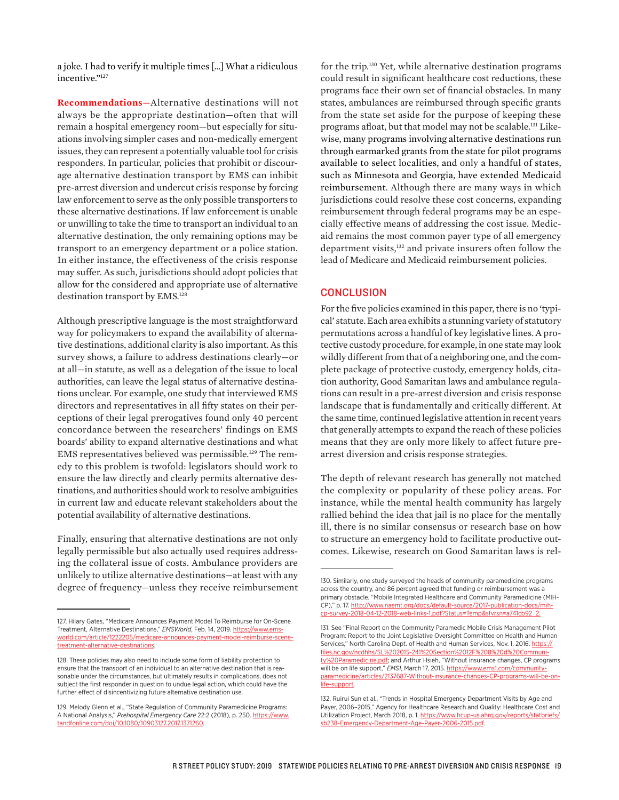a joke. I had to verify it multiple times […] What a ridiculous incentive."127

**Recommendations—**Alternative destinations will not always be the appropriate destination—often that will remain a hospital emergency room—but especially for situations involving simpler cases and non-medically emergent issues, they can represent a potentially valuable tool for crisis responders. In particular, policies that prohibit or discourage alternative destination transport by EMS can inhibit pre-arrest diversion and undercut crisis response by forcing law enforcement to serve as the only possible transporters to these alternative destinations. If law enforcement is unable or unwilling to take the time to transport an individual to an alternative destination, the only remaining options may be transport to an emergency department or a police station. In either instance, the effectiveness of the crisis response may suffer. As such, jurisdictions should adopt policies that allow for the considered and appropriate use of alternative destination transport by EMS.<sup>128</sup>

Although prescriptive language is the most straightforward way for policymakers to expand the availability of alternative destinations, additional clarity is also important. As this survey shows, a failure to address destinations clearly—or at all—in statute, as well as a delegation of the issue to local authorities, can leave the legal status of alternative destinations unclear. For example, one study that interviewed EMS directors and representatives in all fifty states on their perceptions of their legal prerogatives found only 40 percent concordance between the researchers' findings on EMS boards' ability to expand alternative destinations and what EMS representatives believed was permissible.<sup>129</sup> The remedy to this problem is twofold: legislators should work to ensure the law directly and clearly permits alternative destinations, and authorities should work to resolve ambiguities in current law and educate relevant stakeholders about the potential availability of alternative destinations.

Finally, ensuring that alternative destinations are not only legally permissible but also actually used requires addressing the collateral issue of costs. Ambulance providers are unlikely to utilize alternative destinations—at least with any degree of frequency—unless they receive reimbursement

for the trip.130 Yet, while alternative destination programs could result in significant healthcare cost reductions, these programs face their own set of financial obstacles. In many states, ambulances are reimbursed through specific grants from the state set aside for the purpose of keeping these programs afloat, but that model may not be scalable.131 Likewise, many programs involving alternative destinations run through earmarked grants from the state for pilot programs available to select localities, and only a handful of states, such as Minnesota and Georgia, have extended Medicaid reimbursement. Although there are many ways in which jurisdictions could resolve these cost concerns, expanding reimbursement through federal programs may be an especially effective means of addressing the cost issue. Medicaid remains the most common payer type of all emergency department visits,<sup>132</sup> and private insurers often follow the lead of Medicare and Medicaid reimbursement policies.

### **CONCLUSION**

For the five policies examined in this paper, there is no 'typical' statute. Each area exhibits a stunning variety of statutory permutations across a handful of key legislative lines. A protective custody procedure, for example, in one state may look wildly different from that of a neighboring one, and the complete package of protective custody, emergency holds, citation authority, Good Samaritan laws and ambulance regulations can result in a pre-arrest diversion and crisis response landscape that is fundamentally and critically different. At the same time, continued legislative attention in recent years that generally attempts to expand the reach of these policies means that they are only more likely to affect future prearrest diversion and crisis response strategies.

The depth of relevant research has generally not matched the complexity or popularity of these policy areas. For instance, while the mental health community has largely rallied behind the idea that jail is no place for the mentally ill, there is no similar consensus or research base on how to structure an emergency hold to facilitate productive outcomes. Likewise, research on Good Samaritan laws is rel-

<sup>127.</sup> Hilary Gates, "Medicare Announces Payment Model To Reimburse for On-Scene Treatment, Alternative Destinations," *EMSWorld*, Feb. 14, 2019. [https://www.ems](https://www.emsworld.com/article/1222205/medicare-announces-payment-model-reimburse-scene-treatment-alternative-destinations)[world.com/article/1222205/medicare-announces-payment-model-reimburse-scene](https://www.emsworld.com/article/1222205/medicare-announces-payment-model-reimburse-scene-treatment-alternative-destinations)[treatment-alternative-destinations.](https://www.emsworld.com/article/1222205/medicare-announces-payment-model-reimburse-scene-treatment-alternative-destinations)

<sup>128.</sup> These policies may also need to include some form of liability protection to ensure that the transport of an individual to an alternative destination that is reasonable under the circumstances, but ultimately results in complications, does not subject the first responder in question to undue legal action, which could have the further effect of disincentivizing future alternative destination use.

<sup>129.</sup> Melody Glenn et al., "State Regulation of Community Paramedicine Programs: A National Analysis," *Prehospital Emergency Care* 22:2 (2018), p. 250. [https://www.](https://www.tandfonline.com/doi/10.1080/10903127.2017.1371260) [tandfonline.com/doi/10.1080/10903127.2017.1371260.](https://www.tandfonline.com/doi/10.1080/10903127.2017.1371260)

<sup>130.</sup> Similarly, one study surveyed the heads of community paramedicine programs across the country, and 86 percent agreed that funding or reimbursement was a primary obstacle. "Mobile Integrated Healthcare and Community Paramedicine (MIH-CP)," p. 17. [http://www.naemt.org/docs/default-source/2017-publication-docs/mih](http://www.naemt.org/docs/default-source/2017-publication-docs/mih-cp-survey-2018-04-12-2018-web-links-1.pdf?Status=Temp&sfvrsn=a741cb92_2)[cp-survey-2018-04-12-2018-web-links-1.pdf?Status=Temp&sfvrsn=a741cb92\\_2.](http://www.naemt.org/docs/default-source/2017-publication-docs/mih-cp-survey-2018-04-12-2018-web-links-1.pdf?Status=Temp&sfvrsn=a741cb92_2)

<sup>131.</sup> See "Final Report on the Community Paramedic Mobile Crisis Management Pilot Program: Report to the Joint Legislative Oversight Committee on Health and Human Services," North Carolina Dept. of Health and Human Services, Nov. 1, 2016. [https://](https://files.nc.gov/ncdhhs/SL%202015-241%20Section%2012F%208%20d%20Community%20Paramedicine.pdf) [files.nc.gov/ncdhhs/SL%202015-241%20Section%2012F%208%20d%20Communi](https://files.nc.gov/ncdhhs/SL%202015-241%20Section%2012F%208%20d%20Community%20Paramedicine.pdf)[ty%20Paramedicine.pdf;](https://files.nc.gov/ncdhhs/SL%202015-241%20Section%2012F%208%20d%20Community%20Paramedicine.pdf) and Arthur Hsieh, "Without insurance changes, CP programs will be on life support," EMS1, March 17, 2015. [https://www.ems1.com/community](https://www.ems1.com/community-paramedicine/articles/2137687-Without-insurance-changes-CP-programs-will-be-on-life-support/)[paramedicine/articles/2137687-Without-insurance-changes-CP-programs-will-be-on](https://www.ems1.com/community-paramedicine/articles/2137687-Without-insurance-changes-CP-programs-will-be-on-life-support/)[life-support.](https://www.ems1.com/community-paramedicine/articles/2137687-Without-insurance-changes-CP-programs-will-be-on-life-support/)

<sup>132.</sup> Ruirui Sun et al., "Trends in Hospital Emergency Department Visits by Age and Payer, 2006–2015," Agency for Healthcare Research and Quality: Healthcare Cost and Utilization Project, March 2018, p. 1. [https://www.hcup-us.ahrq.gov/reports/statbriefs/](https://www.hcup-us.ahrq.gov/reports/statbriefs/sb238-Emergency-Department-Age-Payer-2006-2015.pdf) [sb238-Emergency-Department-Age-Payer-2006-2015.pdf.](https://www.hcup-us.ahrq.gov/reports/statbriefs/sb238-Emergency-Department-Age-Payer-2006-2015.pdf)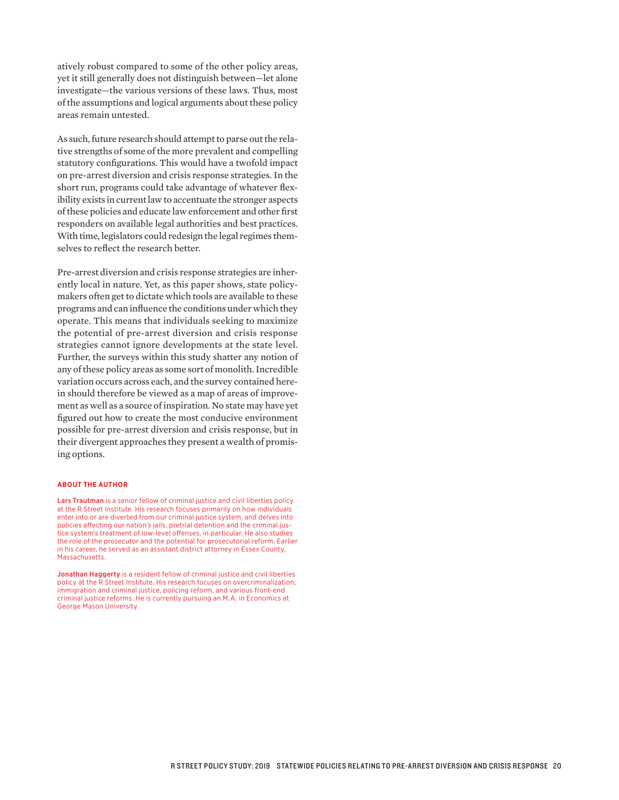atively robust compared to some of the other policy areas, yet it still generally does not distinguish between—let alone investigate—the various versions of these laws. Thus, most of the assumptions and logical arguments about these policy areas remain untested.

As such, future research should attempt to parse out the relative strengths of some of the more prevalent and compelling statutory configurations. This would have a twofold impact on pre-arrest diversion and crisis response strategies. In the short run, programs could take advantage of whatever flexibility exists in current law to accentuate the stronger aspects of these policies and educate law enforcement and other first responders on available legal authorities and best practices. With time, legislators could redesign the legal regimes themselves to reflect the research better.

Pre-arrest diversion and crisis response strategies are inherently local in nature. Yet, as this paper shows, state policymakers often get to dictate which tools are available to these programs and can influence the conditions under which they operate. This means that individuals seeking to maximize the potential of pre-arrest diversion and crisis response strategies cannot ignore developments at the state level. Further, the surveys within this study shatter any notion of any of these policy areas as some sort of monolith. Incredible variation occurs across each, and the survey contained herein should therefore be viewed as a map of areas of improvement as well as a source of inspiration. No state may have yet figured out how to create the most conducive environment possible for pre-arrest diversion and crisis response, but in their divergent approaches they present a wealth of promising options.

#### **ABOUT THE AUTHOR**

Lars Trautman is a senior fellow of criminal justice and civil liberties policy at the R Street Institute. His research focuses primarily on how individuals enter into or are diverted from our criminal justice system, and delves into policies affecting our nation's jails, pretrial detention and the criminal justice system's treatment of low-level offenses, in particular. He also studies the role of the prosecutor and the potential for prosecutorial reform. Earlier in his career, he served as an assistant district attorney in Essex County, Massachusetts.

Jonathan Haggerty is a resident fellow of criminal justice and civil liberties policy at the R Street Institute. His research focuses on overcriminalization, immigration and criminal justice, policing reform, and various front-end criminal justice reforms. He is currently pursuing an M.A. in Economics at George Mason University.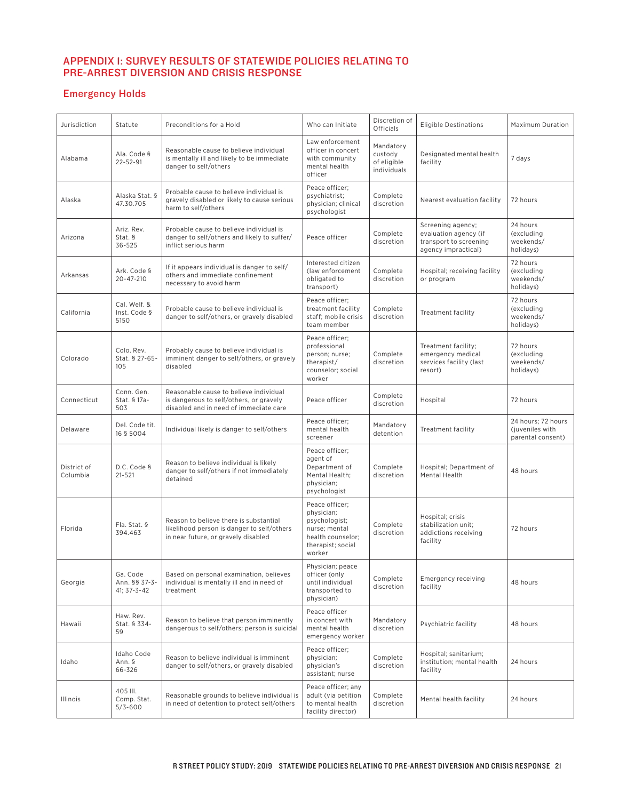# APPENDIX 1: SURVEY RESULTS OF STATEWIDE POLICIES RELATING TO PRE-ARREST DIVERSION AND CRISIS RESPONSE

# Emergency Holds

| Jurisdiction            | Statute                                  | Preconditions for a Hold                                                                                                    | Who can Initiate                                                                                                   | Discretion of<br>Officials                         | <b>Eligible Destinations</b>                                                                | <b>Maximum Duration</b>                                    |
|-------------------------|------------------------------------------|-----------------------------------------------------------------------------------------------------------------------------|--------------------------------------------------------------------------------------------------------------------|----------------------------------------------------|---------------------------------------------------------------------------------------------|------------------------------------------------------------|
| Alabama                 | Ala. Code §<br>22-52-91                  | Reasonable cause to believe individual<br>is mentally ill and likely to be immediate<br>danger to self/others               | Law enforcement<br>officer in concert<br>with community<br>mental health<br>officer                                | Mandatory<br>custody<br>of eligible<br>individuals | Designated mental health<br>facility                                                        | 7 days                                                     |
| Alaska                  | Alaska Stat. §<br>47.30.705              | Probable cause to believe individual is<br>gravely disabled or likely to cause serious<br>harm to self/others               | Peace officer;<br>psychiatrist;<br>physician; clinical<br>psychologist                                             | Complete<br>discretion                             | Nearest evaluation facility                                                                 | 72 hours                                                   |
| Arizona                 | Ariz. Rev.<br>Stat. §<br>36-525          | Probable cause to believe individual is<br>danger to self/others and likely to suffer/<br>inflict serious harm              | Peace officer                                                                                                      | Complete<br>discretion                             | Screening agency;<br>evaluation agency (if<br>transport to screening<br>agency impractical) | 24 hours<br>(excluding<br>weekends/<br>holidays)           |
| Arkansas                | Ark. Code §<br>20-47-210                 | If it appears individual is danger to self/<br>others and immediate confinement<br>necessary to avoid harm                  | Interested citizen<br>(law enforcement<br>obligated to<br>transport)                                               | Complete<br>discretion                             | Hospital; receiving facility<br>or program                                                  | 72 hours<br>(excluding<br>weekends/<br>holidays)           |
| California              | Cal. Welf. &<br>Inst. Code §<br>5150     | Probable cause to believe individual is<br>danger to self/others, or gravely disabled                                       | Peace officer;<br>treatment facility<br>staff; mobile crisis<br>team member                                        | Complete<br>discretion                             | Treatment facility                                                                          | 72 hours<br>(excluding<br>weekends/<br>holidays)           |
| Colorado                | Colo. Rev.<br>Stat. § 27-65-<br>105      | Probably cause to believe individual is<br>imminent danger to self/others, or gravely<br>disabled                           | Peace officer;<br>professional<br>person; nurse;<br>therapist/<br>counselor; social<br>worker                      | Complete<br>discretion                             | Treatment facility;<br>emergency medical<br>services facility (last<br>resort)              | 72 hours<br>(excluding<br>weekends/<br>holidays)           |
| Connecticut             | Conn. Gen.<br>Stat. § 17a-<br>503        | Reasonable cause to believe individual<br>is dangerous to self/others, or gravely<br>disabled and in need of immediate care | Peace officer                                                                                                      | Complete<br>discretion                             | Hospital                                                                                    | 72 hours                                                   |
| Delaware                | Del. Code tit.<br>16 § 5004              | Individual likely is danger to self/others                                                                                  | Peace officer;<br>mental health<br>screener                                                                        | Mandatory<br>detention                             | Treatment facility                                                                          | 24 hours; 72 hours<br>(juveniles with<br>parental consent) |
| District of<br>Columbia | D.C. Code §<br>21-521                    | Reason to believe individual is likely<br>danger to self/others if not immediately<br>detained                              | Peace officer;<br>agent of<br>Department of<br>Mental Health;<br>physician;<br>psychologist                        | Complete<br>discretion                             | Hospital; Department of<br>Mental Health                                                    | 48 hours                                                   |
| Florida                 | Fla. Stat. §<br>394.463                  | Reason to believe there is substantial<br>likelihood person is danger to self/others<br>in near future, or gravely disabled | Peace officer;<br>physician;<br>psychologist;<br>nurse; mental<br>health counselor;<br>therapist; social<br>worker | Complete<br>discretion                             | Hospital; crisis<br>stabilization unit:<br>addictions receiving<br>facility                 | 72 hours                                                   |
| Georgia                 | Ga. Code<br>Ann. §§ 37-3-<br>41; 37-3-42 | Based on personal examination, believes<br>individual is mentally ill and in need of<br>treatment                           | Physician; peace<br>officer (only<br>until individual<br>transported to<br>physician)                              | Complete<br>discretion                             | <b>Emergency receiving</b><br>facility                                                      | 48 hours                                                   |
| Hawaii                  | Haw. Rev.<br>Stat. § 334-<br>59          | Reason to believe that person imminently<br>dangerous to self/others; person is suicidal                                    | Peace officer<br>in concert with<br>mental health<br>emergency worker                                              | Mandatory<br>discretion                            | Psychiatric facility                                                                        | 48 hours                                                   |
| Idaho                   | Idaho Code<br>Ann.§<br>66-326            | Reason to believe individual is imminent<br>danger to self/others, or gravely disabled                                      | Peace officer;<br>physician;<br>physician's<br>assistant; nurse                                                    | Complete<br>discretion                             | Hospital; sanitarium;<br>institution; mental health<br>facility                             | 24 hours                                                   |
| Illinois                | 405 III.<br>Comp. Stat.<br>$5/3 - 600$   | Reasonable grounds to believe individual is<br>in need of detention to protect self/others                                  | Peace officer; any<br>adult (via petition<br>to mental health<br>facility director)                                | Complete<br>discretion                             | Mental health facility                                                                      | 24 hours                                                   |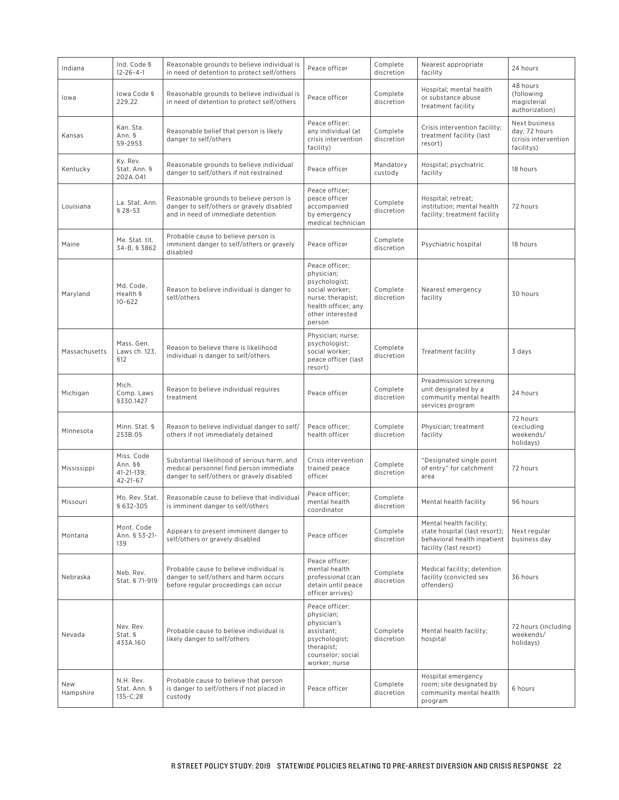| Indiana          | Ind. Code §<br>$12 - 26 - 4 - 1$                                                                                                                                                                                                                                                                                                                            | Reasonable grounds to believe individual is<br>in need of detention to protect self/others                                          | Complete<br>Peace officer<br>discretion<br>facility                                                                                                          |                                                  | Nearest appropriate                                                                  | 24 hours                                                             |
|------------------|-------------------------------------------------------------------------------------------------------------------------------------------------------------------------------------------------------------------------------------------------------------------------------------------------------------------------------------------------------------|-------------------------------------------------------------------------------------------------------------------------------------|--------------------------------------------------------------------------------------------------------------------------------------------------------------|--------------------------------------------------|--------------------------------------------------------------------------------------|----------------------------------------------------------------------|
| lowa             | lowa Code §<br>229.22                                                                                                                                                                                                                                                                                                                                       | Reasonable grounds to believe individual is<br>in need of detention to protect self/others                                          | Peace officer                                                                                                                                                | Complete<br>discretion                           | Hospital; mental health<br>or substance abuse<br>treatment facility                  | 48 hours<br>(following<br>magisterial<br>authorization)              |
| Kansas           | Kan. Sta.<br>Ann. §<br>59-2953                                                                                                                                                                                                                                                                                                                              | Reasonable belief that person is likely<br>danger to self/others                                                                    | Peace officer:<br>any individual (at<br>crisis intervention<br>facility)                                                                                     | Complete<br>discretion                           | Crisis intervention facility;<br>treatment facility (last<br>resort)                 | Next business<br>day; 72 hours<br>(crisis intervention<br>facilitys) |
| Kentucky         | Ky. Rev.<br>Stat. Ann. §<br>202A.041                                                                                                                                                                                                                                                                                                                        | Reasonable grounds to believe individual<br>danger to self/others if not restrained                                                 | Peace officer                                                                                                                                                | Mandatory<br>custody                             | Hospital; psychiatric<br>facility                                                    | 18 hours                                                             |
| Louisiana        | La. Stat. Ann.<br>\$28-53                                                                                                                                                                                                                                                                                                                                   | Reasonable grounds to believe person is<br>danger to self/others or gravely disabled<br>and in need of immediate detention          | Peace officer;<br>peace officer<br>accompanied<br>by emergency<br>medical technician                                                                         | Complete<br>discretion                           | Hospital; retreat;<br>institution; mental health<br>facility; treatment facility     | 72 hours                                                             |
| Maine            | Me. Stat. tit.<br>34-B, § 3862                                                                                                                                                                                                                                                                                                                              | Probable cause to believe person is<br>imminent danger to self/others or gravely<br>disabled                                        | Peace officer                                                                                                                                                | Complete<br>discretion                           | Psychiatric hospital                                                                 | 18 hours                                                             |
| Maryland         | Peace officer;<br>physician;<br>psychologist;<br>Md. Code,<br>Reason to believe individual is danger to<br>social worker;<br>Complete<br>Nearest emergency<br>Health §<br>self/others<br>nurse; therapist;<br>discretion<br>facility<br>$10 - 622$<br>health officer; any<br>other interested<br>person                                                     |                                                                                                                                     |                                                                                                                                                              | 30 hours                                         |                                                                                      |                                                                      |
| Massachusetts    | Physician; nurse;<br>Mass. Gen.<br>psychologist;<br>Reason to believe there is likelihood<br>Complete<br>Laws ch. 123,<br>social worker;<br>Treatment facility<br>individual is danger to self/others<br>discretion<br>§12<br>peace officer (last<br>resort)                                                                                                |                                                                                                                                     |                                                                                                                                                              | 3 days                                           |                                                                                      |                                                                      |
| Michigan         | Mich.<br>Reason to believe individual requires<br>Complete<br>Comp. Laws<br>Peace officer<br>treatment<br>discretion<br>\$330.1427                                                                                                                                                                                                                          |                                                                                                                                     | Preadmission screening<br>unit designated by a<br>community mental health<br>services program                                                                | 24 hours                                         |                                                                                      |                                                                      |
| Minnesota        | Minn. Stat. §<br>Reason to believe individual danger to self/<br>Peace officer;<br>Complete<br>Physician; treatment<br>253B.05<br>others if not immediately detained<br>health officer<br>discretion<br>facility                                                                                                                                            |                                                                                                                                     |                                                                                                                                                              | 72 hours<br>(excluding<br>weekends/<br>holidays) |                                                                                      |                                                                      |
| Mississippi      | Miss. Code<br>Ann. §§<br>41-21-139;<br>42-21-67                                                                                                                                                                                                                                                                                                             | Substantial likelihood of serious harm, and<br>medical personnel find person immediate<br>danger to self/others or gravely disabled | Crisis intervention<br>trained peace<br>officer                                                                                                              | Complete<br>discretion                           | "Designated single point<br>of entry" for catchment<br>area                          | 72 hours                                                             |
| Missouri         | Mo. Rev. Stat.<br>\$632-305                                                                                                                                                                                                                                                                                                                                 | Reasonable cause to believe that individual<br>is imminent danger to self/others                                                    | Peace officer;<br>mental health<br>coordinator                                                                                                               | Complete<br>discretion                           | Mental health facility                                                               | 96 hours                                                             |
| Montana          | Mont. Code<br>Ann. § 53-21-<br>139                                                                                                                                                                                                                                                                                                                          | Appears to present imminent danger to<br>self/others or gravely disabled                                                            | Mental health facility;<br>Complete<br>state hospital (last resort);<br>Peace officer<br>discretion<br>behavioral health inpatient<br>facility (last resort) |                                                  | Next regular<br>business day                                                         |                                                                      |
| Nebraska         | Peace officer;<br>Probable cause to believe individual is<br>mental health<br>Medical facility; detention<br>Neb. Rev.<br>Complete<br>professional (can<br>facility (convicted sex<br>danger to self/others and harm occurs<br>Stat. § 71-919<br>discretion<br>before regular proceedings can occur<br>detain until peace<br>offenders)<br>officer arrives) |                                                                                                                                     |                                                                                                                                                              | 36 hours                                         |                                                                                      |                                                                      |
| Nevada           | Nev. Rev.<br>Stat. §<br>433A.160                                                                                                                                                                                                                                                                                                                            | Probable cause to believe individual is<br>likely danger to self/others                                                             | Peace officer;<br>physician;<br>physician's<br>assistant:<br>psychologist;<br>therapist;<br>counselor; social<br>worker; nurse                               | Complete<br>discretion                           | Mental health facility;<br>hospital                                                  | 72 hours (including<br>weekends/<br>holidays)                        |
| New<br>Hampshire | N.H. Rev.<br>Stat. Ann. §<br>135-C:28                                                                                                                                                                                                                                                                                                                       | Probable cause to believe that person<br>is danger to self/others if not placed in<br>custody                                       | Peace officer                                                                                                                                                | Complete<br>discretion                           | Hospital emergency<br>room; site designated by<br>community mental health<br>program | 6 hours                                                              |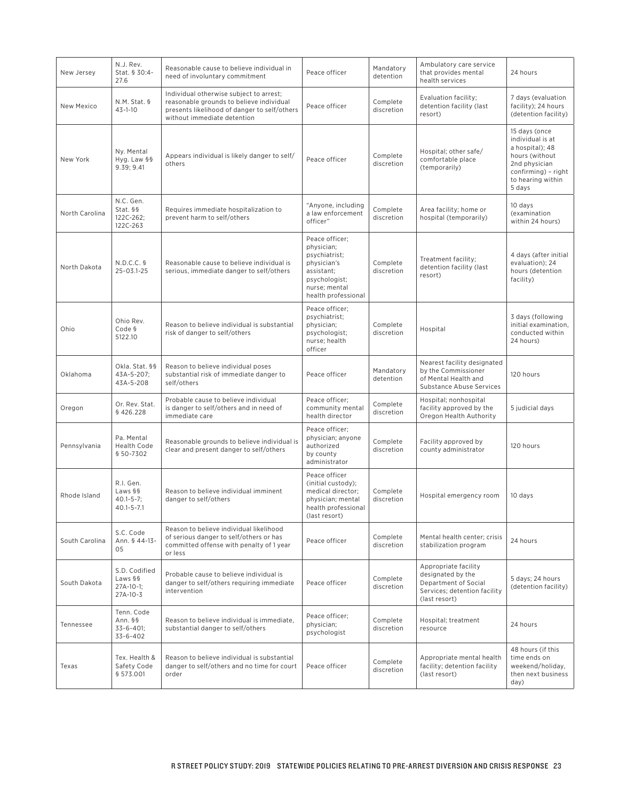| New Jersey                                  | N.J. Rev.<br>Reasonable cause to believe individual in<br>Stat. § 30:4-<br>need of involuntary commitment<br>27.6                                                                                                                                                                                                                                |                                                                                                                                                                    | Peace officer                                                                                                         | Mandatory<br>detention | Ambulatory care service<br>that provides mental<br>health services                                                 | 24 hours                                                                                                                                      |
|---------------------------------------------|--------------------------------------------------------------------------------------------------------------------------------------------------------------------------------------------------------------------------------------------------------------------------------------------------------------------------------------------------|--------------------------------------------------------------------------------------------------------------------------------------------------------------------|-----------------------------------------------------------------------------------------------------------------------|------------------------|--------------------------------------------------------------------------------------------------------------------|-----------------------------------------------------------------------------------------------------------------------------------------------|
| N.M. Stat. §<br>New Mexico<br>$43 - 1 - 10$ |                                                                                                                                                                                                                                                                                                                                                  | Individual otherwise subject to arrest;<br>reasonable grounds to believe individual<br>presents likelihood of danger to self/others<br>without immediate detention | Peace officer                                                                                                         | Complete<br>discretion | Evaluation facility;<br>detention facility (last<br>resort)                                                        | 7 days (evaluation<br>facility); 24 hours<br>(detention facility)                                                                             |
| New York                                    | Ny. Mental<br>Hyg. Law §§<br>9.39; 9.41                                                                                                                                                                                                                                                                                                          | Appears individual is likely danger to self/<br>others                                                                                                             | Peace officer                                                                                                         | Complete<br>discretion | Hospital; other safe/<br>comfortable place<br>(temporarily)                                                        | 15 days (once<br>individual is at<br>a hospital); 48<br>hours (without<br>2nd physician<br>confirming) - right<br>to hearing within<br>5 days |
| North Carolina                              | N.C. Gen.<br>Stat. §§<br>122C-262;<br>122C-263                                                                                                                                                                                                                                                                                                   | Requires immediate hospitalization to<br>prevent harm to self/others                                                                                               | "Anyone, including<br>a law enforcement<br>officer"                                                                   | Complete<br>discretion | Area facility; home or<br>hospital (temporarily)                                                                   | 10 days<br>(examination<br>within 24 hours)                                                                                                   |
| North Dakota                                | Peace officer:<br>physician;<br>psychiatrist;<br>Treatment facility;<br>N.D.C.C. §<br>Reasonable cause to believe individual is<br>physician's<br>Complete<br>detention facility (last<br>25-03.1-25<br>serious, immediate danger to self/others<br>assistant;<br>discretion<br>resort)<br>psychologist;<br>nurse; mental<br>health professional |                                                                                                                                                                    | 4 days (after initial<br>evaluation); 24<br>hours (detention<br>facility)                                             |                        |                                                                                                                    |                                                                                                                                               |
| Ohio                                        | Ohio Rev.<br>Code §<br>5122.10                                                                                                                                                                                                                                                                                                                   | Reason to believe individual is substantial<br>risk of danger to self/others                                                                                       | Peace officer;<br>psychiatrist;<br>physician;<br>psychologist;<br>nurse; health<br>officer                            | Complete<br>discretion | Hospital                                                                                                           | 3 days (following<br>initial examination,<br>conducted within<br>24 hours)                                                                    |
| Oklahoma                                    | Okla. Stat. §§<br>43A-5-207;<br>43A-5-208                                                                                                                                                                                                                                                                                                        | Reason to believe individual poses<br>substantial risk of immediate danger to<br>self/others                                                                       | Peace officer                                                                                                         | Mandatory<br>detention | Nearest facility designated<br>by the Commissioner<br>of Mental Health and<br><b>Substance Abuse Services</b>      | 120 hours                                                                                                                                     |
| Oregon                                      | Probable cause to believe individual<br>Peace officer:<br>Hospital; nonhospital<br>Or. Rev. Stat.<br>Complete<br>is danger to self/others and in need of<br>community mental<br>facility approved by the<br>\$426.228<br>discretion<br>health director<br>immediate care<br>Oregon Health Authority                                              |                                                                                                                                                                    | 5 judicial days                                                                                                       |                        |                                                                                                                    |                                                                                                                                               |
| Pennsylvania                                | Pa. Mental<br><b>Health Code</b><br>\$50-7302                                                                                                                                                                                                                                                                                                    | Reasonable grounds to believe individual is<br>clear and present danger to self/others                                                                             | Peace officer;<br>physician; anyone<br>authorized<br>by county<br>administrator                                       | Complete<br>discretion | Facility approved by<br>county administrator                                                                       | 120 hours                                                                                                                                     |
| Rhode Island                                | R.I. Gen.<br>Laws §§<br>$40.1 - 5 - 7;$<br>$40.1 - 5 - 7.1$                                                                                                                                                                                                                                                                                      | Reason to believe individual imminent<br>danger to self/others                                                                                                     | Peace officer<br>(initial custody);<br>medical director;<br>physician; mental<br>health professional<br>(last resort) | Complete<br>discretion | Hospital emergency room                                                                                            | 10 days                                                                                                                                       |
| South Carolina                              | S.C. Code<br>Ann. § 44-13-<br>05                                                                                                                                                                                                                                                                                                                 | Reason to believe individual likelihood<br>of serious danger to self/others or has<br>committed offense with penalty of 1 year<br>or less                          | Peace officer                                                                                                         | Complete<br>discretion | Mental health center; crisis<br>stabilization program                                                              | 24 hours                                                                                                                                      |
| South Dakota                                | S.D. Codified<br>Laws §§<br>$27A-10-1;$<br>$27A-10-3$                                                                                                                                                                                                                                                                                            | Probable cause to believe individual is<br>danger to self/others requiring immediate<br>intervention                                                               | Peace officer                                                                                                         | Complete<br>discretion | Appropriate facility<br>designated by the<br>Department of Social<br>Services; detention facility<br>(last resort) | 5 days; 24 hours<br>(detention facility)                                                                                                      |
| Tennessee                                   | Tenn. Code<br>Ann. §§<br>$33 - 6 - 401$ ;<br>33-6-402                                                                                                                                                                                                                                                                                            | Reason to believe individual is immediate,<br>substantial danger to self/others                                                                                    | Peace officer:<br>physician;<br>psychologist                                                                          | Complete<br>discretion | Hospital; treatment<br>resource                                                                                    | 24 hours                                                                                                                                      |
| Texas                                       | Tex. Health &<br>Safety Code<br>\$573.001                                                                                                                                                                                                                                                                                                        | Reason to believe individual is substantial<br>danger to self/others and no time for court<br>order                                                                | Peace officer                                                                                                         | Complete<br>discretion | Appropriate mental health<br>facility; detention facility<br>(last resort)                                         | 48 hours (if this<br>time ends on<br>weekend/holiday,<br>then next business<br>day)                                                           |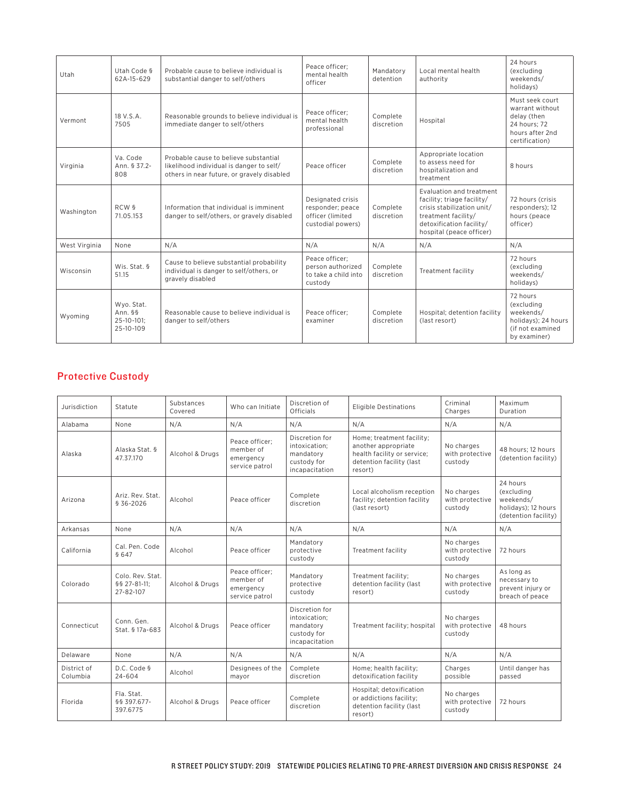| Utah          | Utah Code §<br>62A-15-629                        | Probable cause to believe individual is<br>substantial danger to self/others                                                    | Peace officer:<br>mental health<br>officer                                     | Mandatory<br>detention | Local mental health<br>authority                                                                                                                                    | 24 hours<br>(excluding<br>weekends/<br>holidays)                                                       |
|---------------|--------------------------------------------------|---------------------------------------------------------------------------------------------------------------------------------|--------------------------------------------------------------------------------|------------------------|---------------------------------------------------------------------------------------------------------------------------------------------------------------------|--------------------------------------------------------------------------------------------------------|
| Vermont       | 18 V.S.A.<br>7505                                | Reasonable grounds to believe individual is<br>immediate danger to self/others                                                  | Peace officer:<br>mental health<br>professional                                | Complete<br>discretion | Hospital                                                                                                                                                            | Must seek court<br>warrant without<br>delay (then<br>24 hours; 72<br>hours after 2nd<br>certification) |
| Virginia      | Va. Code<br>Ann. § 37.2-<br>808                  | Probable cause to believe substantial<br>likelihood individual is danger to self/<br>others in near future, or gravely disabled | Peace officer                                                                  | Complete<br>discretion | Appropriate location<br>to assess need for<br>hospitalization and<br>treatment                                                                                      | 8 hours                                                                                                |
| Washington    | RCW §<br>71.05.153                               | Information that individual is imminent<br>danger to self/others, or gravely disabled                                           | Designated crisis<br>responder; peace<br>officer (limited<br>custodial powers) | Complete<br>discretion | Evaluation and treatment<br>facility; triage facility/<br>crisis stabilization unit/<br>treatment facility/<br>detoxification facility/<br>hospital (peace officer) | 72 hours (crisis<br>responders); 12<br>hours (peace<br>officer)                                        |
| West Virginia | None                                             | N/A                                                                                                                             | N/A                                                                            | N/A                    | N/A                                                                                                                                                                 | N/A                                                                                                    |
| Wisconsin     | Wis. Stat. §<br>51.15                            | Cause to believe substantial probability<br>individual is danger to self/others, or<br>gravely disabled                         | Peace officer:<br>person authorized<br>to take a child into<br>custody         | Complete<br>discretion | Treatment facility                                                                                                                                                  | 72 hours<br>(excluding<br>weekends/<br>holidays)                                                       |
| Wyoming       | Wyo. Stat.<br>Ann. §§<br>25-10-101;<br>25-10-109 | Reasonable cause to believe individual is<br>danger to self/others                                                              | Peace officer:<br>examiner                                                     | Complete<br>discretion | Hospital; detention facility<br>(last resort)                                                                                                                       | 72 hours<br>(excluding<br>weekends/<br>holidays); 24 hours<br>(if not examined<br>by examiner)         |

# Protective Custody

| Jurisdiction            | Statute                                       | Substances<br>Covered | Who can Initiate                                           | Discretion of<br><b>Officials</b>                                             | <b>Eligible Destinations</b>                                                                                           | Criminal<br>Charges                      | Maximum<br>Duration                                                                |
|-------------------------|-----------------------------------------------|-----------------------|------------------------------------------------------------|-------------------------------------------------------------------------------|------------------------------------------------------------------------------------------------------------------------|------------------------------------------|------------------------------------------------------------------------------------|
| Alabama                 | None                                          | N/A                   | N/A                                                        | N/A                                                                           | N/A                                                                                                                    | N/A                                      | N/A                                                                                |
| Alaska                  | Alaska Stat, §<br>47.37.170                   | Alcohol & Drugs       | Peace officer:<br>member of<br>emergency<br>service patrol | Discretion for<br>intoxication:<br>mandatory<br>custody for<br>incapacitation | Home; treatment facility;<br>another appropriate<br>health facility or service;<br>detention facility (last<br>resort) | No charges<br>with protective<br>custody | 48 hours; 12 hours<br>(detention facility)                                         |
| Arizona                 | Ariz, Rev. Stat.<br>\$36-2026                 | Alcohol               | Peace officer                                              | Complete<br>discretion                                                        | Local alcoholism reception<br>facility; detention facility<br>(last resort)                                            | No charges<br>with protective<br>custody | 24 hours<br>(excluding<br>weekends/<br>holidays); 12 hours<br>(detention facility) |
| Arkansas                | None                                          | N/A                   | N/A                                                        | N/A                                                                           | N/A                                                                                                                    | N/A                                      | N/A                                                                                |
| California              | Cal. Pen. Code<br>§ 647                       | Alcohol               | Peace officer                                              | Mandatory<br>protective<br>custody                                            | Treatment facility                                                                                                     | No charges<br>with protective<br>custody | 72 hours                                                                           |
| Colorado                | Colo, Rev. Stat.<br>§§ 27-81-11:<br>27-82-107 | Alcohol & Drugs       | Peace officer:<br>member of<br>emergency<br>service patrol | Mandatory<br>protective<br>custody                                            | Treatment facility;<br>detention facility (last<br>resort)                                                             | No charges<br>with protective<br>custody | As long as<br>necessary to<br>prevent injury or<br>breach of peace                 |
| Connecticut             | Conn. Gen.<br>Stat. § 17a-683                 | Alcohol & Drugs       | Peace officer                                              | Discretion for<br>intoxication:<br>mandatory<br>custody for<br>incapacitation | Treatment facility; hospital                                                                                           | No charges<br>with protective<br>custody | 48 hours                                                                           |
| Delaware                | None                                          | N/A                   | N/A                                                        | N/A                                                                           | N/A                                                                                                                    | N/A                                      | N/A                                                                                |
| District of<br>Columbia | D.C. Code §<br>$24 - 604$                     | Alcohol               | Designees of the<br>mayor                                  | Complete<br>discretion                                                        | Home; health facility;<br>detoxification facility                                                                      | Charges<br>possible                      | Until danger has<br>passed                                                         |
| Florida                 | Fla. Stat.<br>§§ 397.677-<br>397.6775         | Alcohol & Drugs       | Peace officer                                              | Complete<br>discretion                                                        | Hospital; detoxification<br>or addictions facility:<br>detention facility (last<br>resort)                             | No charges<br>with protective<br>custody | 72 hours                                                                           |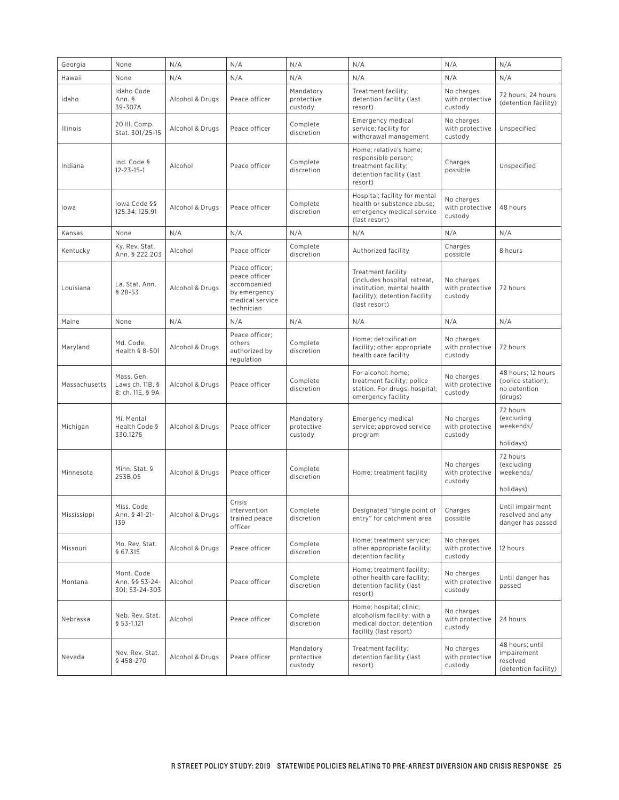| Georgia       | None                                              | N/A             | N/A                                                                                             | N/A                                | N/A                                                                                                                                | N/A                                      | N/A                                                                |
|---------------|---------------------------------------------------|-----------------|-------------------------------------------------------------------------------------------------|------------------------------------|------------------------------------------------------------------------------------------------------------------------------------|------------------------------------------|--------------------------------------------------------------------|
| Hawaii        | None                                              | N/A             | N/A                                                                                             | N/A                                | N/A                                                                                                                                | N/A                                      | N/A                                                                |
| Idaho         | Idaho Code<br>Ann. §<br>39-307A                   | Alcohol & Drugs | Peace officer                                                                                   | Mandatory<br>protective<br>custody | Treatment facility;<br>detention facility (last<br>resort)                                                                         | No charges<br>with protective<br>custody | 72 hours; 24 hours<br>(detention facility)                         |
| Illinois      | 20 III. Comp.<br>Stat. 301/25-15                  | Alcohol & Drugs | Peace officer                                                                                   | Complete<br>discretion             | Emergency medical<br>service; facility for<br>withdrawal management                                                                | No charges<br>with protective<br>custody | Unspecified                                                        |
| Indiana       | Ind. Code §<br>$12 - 23 - 15 - 1$                 | Alcohol         | Peace officer                                                                                   | Complete<br>discretion             | Home; relative's home;<br>responsible person;<br>treatment facility;<br>detention facility (last<br>resort)                        | Charges<br>possible                      | Unspecified                                                        |
| lowa          | lowa Code §§<br>125.34; 125.91                    | Alcohol & Drugs | Peace officer                                                                                   | Complete<br>discretion             | Hospital; facility for mental<br>health or substance abuse;<br>emergency medical service<br>(last resort)                          | No charges<br>with protective<br>custody | 48 hours                                                           |
| Kansas        | None                                              | N/A             | N/A                                                                                             | N/A                                | N/A                                                                                                                                | N/A                                      | N/A                                                                |
| Kentucky      | Ky. Rev. Stat.<br>Ann. § 222.203                  | Alcohol         | Peace officer                                                                                   | Complete<br>discretion             | Authorized facility                                                                                                                | Charges<br>possible                      | 8 hours                                                            |
| Louisiana     | La. Stat. Ann.<br>\$28-53                         | Alcohol & Drugs | Peace officer;<br>peace officer<br>accompanied<br>by emergency<br>medical service<br>technician |                                    | Treatment facility<br>(includes hospital, retreat,<br>institution, mental health<br>facility); detention facility<br>(last resort) | No charges<br>with protective<br>custody | 72 hours                                                           |
| Maine         | None                                              | N/A             | N/A                                                                                             | N/A                                | N/A                                                                                                                                | N/A                                      | N/A                                                                |
| Maryland      | Md. Code,<br>Health § 8-501                       | Alcohol & Drugs | Peace officer:<br>others<br>authorized by<br>regulation                                         | Complete<br>discretion             | Home: detoxification<br>facility; other appropriate<br>health care facility                                                        | No charges<br>with protective<br>custody | 72 hours                                                           |
| Massachusetts | Mass. Gen.<br>Laws ch. 11B, §<br>8; ch. 11E, § 9A | Alcohol & Drugs | Peace officer                                                                                   | Complete<br>discretion             | For alcohol: home;<br>treatment facility; police<br>station. For drugs: hospital;<br>emergency facility                            | No charges<br>with protective<br>custody | 48 hours; 12 hours<br>(police station);<br>no detention<br>(drugs) |
| Michigan      | Mi. Mental<br>Health Code §<br>330.1276           | Alcohol & Drugs | Peace officer                                                                                   | Mandatory<br>protective<br>custody | Emergency medical<br>service; approved service<br>program                                                                          | No charges<br>with protective<br>custody | 72 hours<br>(excluding<br>weekends/<br>holidays)                   |
| Minnesota     | Minn. Stat. §<br>253B.05                          | Alcohol & Drugs | Peace officer                                                                                   | Complete<br>discretion             | Home; treatment facility                                                                                                           | No charges<br>with protective<br>custody | 72 hours<br>(excluding<br>weekends/<br>holidays)                   |
| Mississippi   | Miss. Code<br>Ann. § 41-21-<br>139                | Alcohol & Drugs | Crisis<br>intervention<br>trained peace<br>officer                                              | Complete<br>discretion             | Designated "single point of<br>entry" for catchment area                                                                           | Charges<br>possible                      | Until impairment<br>resolved and any<br>danger has passed          |
| Missouri      | Mo. Rev. Stat.<br>\$67.315                        | Alcohol & Drugs | Peace officer                                                                                   | Complete<br>discretion             | Home; treatment service;<br>other appropriate facility;<br>detention facility                                                      | No charges<br>with protective<br>custody | 12 hours                                                           |
| Montana       | Mont. Code<br>Ann. §§ 53-24-<br>301; 53-24-303    | Alcohol         | Peace officer                                                                                   | Complete<br>discretion             | Home; treatment facility;<br>other health care facility;<br>detention facility (last<br>resort)                                    | No charges<br>with protective<br>custody | Until danger has<br>passed                                         |
| Nebraska      | Neb. Rev. Stat.<br>\$53-1.121                     | Alcohol         | Peace officer                                                                                   | Complete<br>discretion             | Home; hospital; clinic;<br>alcoholism facility; with a<br>medical doctor; detention<br>facility (last resort)                      | No charges<br>with protective<br>custody | 24 hours                                                           |
| Nevada        | Nev. Rev. Stat.<br>\$458-270                      | Alcohol & Drugs | Peace officer                                                                                   | Mandatory<br>protective<br>custody | Treatment facility;<br>detention facility (last<br>resort)                                                                         | No charges<br>with protective<br>custody | 48 hours; until<br>impairement<br>resolved<br>(detention facility) |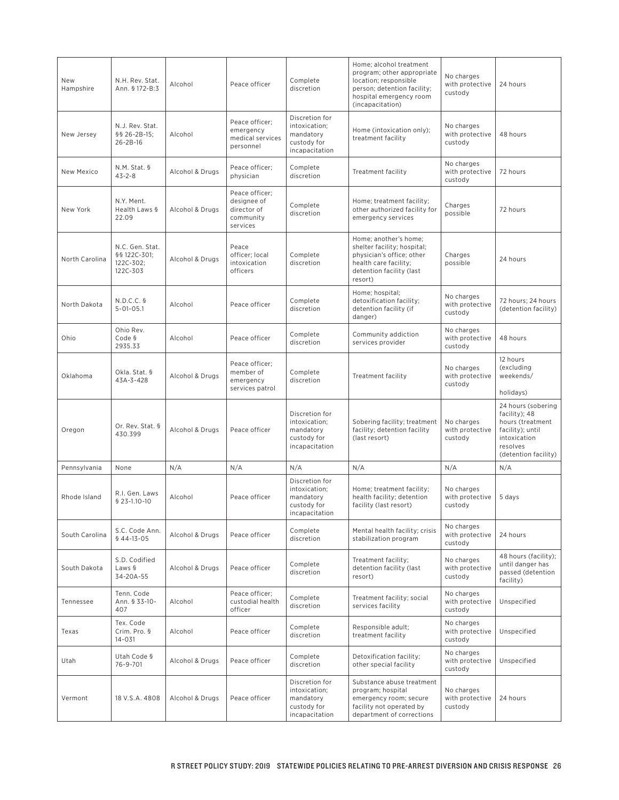| New<br>Hampshire | N.H. Rev. Stat.<br>Ann. § 172-B:3                        | Alcohol         | Peace officer                                                         | Complete<br>discretion                                                        | Home; alcohol treatment<br>program; other appropriate<br>location; responsible<br>person; detention facility;<br>hospital emergency room<br>(incapacitation) | No charges<br>with protective<br>custody | 24 hours                                                                                                                        |
|------------------|----------------------------------------------------------|-----------------|-----------------------------------------------------------------------|-------------------------------------------------------------------------------|--------------------------------------------------------------------------------------------------------------------------------------------------------------|------------------------------------------|---------------------------------------------------------------------------------------------------------------------------------|
| New Jersey       | N.J. Rev. Stat.<br>§§ 26-2B-15;<br>26-2B-16              | Alcohol         | Peace officer:<br>emergency<br>medical services<br>personnel          | Discretion for<br>intoxication;<br>mandatory<br>custody for<br>incapacitation | No charges<br>Home (intoxication only);<br>with protective<br>treatment facility<br>custody                                                                  |                                          | 48 hours                                                                                                                        |
| New Mexico       | N.M. Stat. §<br>$43 - 2 - 8$                             | Alcohol & Drugs | Peace officer:<br>physician                                           | Complete<br>discretion                                                        | Treatment facility                                                                                                                                           | No charges<br>with protective<br>custody | 72 hours                                                                                                                        |
| New York         | N.Y. Ment.<br>Health Laws §<br>22.09                     | Alcohol & Drugs | Peace officer;<br>designee of<br>director of<br>community<br>services | Complete<br>discretion                                                        | Home; treatment facility;<br>other authorized facility for<br>emergency services                                                                             | Charges<br>possible                      | 72 hours                                                                                                                        |
| North Carolina   | N.C. Gen. Stat.<br>§§ 122C-301;<br>122C-302;<br>122C-303 | Alcohol & Drugs | Peace<br>officer; local<br>intoxication<br>officers                   | Complete<br>discretion                                                        | Home; another's home;<br>shelter facility; hospital;<br>physician's office; other<br>health care facility;<br>detention facility (last<br>resort)            | Charges<br>possible                      | 24 hours                                                                                                                        |
| North Dakota     | N.D.C.C.<br>$5 - 01 - 05.1$                              | Alcohol         | Peace officer                                                         | Complete<br>discretion                                                        | Home; hospital;<br>detoxification facility;<br>detention facility (if<br>danger)                                                                             | No charges<br>with protective<br>custody | 72 hours; 24 hours<br>(detention facility)                                                                                      |
| Ohio             | Ohio Rev.<br>Code §<br>2935.33                           | Alcohol         | Peace officer                                                         | Complete<br>discretion                                                        | Community addiction<br>services provider                                                                                                                     | No charges<br>with protective<br>custody | 48 hours                                                                                                                        |
| Oklahoma         | Okla. Stat. §<br>43A-3-428                               | Alcohol & Drugs | Peace officer;<br>member of<br>emergency<br>services patrol           | Complete<br>discretion                                                        | Treatment facility                                                                                                                                           | No charges<br>with protective<br>custody | 12 hours<br>(excluding<br>weekends/<br>holidays)                                                                                |
| Oregon           | Or. Rev. Stat. §<br>430.399                              | Alcohol & Drugs | Peace officer                                                         | Discretion for<br>intoxication;<br>mandatory<br>custody for<br>incapacitation | Sobering facility; treatment<br>facility; detention facility<br>(last resort)                                                                                | No charges<br>with protective<br>custody | 24 hours (sobering<br>facility); 48<br>hours (treatment<br>facility); until<br>intoxication<br>resolves<br>(detention facility) |
| Pennsylvania     | None                                                     | N/A             | N/A                                                                   | N/A                                                                           | N/A                                                                                                                                                          | N/A                                      | N/A                                                                                                                             |
| Rhode Island     | R.I. Gen. Laws<br>\$23-1.10-10                           | Alcohol         | Peace officer                                                         | Discretion for<br>intoxication;<br>mandatory<br>custody for<br>incapacitation | Home; treatment facility;<br>health facility; detention<br>facility (last resort)                                                                            | No charges<br>with protective<br>custody | 5 days                                                                                                                          |
| South Carolina   | S.C. Code Ann.<br>§ 44-13-05                             | Alcohol & Drugs | Peace officer                                                         | Complete<br>discretion                                                        | Mental health facility; crisis<br>stabilization program                                                                                                      | No charges<br>with protective<br>custody | 24 hours                                                                                                                        |
| South Dakota     | S.D. Codified<br>Laws §<br>34-20A-55                     | Alcohol & Drugs | Peace officer                                                         | Complete<br>discretion                                                        | Treatment facility;<br>detention facility (last<br>resort)                                                                                                   | No charges<br>with protective<br>custody | 48 hours (facility);<br>until danger has<br>passed (detention<br>facility)                                                      |
| Tennessee        | Tenn. Code<br>Ann. § 33-10-<br>407                       | Alcohol         | Peace officer;<br>custodial health<br>officer                         | Complete<br>discretion                                                        | Treatment facility; social<br>services facility                                                                                                              | No charges<br>with protective<br>custody | Unspecified                                                                                                                     |
| Texas            | Tex. Code<br>Crim. Pro. §<br>14-031                      | Alcohol         | Peace officer                                                         | Complete<br>discretion                                                        | Responsible adult;<br>treatment facility                                                                                                                     | No charges<br>with protective<br>custody | Unspecified                                                                                                                     |
| Utah             | Utah Code §<br>76-9-701                                  | Alcohol & Drugs | Peace officer                                                         | Complete<br>discretion                                                        | Detoxification facility;<br>other special facility                                                                                                           | No charges<br>with protective<br>custody | Unspecified                                                                                                                     |
| Vermont          | 18 V.S.A. 4808                                           | Alcohol & Drugs | Peace officer                                                         | Discretion for<br>intoxication;<br>mandatory<br>custody for<br>incapacitation | Substance abuse treatment<br>program; hospital<br>emergency room; secure<br>facility not operated by<br>department of corrections                            | No charges<br>with protective<br>custody | 24 hours                                                                                                                        |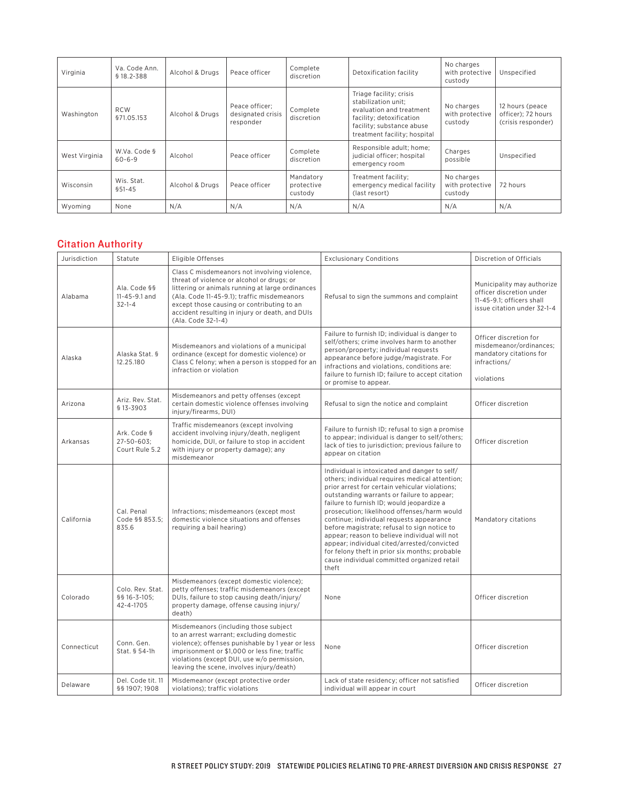| Virginia      | Va. Code Ann.<br>\$18.2-388  | Alcohol & Drugs | Peace officer                                    | Complete<br>discretion             | Detoxification facility                                                                                                                                             | No charges<br>with protective<br>custody | Unspecified                                                 |
|---------------|------------------------------|-----------------|--------------------------------------------------|------------------------------------|---------------------------------------------------------------------------------------------------------------------------------------------------------------------|------------------------------------------|-------------------------------------------------------------|
| Washington    | <b>RCW</b><br>§71.05.153     | Alcohol & Drugs | Peace officer:<br>designated crisis<br>responder | Complete<br>discretion             | Triage facility; crisis<br>stabilization unit:<br>evaluation and treatment<br>facility; detoxification<br>facility; substance abuse<br>treatment facility: hospital | No charges<br>with protective<br>custody | 12 hours (peace<br>officer); 72 hours<br>(crisis responder) |
| West Virginia | W.Va. Code §<br>$60 - 6 - 9$ | Alcohol         | Peace officer                                    | Complete<br>discretion             | Responsible adult; home;<br>judicial officer; hospital<br>emergency room                                                                                            | Charges<br>possible                      | Unspecified                                                 |
| Wisconsin     | Wis. Stat.<br>$$51-45$       | Alcohol & Drugs | Peace officer                                    | Mandatory<br>protective<br>custody | Treatment facility;<br>emergency medical facility<br>(last resort)                                                                                                  | No charges<br>with protective<br>custody | 72 hours                                                    |
| Wyoming       | None                         | N/A             | N/A                                              | N/A                                | N/A                                                                                                                                                                 | N/A                                      | N/A                                                         |

# Citation Authority

| Jurisdiction | Statute                                       | Eligible Offenses                                                                                                                                                                                                                                                                                                    | <b>Exclusionary Conditions</b>                                                                                                                                                                                                                                                                                                                                                                                                                                                                                                                                                                    | Discretion of Officials                                                                                            |
|--------------|-----------------------------------------------|----------------------------------------------------------------------------------------------------------------------------------------------------------------------------------------------------------------------------------------------------------------------------------------------------------------------|---------------------------------------------------------------------------------------------------------------------------------------------------------------------------------------------------------------------------------------------------------------------------------------------------------------------------------------------------------------------------------------------------------------------------------------------------------------------------------------------------------------------------------------------------------------------------------------------------|--------------------------------------------------------------------------------------------------------------------|
| Alabama      | Ala. Code §§<br>11-45-9.1 and<br>$32 - 1 - 4$ | Class C misdemeanors not involving violence,<br>threat of violence or alcohol or drugs; or<br>littering or animals running at large ordinances<br>(Ala. Code 11-45-9.1); traffic misdemeanors<br>except those causing or contributing to an<br>accident resulting in injury or death, and DUIs<br>(Ala. Code 32-1-4) | Refusal to sign the summons and complaint                                                                                                                                                                                                                                                                                                                                                                                                                                                                                                                                                         | Municipality may authorize<br>officer discretion under<br>11-45-9.1: officers shall<br>issue citation under 32-1-4 |
| Alaska       | Alaska Stat, §<br>12.25.180                   | Misdemeanors and violations of a municipal<br>ordinance (except for domestic violence) or<br>Class C felony; when a person is stopped for an<br>infraction or violation                                                                                                                                              | Failure to furnish ID; individual is danger to<br>self/others; crime involves harm to another<br>person/property; individual requests<br>appearance before judge/magistrate. For<br>infractions and violations, conditions are:<br>failure to furnish ID; failure to accept citation<br>or promise to appear.                                                                                                                                                                                                                                                                                     | Officer discretion for<br>misdemeanor/ordinances;<br>mandatory citations for<br>infractions/<br>violations         |
| Arizona      | Ariz. Rev. Stat.<br>\$13-3903                 | Misdemeanors and petty offenses (except<br>certain domestic violence offenses involving<br>injury/firearms, DUI)                                                                                                                                                                                                     | Refusal to sign the notice and complaint                                                                                                                                                                                                                                                                                                                                                                                                                                                                                                                                                          | Officer discretion                                                                                                 |
| Arkansas     | Ark. Code §<br>27-50-603;<br>Court Rule 5.2   | Traffic misdemeanors (except involving<br>accident involving injury/death, negligent<br>homicide, DUI, or failure to stop in accident<br>with injury or property damage); any<br>misdemeanor                                                                                                                         | Failure to furnish ID; refusal to sign a promise<br>to appear; individual is danger to self/others;<br>lack of ties to jurisdiction; previous failure to<br>appear on citation                                                                                                                                                                                                                                                                                                                                                                                                                    | Officer discretion                                                                                                 |
| California   | Cal. Penal<br>Code §§ 853.5;<br>835.6         | Infractions; misdemeanors (except most<br>domestic violence situations and offenses<br>requiring a bail hearing)                                                                                                                                                                                                     | Individual is intoxicated and danger to self/<br>others; individual requires medical attention;<br>prior arrest for certain vehicular violations:<br>outstanding warrants or failure to appear;<br>failure to furnish ID; would jeopardize a<br>prosecution; likelihood offenses/harm would<br>continue; individual requests appearance<br>before magistrate; refusal to sign notice to<br>appear; reason to believe individual will not<br>appear; individual cited/arrested/convicted<br>for felony theft in prior six months; probable<br>cause individual committed organized retail<br>theft | Mandatory citations                                                                                                |
| Colorado     | Colo. Rev. Stat.<br>§§ 16-3-105;<br>42-4-1705 | Misdemeanors (except domestic violence);<br>petty offenses; traffic misdemeanors (except<br>DUIs, failure to stop causing death/injury/<br>property damage, offense causing injury/<br>death)                                                                                                                        | None                                                                                                                                                                                                                                                                                                                                                                                                                                                                                                                                                                                              | Officer discretion                                                                                                 |
| Connecticut  | Conn. Gen.<br>Stat. § 54-1h                   | Misdemeanors (including those subject<br>to an arrest warrant; excluding domestic<br>violence); offenses punishable by 1 year or less<br>imprisonment or \$1,000 or less fine; traffic<br>violations (except DUI, use w/o permission,<br>leaving the scene, involves injury/death)                                   | None                                                                                                                                                                                                                                                                                                                                                                                                                                                                                                                                                                                              | Officer discretion                                                                                                 |
| Delaware     | Del. Code tit. 11<br>§§ 1907; 1908            | Misdemeanor (except protective order<br>violations); traffic violations                                                                                                                                                                                                                                              | Lack of state residency; officer not satisfied<br>individual will appear in court                                                                                                                                                                                                                                                                                                                                                                                                                                                                                                                 | Officer discretion                                                                                                 |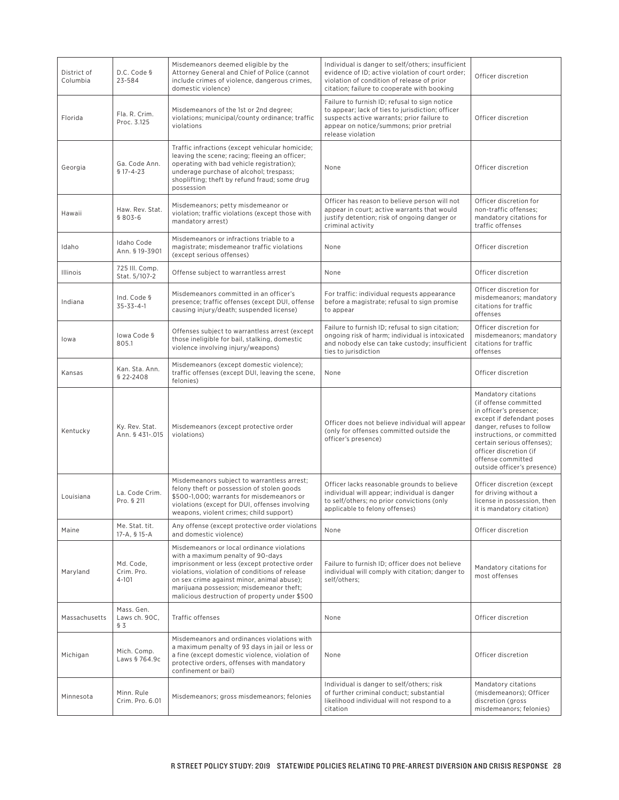| District of<br>Columbia | D.C. Code §<br>23-584             | Misdemeanors deemed eligible by the<br>Attorney General and Chief of Police (cannot<br>include crimes of violence, dangerous crimes,<br>domestic violence)                                                                                                                                                                    | Individual is danger to self/others; insufficient<br>evidence of ID; active violation of court order;<br>violation of condition of release of prior<br>citation; failure to cooperate with booking               | Officer discretion                                                                                                                                                                                                                                                         |
|-------------------------|-----------------------------------|-------------------------------------------------------------------------------------------------------------------------------------------------------------------------------------------------------------------------------------------------------------------------------------------------------------------------------|------------------------------------------------------------------------------------------------------------------------------------------------------------------------------------------------------------------|----------------------------------------------------------------------------------------------------------------------------------------------------------------------------------------------------------------------------------------------------------------------------|
| Florida                 | Fla. R. Crim.<br>Proc. 3.125      | Misdemeanors of the 1st or 2nd degree;<br>violations; municipal/county ordinance; traffic<br>violations                                                                                                                                                                                                                       | Failure to furnish ID; refusal to sign notice<br>to appear; lack of ties to jurisdiction; officer<br>suspects active warrants; prior failure to<br>appear on notice/summons; prior pretrial<br>release violation | Officer discretion                                                                                                                                                                                                                                                         |
| Georgia                 | Ga. Code Ann.<br>§ 17-4-23        | Traffic infractions (except vehicular homicide;<br>leaving the scene; racing; fleeing an officer;<br>operating with bad vehicle registration);<br>underage purchase of alcohol; trespass;<br>shoplifting; theft by refund fraud; some drug<br>possession                                                                      | None                                                                                                                                                                                                             | Officer discretion                                                                                                                                                                                                                                                         |
| Hawaii                  | Haw. Rev. Stat.<br>\$803-6        | Misdemeanors; petty misdemeanor or<br>violation; traffic violations (except those with<br>mandatory arrest)                                                                                                                                                                                                                   | Officer has reason to believe person will not<br>appear in court; active warrants that would<br>justify detention; risk of ongoing danger or<br>criminal activity                                                | Officer discretion for<br>non-traffic offenses;<br>mandatory citations for<br>traffic offenses                                                                                                                                                                             |
| Idaho                   | Idaho Code<br>Ann. § 19-3901      | Misdemeanors or infractions triable to a<br>magistrate; misdemeanor traffic violations<br>(except serious offenses)                                                                                                                                                                                                           | None                                                                                                                                                                                                             | Officer discretion                                                                                                                                                                                                                                                         |
| Illinois                | 725 III. Comp.<br>Stat. 5/107-2   | Offense subject to warrantless arrest                                                                                                                                                                                                                                                                                         | None                                                                                                                                                                                                             | Officer discretion                                                                                                                                                                                                                                                         |
| Indiana                 | Ind. Code §<br>$35 - 33 - 4 - 1$  | Misdemeanors committed in an officer's<br>presence; traffic offenses (except DUI, offense<br>causing injury/death; suspended license)                                                                                                                                                                                         | For traffic: individual requests appearance<br>before a magistrate; refusal to sign promise<br>to appear                                                                                                         | Officer discretion for<br>misdemeanors; mandatory<br>citations for traffic<br>offenses                                                                                                                                                                                     |
| lowa                    | lowa Code §<br>805.1              | Offenses subject to warrantless arrest (except<br>those ineligible for bail, stalking, domestic<br>violence involving injury/weapons)                                                                                                                                                                                         | Failure to furnish ID; refusal to sign citation;<br>ongoing risk of harm; individual is intoxicated<br>and nobody else can take custody; insufficient<br>ties to jurisdiction                                    | Officer discretion for<br>misdemeanors; mandatory<br>citations for traffic<br>offenses                                                                                                                                                                                     |
| Kansas                  | Kan. Sta. Ann.<br>\$22-2408       | Misdemeanors (except domestic violence);<br>traffic offenses (except DUI, leaving the scene,<br>felonies)                                                                                                                                                                                                                     | None                                                                                                                                                                                                             | Officer discretion                                                                                                                                                                                                                                                         |
| Kentucky                | Ky. Rev. Stat.<br>Ann. § 431-.015 | Misdemeanors (except protective order<br>violations)                                                                                                                                                                                                                                                                          | Officer does not believe individual will appear<br>(only for offenses committed outside the<br>officer's presence)                                                                                               | Mandatory citations<br>(if offense committed<br>in officer's presence;<br>except if defendant poses<br>danger, refuses to follow<br>instructions, or committed<br>certain serious offenses);<br>officer discretion (if<br>offense committed<br>outside officer's presence) |
| Louisiana               | La. Code Crim.<br>Pro. § 211      | Misdemeanors subject to warrantless arrest;<br>felony theft or possession of stolen goods<br>\$500-1,000; warrants for misdemeanors or<br>violations (except for DUI, offenses involving<br>weapons, violent crimes; child support)                                                                                           | Officer lacks reasonable grounds to believe<br>individual will appear; individual is danger<br>to self/others; no prior convictions (only<br>applicable to felony offenses)                                      | Officer discretion (except<br>for driving without a<br>license in possession, then<br>it is mandatory citation)                                                                                                                                                            |
| Maine                   | Me. Stat. tit.<br>17-A, § 15-A    | Any offense (except protective order violations<br>and domestic violence)                                                                                                                                                                                                                                                     | None                                                                                                                                                                                                             | Officer discretion                                                                                                                                                                                                                                                         |
| Maryland                | Md. Code,<br>Crim. Pro.<br>4-101  | Misdemeanors or local ordinance violations<br>with a maximum penalty of 90-days<br>imprisonment or less (except protective order<br>violations, violation of conditions of release<br>on sex crime against minor, animal abuse);<br>marijuana possession; misdemeanor theft;<br>malicious destruction of property under \$500 | Failure to furnish ID; officer does not believe<br>individual will comply with citation; danger to<br>self/others;                                                                                               | Mandatory citations for<br>most offenses                                                                                                                                                                                                                                   |
| Massachusetts           | Mass. Gen.<br>Laws ch. 90C,<br>§3 | Traffic offenses                                                                                                                                                                                                                                                                                                              | None                                                                                                                                                                                                             | Officer discretion                                                                                                                                                                                                                                                         |
| Michigan                | Mich. Comp.<br>Laws § 764.9c      | Misdemeanors and ordinances violations with<br>a maximum penalty of 93 days in jail or less or<br>a fine (except domestic violence, violation of<br>protective orders, offenses with mandatory<br>confinement or bail)                                                                                                        | None                                                                                                                                                                                                             | Officer discretion                                                                                                                                                                                                                                                         |
| Minnesota               | Minn. Rule<br>Crim. Pro. 6.01     | Misdemeanors; gross misdemeanors; felonies                                                                                                                                                                                                                                                                                    | Individual is danger to self/others; risk<br>of further criminal conduct; substantial<br>likelihood individual will not respond to a<br>citation                                                                 | Mandatory citations<br>(misdemeanors); Officer<br>discretion (gross<br>misdemeanors; felonies)                                                                                                                                                                             |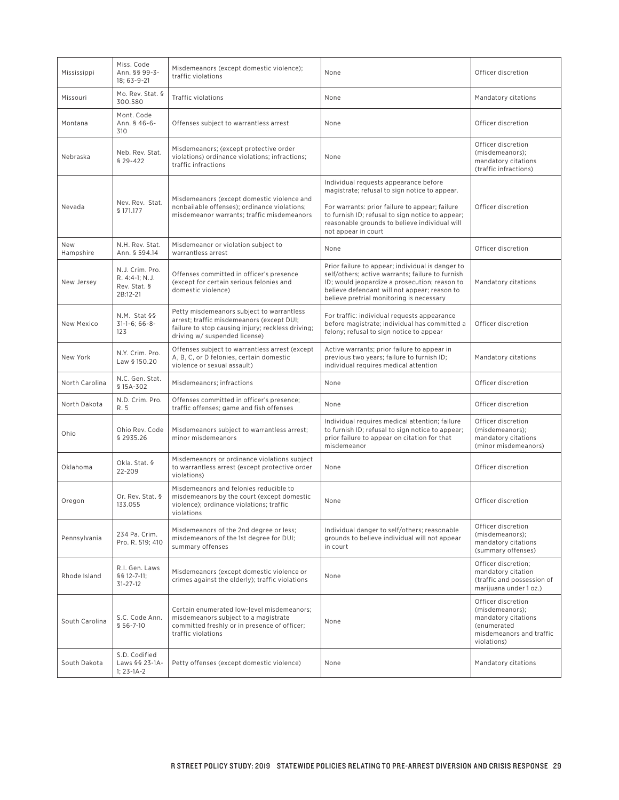| Mississippi      | Miss. Code<br>Ann. §§ 99-3-<br>18; 63-9-21                    | Misdemeanors (except domestic violence);<br>traffic violations                                                                                                               | None                                                                                                                                                                                                                                                                 | Officer discretion                                                                                                     |
|------------------|---------------------------------------------------------------|------------------------------------------------------------------------------------------------------------------------------------------------------------------------------|----------------------------------------------------------------------------------------------------------------------------------------------------------------------------------------------------------------------------------------------------------------------|------------------------------------------------------------------------------------------------------------------------|
| Missouri         | Mo. Rev. Stat. §<br>300.580                                   | Traffic violations                                                                                                                                                           | None                                                                                                                                                                                                                                                                 | Mandatory citations                                                                                                    |
| Montana          | Mont. Code<br>Ann. § 46-6-<br>310                             | Offenses subject to warrantless arrest                                                                                                                                       | None                                                                                                                                                                                                                                                                 | Officer discretion                                                                                                     |
| Nebraska         | Neb. Rev. Stat.<br>\$29-422                                   | Misdemeanors; (except protective order<br>violations) ordinance violations; infractions;<br>traffic infractions                                                              | None                                                                                                                                                                                                                                                                 | Officer discretion<br>(misdemeanors);<br>mandatory citations<br>(traffic infractions)                                  |
| Nevada           | Nev. Rev. Stat.<br>\$171.177                                  | Misdemeanors (except domestic violence and<br>nonbailable offenses); ordinance violations;<br>misdemeanor warrants; traffic misdemeanors                                     | Individual requests appearance before<br>magistrate; refusal to sign notice to appear.<br>For warrants: prior failure to appear; failure<br>to furnish ID; refusal to sign notice to appear;<br>reasonable grounds to believe individual will<br>not appear in court | Officer discretion                                                                                                     |
| New<br>Hampshire | N.H. Rev. Stat.<br>Ann. § 594.14                              | Misdemeanor or violation subject to<br>warrantless arrest                                                                                                                    | None                                                                                                                                                                                                                                                                 | Officer discretion                                                                                                     |
| New Jersey       | N.J. Crim. Pro.<br>R. 4:4-1; N.J.<br>Rev. Stat. §<br>2B:12-21 | Offenses committed in officer's presence<br>(except for certain serious felonies and<br>domestic violence)                                                                   | Prior failure to appear; individual is danger to<br>self/others; active warrants; failure to furnish<br>ID; would jeopardize a prosecution; reason to<br>believe defendant will not appear; reason to<br>believe pretrial monitoring is necessary                    | Mandatory citations                                                                                                    |
| New Mexico       | N.M. Stat §§<br>$31-1-6$ ; 66-8-<br>123                       | Petty misdemeanors subject to warrantless<br>arrest; traffic misdemeanors (except DUI;<br>failure to stop causing injury; reckless driving;<br>driving w/ suspended license) | For traffic: individual requests appearance<br>before magistrate; individual has committed a<br>felony; refusal to sign notice to appear                                                                                                                             | Officer discretion                                                                                                     |
| New York         | N.Y. Crim. Pro.<br>Law § 150.20                               | Offenses subject to warrantless arrest (except<br>A, B, C, or D felonies, certain domestic<br>violence or sexual assault)                                                    | Active warrants; prior failure to appear in<br>previous two years; failure to furnish ID;<br>individual requires medical attention                                                                                                                                   | Mandatory citations                                                                                                    |
| North Carolina   | N.C. Gen. Stat.<br>§ 15A-302                                  | Misdemeanors; infractions                                                                                                                                                    | None                                                                                                                                                                                                                                                                 | Officer discretion                                                                                                     |
| North Dakota     | N.D. Crim. Pro.<br>R. 5                                       | Offenses committed in officer's presence;<br>traffic offenses; game and fish offenses                                                                                        | None                                                                                                                                                                                                                                                                 | Officer discretion                                                                                                     |
| Ohio             | Ohio Rev. Code<br>\$2935.26                                   | Misdemeanors subject to warrantless arrest;<br>minor misdemeanors                                                                                                            | Individual requires medical attention; failure<br>to furnish ID; refusal to sign notice to appear;<br>prior failure to appear on citation for that<br>misdemeanor                                                                                                    | Officer discretion<br>(misdemeanors);<br>mandatory citations<br>(minor misdemeanors)                                   |
| Oklahoma         | Okla. Stat. §<br>22-209                                       | Misdemeanors or ordinance violations subject<br>to warrantless arrest (except protective order<br>violations)                                                                | None                                                                                                                                                                                                                                                                 | Officer discretion                                                                                                     |
| Oregon           | Or. Rev. Stat. §<br>133.055                                   | Misdemeanors and felonies reducible to<br>misdemeanors by the court (except domestic<br>violence); ordinance violations; traffic<br>violations                               | None                                                                                                                                                                                                                                                                 | Officer discretion                                                                                                     |
| Pennsylvania     | 234 Pa. Crim.<br>Pro. R. 519; 410                             | Misdemeanors of the 2nd degree or less;<br>misdemeanors of the 1st degree for DUI;<br>summary offenses                                                                       | Individual danger to self/others; reasonable<br>grounds to believe individual will not appear<br>in court                                                                                                                                                            | Officer discretion<br>(misdemeanors);<br>mandatory citations<br>(summary offenses)                                     |
| Rhode Island     | R.I. Gen. Laws<br>§§ 12-7-11:<br>31-27-12                     | Misdemeanors (except domestic violence or<br>crimes against the elderly); traffic violations                                                                                 | None                                                                                                                                                                                                                                                                 | Officer discretion;<br>mandatory citation<br>(traffic and possession of<br>marijuana under 1 oz.)                      |
| South Carolina   | S.C. Code Ann.<br>\$56-7-10                                   | Certain enumerated low-level misdemeanors;<br>misdemeanors subject to a magistrate<br>committed freshly or in presence of officer;<br>traffic violations                     | None                                                                                                                                                                                                                                                                 | Officer discretion<br>(misdemeanors):<br>mandatory citations<br>(enumerated<br>misdemeanors and traffic<br>violations) |
| South Dakota     | S.D. Codified<br>Laws §§ 23-1A-<br>$1: 23-1A-2$               | Petty offenses (except domestic violence)                                                                                                                                    | None                                                                                                                                                                                                                                                                 | Mandatory citations                                                                                                    |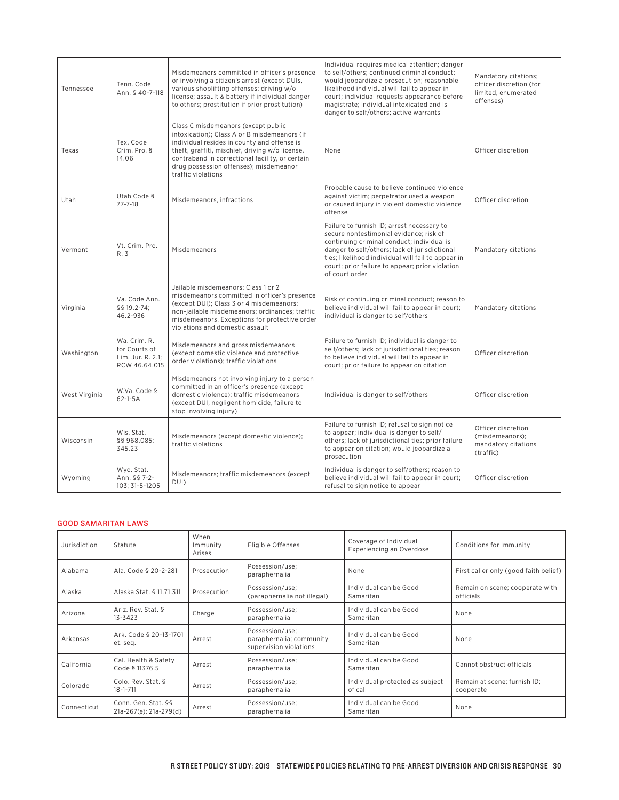|               |                                                                     |                                                                                                                                                                                                                                                                                                          | Individual requires medical attention; danger                                                                                                                                                                                                                                                                   |                                                                                     |
|---------------|---------------------------------------------------------------------|----------------------------------------------------------------------------------------------------------------------------------------------------------------------------------------------------------------------------------------------------------------------------------------------------------|-----------------------------------------------------------------------------------------------------------------------------------------------------------------------------------------------------------------------------------------------------------------------------------------------------------------|-------------------------------------------------------------------------------------|
| Tennessee     | Tenn. Code<br>Ann. § 40-7-118                                       | Misdemeanors committed in officer's presence<br>or involving a citizen's arrest (except DUIs,<br>various shoplifting offenses; driving w/o<br>license; assault & battery if individual danger<br>to others; prostitution if prior prostitution)                                                          | to self/others; continued criminal conduct;<br>would jeopardize a prosecution; reasonable<br>likelihood individual will fail to appear in<br>court; individual requests appearance before<br>magistrate; individual intoxicated and is<br>danger to self/others; active warrants                                | Mandatory citations;<br>officer discretion (for<br>limited, enumerated<br>offenses) |
| Texas         | Tex. Code<br>Crim. Pro. §<br>14.06                                  | Class C misdemeanors (except public<br>intoxication); Class A or B misdemeanors (if<br>individual resides in county and offense is<br>theft, graffiti, mischief, driving w/o license,<br>contraband in correctional facility, or certain<br>drug possession offenses); misdemeanor<br>traffic violations | None                                                                                                                                                                                                                                                                                                            | Officer discretion                                                                  |
| Utah          | Utah Code §<br>$77 - 7 - 18$                                        | Misdemeanors, infractions                                                                                                                                                                                                                                                                                | Probable cause to believe continued violence<br>against victim; perpetrator used a weapon<br>or caused injury in violent domestic violence<br>offense                                                                                                                                                           | Officer discretion                                                                  |
| Vermont       | Vt. Crim. Pro.<br>R. 3                                              | Misdemeanors                                                                                                                                                                                                                                                                                             | Failure to furnish ID; arrest necessary to<br>secure nontestimonial evidence; risk of<br>continuing criminal conduct; individual is<br>danger to self/others; lack of jurisdictional<br>ties; likelihood individual will fail to appear in<br>court; prior failure to appear; prior violation<br>of court order | Mandatory citations                                                                 |
| Virginia      | Va. Code Ann.<br>§§ 19.2-74;<br>46.2-936                            | Jailable misdemeanors; Class 1 or 2<br>misdemeanors committed in officer's presence<br>(except DUI); Class 3 or 4 misdemeanors;<br>non-jailable misdemeanors; ordinances; traffic<br>misdemeanors. Exceptions for protective order<br>violations and domestic assault                                    | Risk of continuing criminal conduct; reason to<br>believe individual will fail to appear in court;<br>individual is danger to self/others                                                                                                                                                                       | Mandatory citations                                                                 |
| Washington    | Wa. Crim. R.<br>for Courts of<br>Lim. Jur. R. 2.1:<br>RCW 46.64.015 | Misdemeanors and gross misdemeanors<br>(except domestic violence and protective<br>order violations); traffic violations                                                                                                                                                                                 | Failure to furnish ID; individual is danger to<br>self/others; lack of jurisdictional ties; reason<br>to believe individual will fail to appear in<br>court; prior failure to appear on citation                                                                                                                | Officer discretion                                                                  |
| West Virginia | W.Va. Code §<br>$62 - 1 - 5A$                                       | Misdemeanors not involving injury to a person<br>committed in an officer's presence (except<br>domestic violence); traffic misdemeanors<br>(except DUI, negligent homicide, failure to<br>stop involving injury)                                                                                         | Individual is danger to self/others                                                                                                                                                                                                                                                                             | Officer discretion                                                                  |
| Wisconsin     | Wis. Stat.<br>§§ 968.085;<br>345.23                                 | Misdemeanors (except domestic violence);<br>traffic violations                                                                                                                                                                                                                                           | Failure to furnish ID; refusal to sign notice<br>to appear; individual is danger to self/<br>others; lack of jurisdictional ties; prior failure<br>to appear on citation; would jeopardize a<br>prosecution                                                                                                     | Officer discretion<br>(misdemeanors);<br>mandatory citations<br>(traffic)           |
| Wyoming       | Wyo. Stat.<br>Ann. §§ 7-2-<br>103; 31-5-1205                        | Misdemeanors; traffic misdemeanors (except<br>DUI)                                                                                                                                                                                                                                                       | Individual is danger to self/others; reason to<br>believe individual will fail to appear in court;<br>refusal to sign notice to appear                                                                                                                                                                          | Officer discretion                                                                  |

### GOOD SAMARITAN LAWS

| Jurisdiction | Statute                                       | When<br>Immunity<br>Arises | Eligible Offenses                                                     | Coverage of Individual<br>Experiencing an Overdose | Conditions for Immunity                      |
|--------------|-----------------------------------------------|----------------------------|-----------------------------------------------------------------------|----------------------------------------------------|----------------------------------------------|
| Alabama      | Ala. Code § 20-2-281                          | Prosecution                | Possession/use;<br>paraphernalia                                      | None                                               | First caller only (good faith belief)        |
| Alaska       | Alaska Stat. § 11.71.311                      | Prosecution                | Possession/use;<br>(paraphernalia not illegal)                        | Individual can be Good<br>Samaritan                | Remain on scene; cooperate with<br>officials |
| Arizona      | Ariz, Rev. Stat. §<br>13-3423                 | Charge                     | Possession/use;<br>paraphernalia                                      | Individual can be Good<br>Samaritan                | None                                         |
| Arkansas     | Ark. Code § 20-13-1701<br>et. seg.            | Arrest                     | Possession/use;<br>paraphernalia; community<br>supervision violations | Individual can be Good<br>Samaritan                | None                                         |
| California   | Cal. Health & Safety<br>Code § 11376.5        | Arrest                     | Possession/use;<br>paraphernalia                                      | Individual can be Good<br>Samaritan                | Cannot obstruct officials                    |
| Colorado     | Colo, Rev. Stat. §<br>$18 - 1 - 711$          | Arrest                     | Possession/use;<br>paraphernalia                                      | Individual protected as subject<br>of call         | Remain at scene; furnish ID;<br>cooperate    |
| Connecticut  | Conn. Gen. Stat. §§<br>21a-267(e); 21a-279(d) | Arrest                     | Possession/use;<br>paraphernalia                                      | Individual can be Good<br>Samaritan                | None                                         |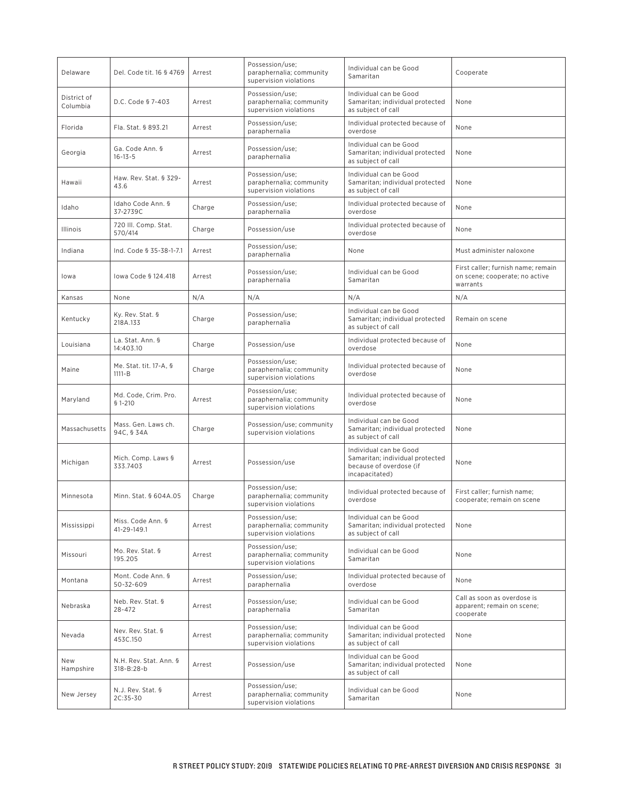| Delaware                | Del. Code tit. 16 § 4769             | Arrest | Possession/use;<br>paraphernalia; community<br>supervision violations | Individual can be Good<br>Samaritan                                                                    | Cooperate                                                                        |
|-------------------------|--------------------------------------|--------|-----------------------------------------------------------------------|--------------------------------------------------------------------------------------------------------|----------------------------------------------------------------------------------|
| District of<br>Columbia | D.C. Code § 7-403                    | Arrest | Possession/use;<br>paraphernalia; community<br>supervision violations | Individual can be Good<br>Samaritan; individual protected<br>as subject of call                        | None                                                                             |
| Florida                 | Fla. Stat. § 893.21                  | Arrest | Possession/use;<br>paraphernalia                                      | Individual protected because of<br>overdose                                                            | None                                                                             |
| Georgia                 | Ga. Code Ann. §<br>$16 - 13 - 5$     | Arrest | Possession/use;<br>paraphernalia                                      | Individual can be Good<br>Samaritan; individual protected<br>as subject of call                        | None                                                                             |
| Hawaii                  | Haw. Rev. Stat. § 329-<br>43.6       | Arrest | Possession/use;<br>paraphernalia; community<br>supervision violations | Individual can be Good<br>Samaritan: individual protected<br>as subject of call                        | None                                                                             |
| Idaho                   | Idaho Code Ann. §<br>37-2739C        | Charge | Possession/use;<br>paraphernalia                                      | Individual protected because of<br>overdose                                                            | None                                                                             |
| Illinois                | 720 III. Comp. Stat.<br>570/414      | Charge | Possession/use                                                        | Individual protected because of<br>overdose                                                            | None                                                                             |
| Indiana                 | Ind. Code § 35-38-1-7.1              | Arrest | Possession/use;<br>paraphernalia                                      | None                                                                                                   | Must administer naloxone                                                         |
| lowa                    | lowa Code § 124.418                  | Arrest | Possession/use;<br>paraphernalia                                      | Individual can be Good<br>Samaritan                                                                    | First caller; furnish name; remain<br>on scene; cooperate; no active<br>warrants |
| Kansas                  | None                                 | N/A    | N/A                                                                   | N/A                                                                                                    | N/A                                                                              |
| Kentucky                | Ky. Rev. Stat. §<br>218A.133         | Charge | Possession/use;<br>paraphernalia                                      | Individual can be Good<br>Samaritan; individual protected<br>as subject of call                        | Remain on scene                                                                  |
| Louisiana               | La. Stat. Ann. §<br>14:403.10        | Charge | Possession/use                                                        | Individual protected because of<br>overdose                                                            | None                                                                             |
| Maine                   | Me. Stat. tit. 17-A, §<br>$1111 - B$ | Charge | Possession/use;<br>paraphernalia; community<br>supervision violations | Individual protected because of<br>overdose                                                            | None                                                                             |
| Maryland                | Md. Code, Crim. Pro.<br>§ 1-210      | Arrest | Possession/use;<br>paraphernalia; community<br>supervision violations | Individual protected because of<br>overdose                                                            | None                                                                             |
| Massachusetts           | Mass. Gen. Laws ch.<br>94C, § 34A    | Charge | Possession/use; community<br>supervision violations                   | Individual can be Good<br>Samaritan; individual protected<br>as subject of call                        | None                                                                             |
| Michigan                | Mich. Comp. Laws §<br>333.7403       | Arrest | Possession/use                                                        | Individual can be Good<br>Samaritan; individual protected<br>because of overdose (if<br>incapacitated) | None                                                                             |
| Minnesota               | Minn. Stat. § 604A.05                | Charge | Possession/use;<br>paraphernalia; community<br>supervision violations | Individual protected because of<br>overdose                                                            | First caller; furnish name;<br>cooperate; remain on scene                        |
| Mississippi             | Miss. Code Ann. §<br>41-29-149.1     | Arrest | Possession/use;<br>paraphernalia; community<br>supervision violations | Individual can be Good<br>Samaritan; individual protected<br>as subject of call                        | None                                                                             |
| Missouri                | Mo. Rev. Stat. §<br>195.205          | Arrest | Possession/use;<br>paraphernalia; community<br>supervision violations | Individual can be Good<br>Samaritan                                                                    | None                                                                             |
| Montana                 | Mont. Code Ann. §<br>50-32-609       | Arrest | Possession/use;<br>paraphernalia                                      | Individual protected because of<br>overdose                                                            | None                                                                             |
| Nebraska                | Neb. Rev. Stat. §<br>28-472          | Arrest | Possession/use;<br>paraphernalia                                      | Individual can be Good<br>Samaritan                                                                    | Call as soon as overdose is<br>apparent; remain on scene;<br>cooperate           |
| Nevada                  | Nev. Rev. Stat. §<br>453C.150        | Arrest | Possession/use:<br>paraphernalia; community<br>supervision violations | Individual can be Good<br>Samaritan; individual protected<br>as subject of call                        | None                                                                             |
| New<br>Hampshire        | N.H. Rev. Stat. Ann. §<br>318-B:28-b | Arrest | Possession/use                                                        | Individual can be Good<br>Samaritan; individual protected<br>as subject of call                        | None                                                                             |
| New Jersey              | N.J. Rev. Stat. §<br>2C:35-30        | Arrest | Possession/use;<br>paraphernalia; community<br>supervision violations | Individual can be Good<br>Samaritan                                                                    | None                                                                             |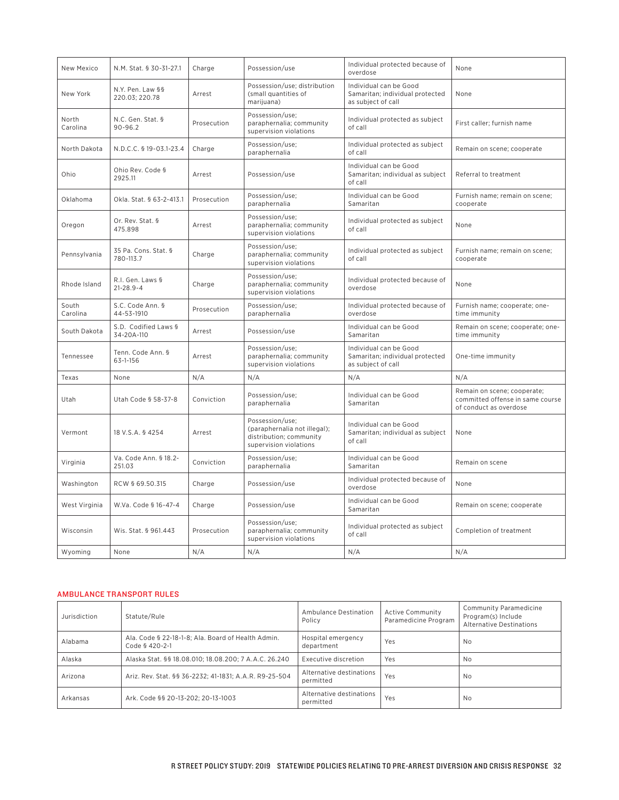| New Mexico        | N.M. Stat. § 30-31-27.1             | Charge      | Possession/use                                                                                       | Individual protected because of<br>overdose                                     | None                                                                                      |
|-------------------|-------------------------------------|-------------|------------------------------------------------------------------------------------------------------|---------------------------------------------------------------------------------|-------------------------------------------------------------------------------------------|
| New York          | N.Y. Pen. Law §§<br>220.03; 220.78  | Arrest      | Possession/use; distribution<br>(small quantities of<br>marijuana)                                   | Individual can be Good<br>Samaritan; individual protected<br>as subject of call | None                                                                                      |
| North<br>Carolina | N.C. Gen. Stat. §<br>90-96.2        | Prosecution | Possession/use;<br>paraphernalia; community<br>supervision violations                                | Individual protected as subject<br>of call                                      | First caller; furnish name                                                                |
| North Dakota      | N.D.C.C. § 19-03.1-23.4             | Charge      | Possession/use;<br>paraphernalia                                                                     | Individual protected as subject<br>of call                                      | Remain on scene; cooperate                                                                |
| Ohio              | Ohio Rev. Code §<br>2925.11         | Arrest      | Possession/use                                                                                       | Individual can be Good<br>Samaritan; individual as subject<br>of call           | Referral to treatment                                                                     |
| Oklahoma          | Okla. Stat. § 63-2-413.1            | Prosecution | Possession/use;<br>paraphernalia                                                                     | Individual can be Good<br>Samaritan                                             | Furnish name; remain on scene;<br>cooperate                                               |
| Oregon            | Or. Rev. Stat. §<br>475.898         | Arrest      | Possession/use;<br>paraphernalia; community<br>supervision violations                                | Individual protected as subject<br>of call                                      | None                                                                                      |
| Pennsylvania      | 35 Pa. Cons. Stat. §<br>780-113.7   | Charge      | Possession/use;<br>paraphernalia; community<br>supervision violations                                | Individual protected as subject<br>of call                                      | Furnish name; remain on scene;<br>cooperate                                               |
| Rhode Island      | R.I. Gen. Laws §<br>$21 - 28.9 - 4$ | Charge      | Possession/use;<br>paraphernalia; community<br>supervision violations                                | Individual protected because of<br>overdose                                     | None                                                                                      |
| South<br>Carolina | S.C. Code Ann. §<br>44-53-1910      | Prosecution | Possession/use;<br>paraphernalia                                                                     | Individual protected because of<br>overdose                                     | Furnish name; cooperate; one-<br>time immunity                                            |
| South Dakota      | S.D. Codified Laws §<br>34-20A-110  | Arrest      | Possession/use                                                                                       | Individual can be Good<br>Samaritan                                             | Remain on scene; cooperate; one-<br>time immunity                                         |
| Tennessee         | Tenn. Code Ann. §<br>63-1-156       | Arrest      | Possession/use;<br>paraphernalia; community<br>supervision violations                                | Individual can be Good<br>Samaritan; individual protected<br>as subject of call | One-time immunity                                                                         |
| Texas             | None                                | N/A         | N/A                                                                                                  | N/A                                                                             | N/A                                                                                       |
| Utah              | Utah Code § 58-37-8                 | Conviction  | Possession/use;<br>paraphernalia                                                                     | Individual can be Good<br>Samaritan                                             | Remain on scene; cooperate;<br>committed offense in same course<br>of conduct as overdose |
| Vermont           | 18 V.S.A. § 4254                    | Arrest      | Possession/use;<br>(paraphernalia not illegal);<br>distribution; community<br>supervision violations | Individual can be Good<br>Samaritan; individual as subject<br>of call           | None                                                                                      |
| Virginia          | Va. Code Ann. § 18.2-<br>251.03     | Conviction  | Possession/use;<br>paraphernalia                                                                     | Individual can be Good<br>Samaritan                                             | Remain on scene                                                                           |
| Washington        | RCW § 69.50.315                     | Charge      | Possession/use                                                                                       | Individual protected because of<br>overdose                                     | None                                                                                      |
| West Virginia     | W.Va. Code § 16-47-4                | Charge      | Possession/use                                                                                       | Individual can be Good<br>Samaritan                                             | Remain on scene; cooperate                                                                |
| Wisconsin         | Wis. Stat. § 961.443                | Prosecution | Possession/use;<br>paraphernalia; community<br>supervision violations                                | Individual protected as subject<br>of call                                      | Completion of treatment                                                                   |
| Wyoming           | None                                | N/A         | N/A                                                                                                  | N/A                                                                             | N/A                                                                                       |

### AMBULANCE TRANSPORT RULES

| Jurisdiction | Statute/Rule                                                         | Ambulance Destination<br>Policy       | Active Community<br>Paramedicine Program | <b>Community Paramedicine</b><br>Program(s) Include<br>Alternative Destinations |
|--------------|----------------------------------------------------------------------|---------------------------------------|------------------------------------------|---------------------------------------------------------------------------------|
| Alabama      | Ala. Code § 22-18-1-8; Ala. Board of Health Admin.<br>Code § 420-2-1 | Hospital emergency<br>department      | Yes                                      | <b>No</b>                                                                       |
| Alaska       | Alaska Stat. §§ 18.08.010; 18.08.200; 7 A.A.C. 26.240                | Executive discretion                  | Yes                                      | <b>No</b>                                                                       |
| Arizona      | Ariz. Rev. Stat. §§ 36-2232; 41-1831; A.A.R. R9-25-504               | Alternative destinations<br>permitted | Yes                                      | <b>No</b>                                                                       |
| Arkansas     | Ark. Code §§ 20-13-202; 20-13-1003                                   | Alternative destinations<br>permitted | Yes                                      | <b>No</b>                                                                       |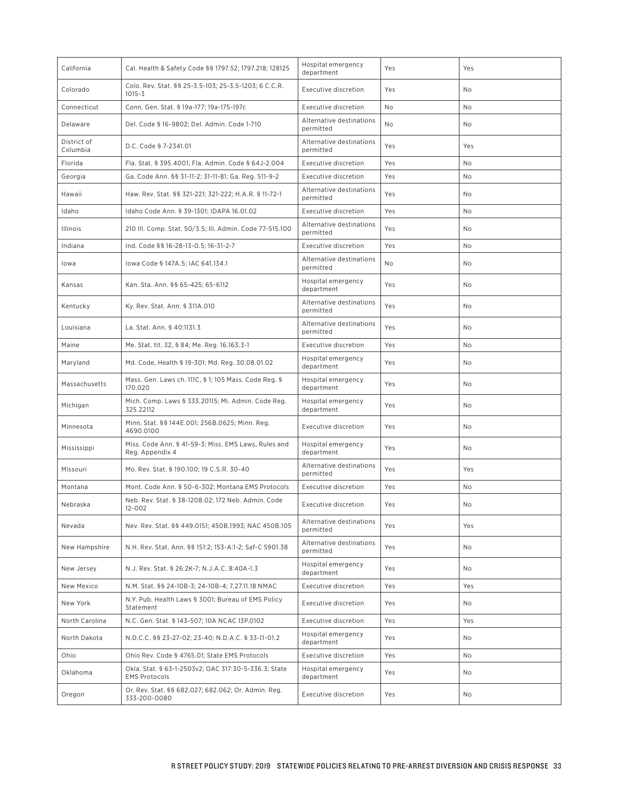| California              | Cal. Health & Safety Code §§ 1797.52; 1797.218; 128125                       | Hospital emergency<br>department      | Yes | Yes       |
|-------------------------|------------------------------------------------------------------------------|---------------------------------------|-----|-----------|
| Colorado                | Colo. Rev. Stat. §§ 25-3.5-103; 25-3.5-1203; 6 C.C.R.<br>$1015 - 3$          | Executive discretion                  | Yes | No        |
| Connecticut             | Conn. Gen. Stat. § 19a-177; 19a-175-197c                                     | Executive discretion                  | No  | <b>No</b> |
| Delaware                | Del. Code § 16-9802; Del. Admin. Code 1-710                                  | Alternative destinations<br>permitted | No  | No        |
| District of<br>Columbia | D.C. Code § 7-2341.01                                                        | Alternative destinations<br>permitted | Yes | Yes       |
| Florida                 | Fla. Stat. § 395.4001; Fla. Admin. Code § 64J-2.004                          | Executive discretion                  | Yes | No        |
| Georgia                 | Ga. Code Ann. §§ 31-11-2; 31-11-81; Ga. Reg. 511-9-2                         | Executive discretion                  | Yes | No        |
| Hawaii                  | Haw. Rev. Stat. §§ 321-221; 321-222; H.A.R. § 11-72-1                        | Alternative destinations<br>permitted | Yes | No        |
| Idaho                   | Idaho Code Ann. § 39-1301; IDAPA 16.01.02                                    | Executive discretion                  | Yes | No        |
| Illinois                | 210 III. Comp. Stat. 50/3.5; III. Admin. Code 77-515.100                     | Alternative destinations<br>permitted | Yes | No        |
| Indiana                 | Ind. Code §§ 16-28-13-0.5; 16-31-2-7                                         | Executive discretion                  | Yes | No        |
| lowa                    | lowa Code § 147A.5; IAC 641.134.1                                            | Alternative destinations<br>permitted | No  | No        |
| Kansas                  | Kan. Sta. Ann. §§ 65-425; 65-6112                                            | Hospital emergency<br>department      | Yes | No        |
| Kentucky                | Ky. Rev. Stat. Ann. § 311A.010                                               | Alternative destinations<br>permitted | Yes | No        |
| Louisiana               | La. Stat. Ann. § 40:1131.3                                                   | Alternative destinations<br>permitted | Yes | No        |
| Maine                   | Me. Stat. tit. 32, § 84; Me. Reg. 16.163.3-1                                 | Executive discretion                  | Yes | No        |
| Maryland                | Md. Code, Health § 19-301; Md. Reg. 30.08.01.02                              | Hospital emergency<br>department      | Yes | No        |
| Massachusetts           | Mass. Gen. Laws ch. 111C, § 1; 105 Mass. Code Reg. §<br>170.020              | Hospital emergency<br>department      | Yes | No        |
| Michigan                | Mich. Comp. Laws § 333.20115; Mi. Admin. Code Reg.<br>325.22112              | Hospital emergency<br>department      | Yes | No        |
| Minnesota               | Minn. Stat. §§ 144E.001; 256B.0625; Minn. Reg.<br>4690.0100                  | Executive discretion                  | Yes | No        |
| Mississippi             | Miss. Code Ann. § 41-59-3; Miss. EMS Laws, Rules and<br>Reg. Appendix 4      | Hospital emergency<br>department      | Yes | No        |
| Missouri                | Mo. Rev. Stat. § 190.100; 19 C.S.R. 30-40                                    | Alternative destinations<br>permitted | Yes | Yes       |
| Montana                 | Mont. Code Ann. § 50-6-302; Montana EMS Protocols                            | Executive discretion                  | Yes | No        |
| Nebraska                | Neb. Rev. Stat. § 38-1208.02; 172 Neb. Admin. Code<br>12-002                 | Executive discretion                  | Yes | No        |
| Nevada                  | Nev. Rev. Stat. §§ 449.0151; 450B.1993; NAC 450B.105                         | Alternative destinations<br>permitted | Yes | Yes       |
| New Hampshire           | N.H. Rev. Stat. Ann. §§ 151:2; 153-A:1-2; Saf-C 5901.38                      | Alternative destinations<br>permitted | Yes | No        |
| New Jersey              | N.J. Rev. Stat. § 26:2K-7; N.J.A.C. 8:40A-1.3                                | Hospital emergency<br>department      | Yes | No        |
| New Mexico              | N.M. Stat. §§ 24-10B-3; 24-10B-4; 7.27.11.18 NMAC                            | Executive discretion                  | Yes | Yes       |
| New York                | N.Y. Pub. Health Laws § 3001; Bureau of EMS Policy<br>Statement              | Executive discretion                  | Yes | No        |
| North Carolina          | N.C. Gen. Stat. § 143-507; 10A NCAC 13P.0102                                 | Executive discretion                  | Yes | Yes       |
| North Dakota            | N.D.C.C. §§ 23-27-02; 23-40; N.D.A.C. § 33-11-01.2                           | Hospital emergency<br>department      | Yes | No        |
| Ohio                    | Ohio Rev. Code § 4765.01; State EMS Protocols                                | Executive discretion                  | Yes | No        |
| Oklahoma                | Okla. Stat. § 63-1-2503v2; OAC 317:30-5-336.3; State<br><b>EMS Protocols</b> | Hospital emergency<br>department      | Yes | No        |
| Oregon                  | Or. Rev. Stat. §§ 682.027; 682.062; Or. Admin. Reg.<br>333-200-0080          | Executive discretion                  | Yes | No        |